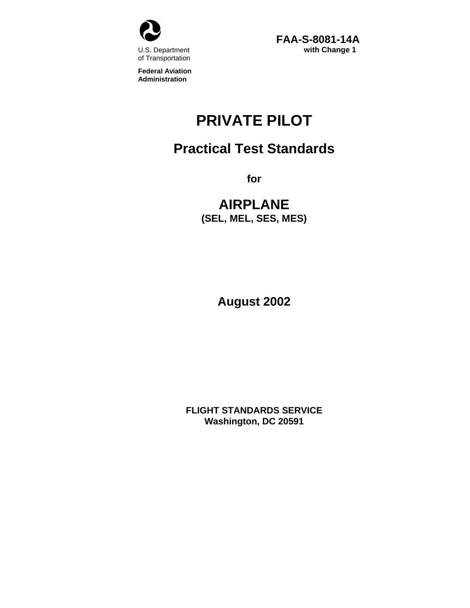

of Transportation

**Federal Aviation Administration**

# **PRIVATE PILOT**

# **Practical Test Standards**

**for**

**AIRPLANE (SEL, MEL, SES, MES)** 

**August 2002** 

**FLIGHT STANDARDS SERVICE Washington, DC 20591**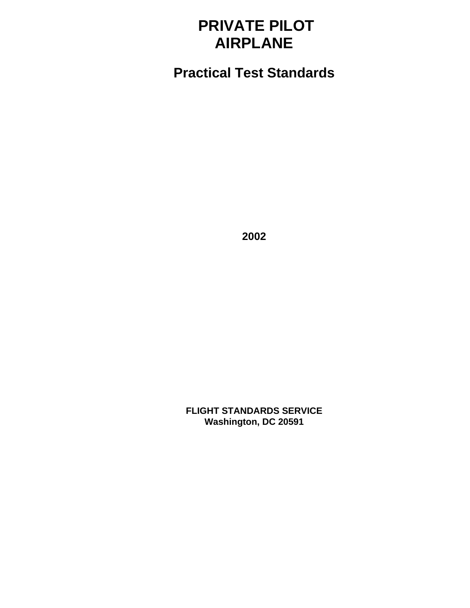# **PRIVATE PILOT AIRPLANE**

**Practical Test Standards** 

**2002** 

**FLIGHT STANDARDS SERVICE Washington, DC 20591**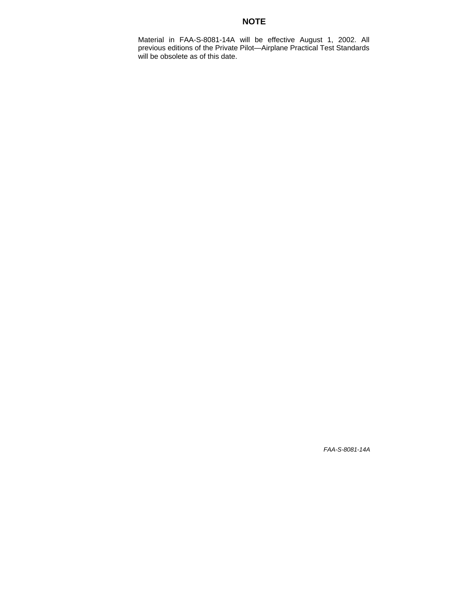### **NOTE**

Material in FAA-S-8081-14A will be effective August 1, 2002. All previous editions of the Private Pilot—Airplane Practical Test Standards will be obsolete as of this date.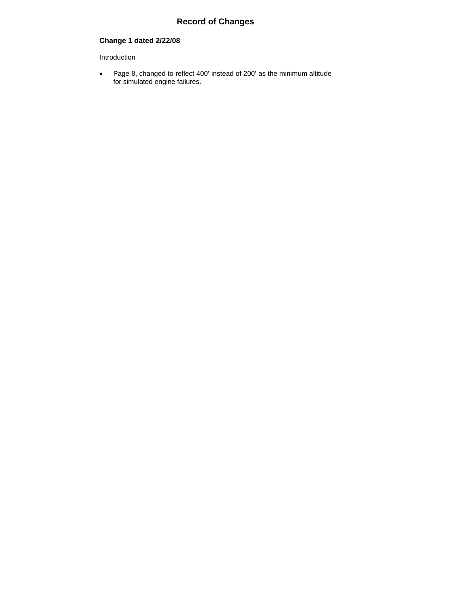### **Change 1 dated 2/22/08**

Introduction

• Page 8, changed to reflect 400' instead of 200' as the minimum altitude for simulated engine failures.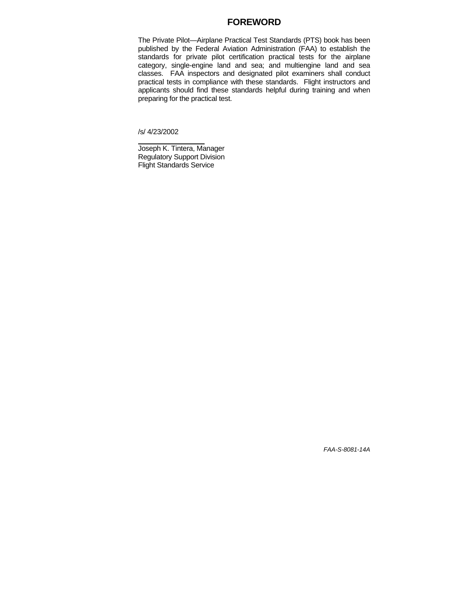### **FOREWORD**

The Private Pilot—Airplane Practical Test Standards (PTS) book has been published by the Federal Aviation Administration (FAA) to establish the standards for private pilot certification practical tests for the airplane category, single-engine land and sea; and multiengine land and sea classes. FAA inspectors and designated pilot examiners shall conduct practical tests in compliance with these standards. Flight instructors and applicants should find these standards helpful during training and when preparing for the practical test.

/s/ 4/23/2002

Joseph K. Tintera, Manager Regulatory Support Division Flight Standards Service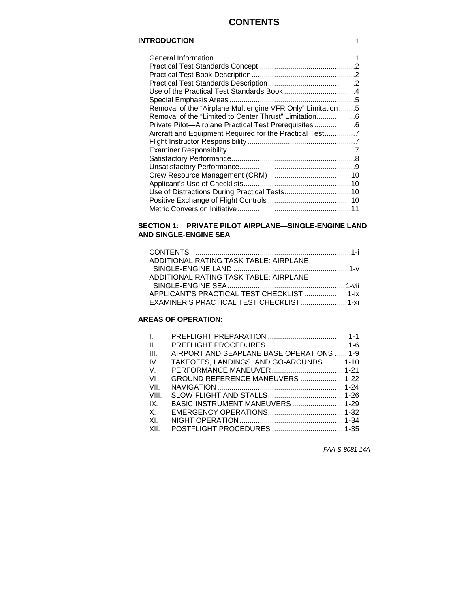### **CONTENTS**

|--|

| Removal of the "Airplane Multiengine VFR Only" Limitation 5 |  |
|-------------------------------------------------------------|--|
| Removal of the "Limited to Center Thrust" Limitation6       |  |
| Private Pilot-Airplane Practical Test Prerequisites 6       |  |
| Aircraft and Equipment Required for the Practical Test7     |  |
|                                                             |  |
|                                                             |  |
|                                                             |  |
|                                                             |  |
|                                                             |  |
|                                                             |  |
|                                                             |  |
|                                                             |  |
|                                                             |  |
|                                                             |  |

### **SECTION 1: PRIVATE PILOT AIRPLANE—SINGLE-ENGINE LAND AND SINGLE-ENGINE SEA**

| ADDITIONAL RATING TASK TABLE: AIRPLANE    |  |
|-------------------------------------------|--|
|                                           |  |
| ADDITIONAL RATING TASK TABLE: AIRPLANE    |  |
|                                           |  |
| APPLICANT'S PRACTICAL TEST CHECKLIST 1-ix |  |
| EXAMINER'S PRACTICAL TEST CHECKLIST1-xi   |  |

### **AREAS OF OPERATION:**

| diamo          |                                           |  |
|----------------|-------------------------------------------|--|
| $\mathbf{H}$ . |                                           |  |
| HI.            | AIRPORT AND SEAPLANE BASE OPERATIONS  1-9 |  |
| IV.            | TAKEOFFS, LANDINGS, AND GO-AROUNDS 1-10   |  |
| $V_{\cdot}$    |                                           |  |
| VI.            | GROUND REFERENCE MANEUVERS  1-22          |  |
| VII.           |                                           |  |
| VIII.          |                                           |  |
| IX.            |                                           |  |
| $\times$       |                                           |  |
| XI.            |                                           |  |
| XII.           |                                           |  |
|                |                                           |  |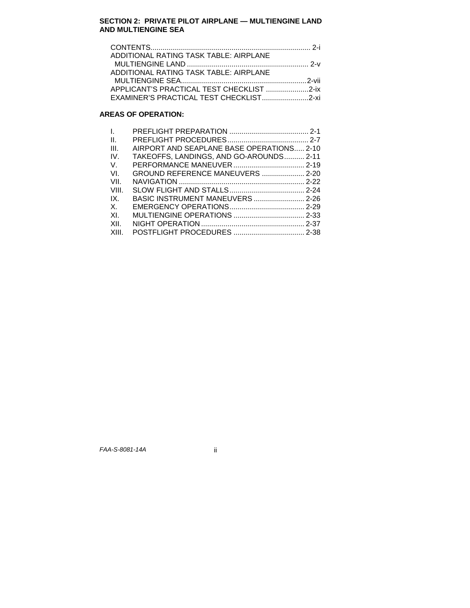### **SECTION 2: PRIVATE PILOT AIRPLANE — MULTIENGINE LAND AND MULTIENGINE SEA**

| ADDITIONAL RATING TASK TABLE: AIRPLANE    |  |
|-------------------------------------------|--|
|                                           |  |
| ADDITIONAL RATING TASK TABLE: AIRPLANE    |  |
|                                           |  |
| APPLICANT'S PRACTICAL TEST CHECKLIST 2-ix |  |
|                                           |  |

### **AREAS OF OPERATION:**

| T.             |                                           |  |
|----------------|-------------------------------------------|--|
| $\mathbf{H}$ . |                                           |  |
| HI.            | AIRPORT AND SEAPLANE BASE OPERATIONS 2-10 |  |
| IV.            | TAKEOFFS, LANDINGS, AND GO-AROUNDS 2-11   |  |
| V.             |                                           |  |
| VI.            | GROUND REFERENCE MANEUVERS  2-20          |  |
| VII.           |                                           |  |
| VIII.          |                                           |  |
| IX.            | BASIC INSTRUMENT MANEUVERS  2-26          |  |
| X.             |                                           |  |
| XL             |                                           |  |
| XII.           |                                           |  |
| XIII.          |                                           |  |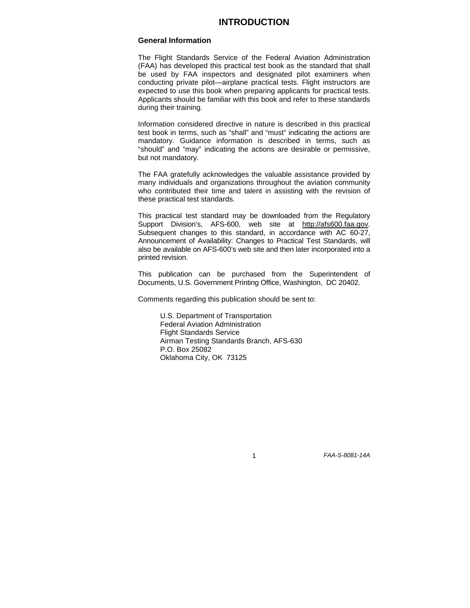### **INTRODUCTION**

#### **General Information**

The Flight Standards Service of the Federal Aviation Administration (FAA) has developed this practical test book as the standard that shall be used by FAA inspectors and designated pilot examiners when conducting private pilot—airplane practical tests. Flight instructors are expected to use this book when preparing applicants for practical tests. Applicants should be familiar with this book and refer to these standards during their training.

Information considered directive in nature is described in this practical test book in terms, such as "shall" and "must" indicating the actions are mandatory. Guidance information is described in terms, such as "should" and "may" indicating the actions are desirable or permissive, but not mandatory.

The FAA gratefully acknowledges the valuable assistance provided by many individuals and organizations throughout the aviation community who contributed their time and talent in assisting with the revision of these practical test standards.

This practical test standard may be downloaded from the Regulatory Support Division's, AFS-600, web site at [http://afs600.faa.gov.](http://afs600.faa.gov/) Subsequent changes to this standard, in accordance with AC 60-27, Announcement of Availability: Changes to Practical Test Standards, will also be available on AFS-600's web site and then later incorporated into a printed revision.

This publication can be purchased from the Superintendent of Documents, U.S. Government Printing Office, Washington, DC 20402.

Comments regarding this publication should be sent to:

 U.S. Department of Transportation Federal Aviation Administration Flight Standards Service Airman Testing Standards Branch, AFS-630 P.O. Box 25082 Oklahoma City, OK 73125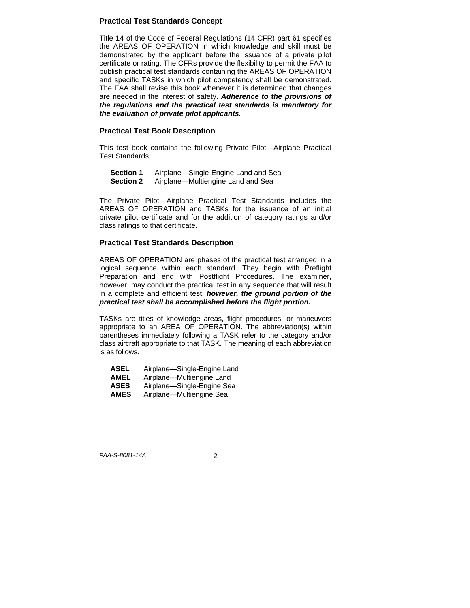### **Practical Test Standards Concept**

Title 14 of the Code of Federal Regulations (14 CFR) part 61 specifies the AREAS OF OPERATION in which knowledge and skill must be demonstrated by the applicant before the issuance of a private pilot certificate or rating. The CFRs provide the flexibility to permit the FAA to publish practical test standards containing the AREAS OF OPERATION and specific TASKs in which pilot competency shall be demonstrated. The FAA shall revise this book whenever it is determined that changes are needed in the interest of safety. *Adherence to the provisions of the regulations and the practical test standards is mandatory for the evaluation of private pilot applicants.*

#### **Practical Test Book Description**

This test book contains the following Private Pilot—Airplane Practical Test Standards:

**Section 1** Airplane—Single-Engine Land and Sea

 **Section 2** Airplane—Multiengine Land and Sea

The Private Pilot—Airplane Practical Test Standards includes the AREAS OF OPERATION and TASKs for the issuance of an initial private pilot certificate and for the addition of category ratings and/or class ratings to that certificate.

### **Practical Test Standards Description**

AREAS OF OPERATION are phases of the practical test arranged in a logical sequence within each standard. They begin with Preflight Preparation and end with Postflight Procedures. The examiner, however, may conduct the practical test in any sequence that will result in a complete and efficient test; *however, the ground portion of the practical test shall be accomplished before the flight portion.*

TASKs are titles of knowledge areas, flight procedures, or maneuvers appropriate to an AREA OF OPERATION. The abbreviation(s) within parentheses immediately following a TASK refer to the category and/or class aircraft appropriate to that TASK. The meaning of each abbreviation is as follows.

- **ASEL** Airplane—Single-Engine Land
- **AMEL** Airplane—Multiengine Land
- **ASES** Airplane—Single-Engine Sea
- **AMES** Airplane—Multiengine Sea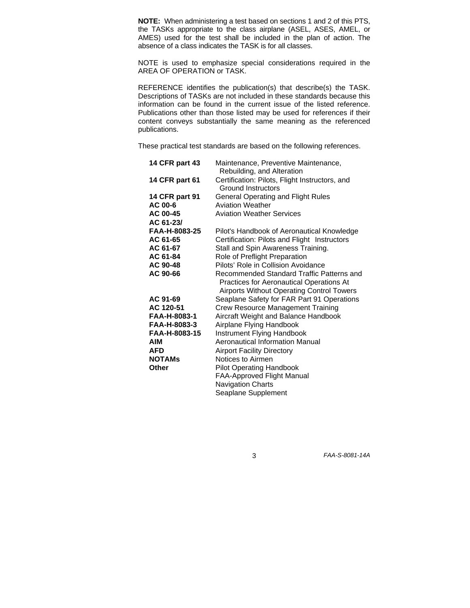**NOTE:** When administering a test based on sections 1 and 2 of this PTS, the TASKs appropriate to the class airplane (ASEL, ASES, AMEL, or AMES) used for the test shall be included in the plan of action. The absence of a class indicates the TASK is for all classes.

NOTE is used to emphasize special considerations required in the AREA OF OPERATION or TASK.

REFERENCE identifies the publication(s) that describe(s) the TASK. Descriptions of TASKs are not included in these standards because this information can be found in the current issue of the listed reference. Publications other than those listed may be used for references if their content conveys substantially the same meaning as the referenced publications.

These practical test standards are based on the following references.

| Maintenance, Preventive Maintenance,             |
|--------------------------------------------------|
|                                                  |
| Certification: Pilots, Flight Instructors, and   |
|                                                  |
|                                                  |
|                                                  |
|                                                  |
|                                                  |
| Pilot's Handbook of Aeronautical Knowledge       |
| Certification: Pilots and Flight Instructors     |
|                                                  |
|                                                  |
|                                                  |
| Recommended Standard Traffic Patterns and        |
| Practices for Aeronautical Operations At         |
| <b>Airports Without Operating Control Towers</b> |
| Seaplane Safety for FAR Part 91 Operations       |
|                                                  |
| Aircraft Weight and Balance Handbook             |
|                                                  |
|                                                  |
|                                                  |
|                                                  |
|                                                  |
|                                                  |
|                                                  |
|                                                  |
|                                                  |
|                                                  |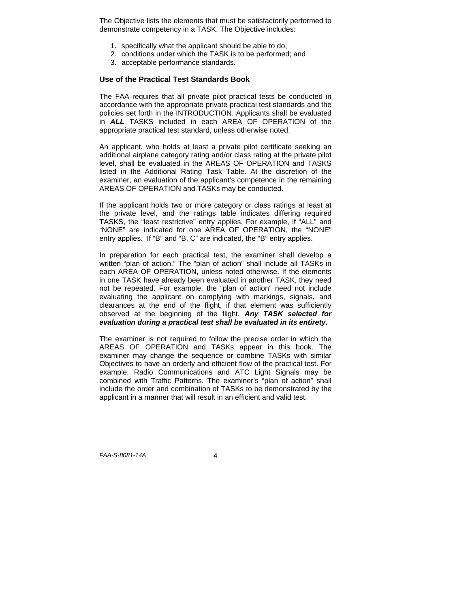The Objective lists the elements that must be satisfactorily performed to demonstrate competency in a TASK. The Objective includes:

- 1. specifically what the applicant should be able to do;
- 2. conditions under which the TASK is to be performed; and
- 3. acceptable performance standards.

#### **Use of the Practical Test Standards Book**

The FAA requires that all private pilot practical tests be conducted in accordance with the appropriate private practical test standards and the policies set forth in the INTRODUCTION. Applicants shall be evaluated in *ALL* TASKS included in each AREA OF OPERATION of the appropriate practical test standard, unless otherwise noted.

An applicant, who holds at least a private pilot certificate seeking an additional airplane category rating and/or class rating at the private pilot level, shall be evaluated in the AREAS OF OPERATION and TASKS listed in the Additional Rating Task Table. At the discretion of the examiner, an evaluation of the applicant's competence in the remaining AREAS OF OPERATION and TASKs may be conducted.

If the applicant holds two or more category or class ratings at least at the private level, and the ratings table indicates differing required TASKS, the "least restrictive" entry applies. For example, if "ALL" and "NONE" are indicated for one AREA OF OPERATION, the "NONE" entry applies. If "B" and "B, C" are indicated, the "B" entry applies.

In preparation for each practical test, the examiner shall develop a written "plan of action." The "plan of action" shall include all TASKs in each AREA OF OPERATION, unless noted otherwise. If the elements in one TASK have already been evaluated in another TASK, they need not be repeated. For example, the "plan of action" need not include evaluating the applicant on complying with markings, signals, and clearances at the end of the flight, if that element was sufficiently observed at the beginning of the flight. *Any TASK selected for evaluation during a practical test shall be evaluated in its entirety.*

The examiner is not required to follow the precise order in which the AREAS OF OPERATION and TASKs appear in this book. The examiner may change the sequence or combine TASKs with similar Objectives to have an orderly and efficient flow of the practical test. For example, Radio Communications and ATC Light Signals may be combined with Traffic Patterns. The examiner's "plan of action" shall include the order and combination of TASKs to be demonstrated by the applicant in a manner that will result in an efficient and valid test.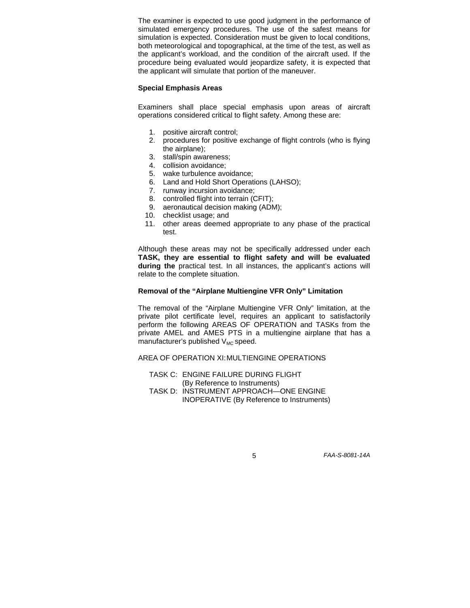The examiner is expected to use good judgment in the performance of simulated emergency procedures. The use of the safest means for simulation is expected. Consideration must be given to local conditions, both meteorological and topographical, at the time of the test, as well as the applicant's workload, and the condition of the aircraft used. If the procedure being evaluated would jeopardize safety, it is expected that the applicant will simulate that portion of the maneuver.

#### **Special Emphasis Areas**

Examiners shall place special emphasis upon areas of aircraft operations considered critical to flight safety. Among these are:

- 1. positive aircraft control;
- 2. procedures for positive exchange of flight controls (who is flying the airplane);
- 3. stall/spin awareness;
- 4. collision avoidance;
- 5. wake turbulence avoidance;
- 6. Land and Hold Short Operations (LAHSO);
- 7. runway incursion avoidance;
- 8. controlled flight into terrain (CFIT);
- 9. aeronautical decision making (ADM);
- 10. checklist usage; and
- 11. other areas deemed appropriate to any phase of the practical test.

Although these areas may not be specifically addressed under each **TASK, they are essential to flight safety and will be evaluated during the** practical test. In all instances, the applicant's actions will relate to the complete situation.

#### **Removal of the "Airplane Multiengine VFR Only" Limitation**

The removal of the "Airplane Multiengine VFR Only" limitation, at the private pilot certificate level, requires an applicant to satisfactorily perform the following AREAS OF OPERATION and TASKs from the private AMEL and AMES PTS in a multiengine airplane that has a manufacturer's published  $V_{MC}$  speed.

### AREA OF OPERATION XI: MULTIENGINE OPERATIONS

- TASK C: ENGINE FAILURE DURING FLIGHT (By Reference to Instruments)
- TASK D: INSTRUMENT APPROACH—ONE ENGINE INOPERATIVE (By Reference to Instruments)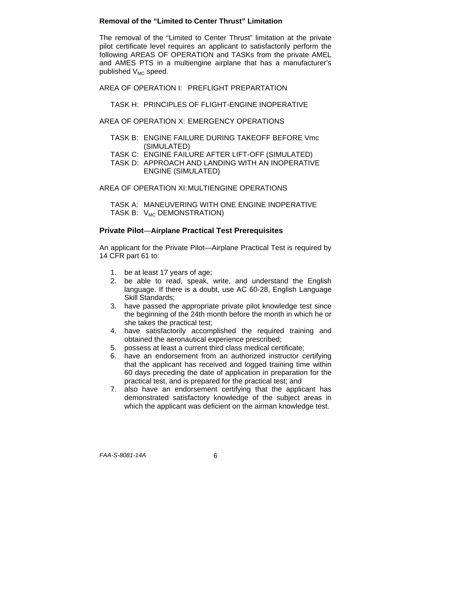#### **Removal of the "Limited to Center Thrust" Limitation**

The removal of the "Limited to Center Thrust" limitation at the private pilot certificate level requires an applicant to satisfactorily perform the following AREAS OF OPERATION and TASKs from the private AMEL and AMES PTS in a multiengine airplane that has a manufacturer's published  $V_{MC}$  speed.

AREA OF OPERATION I: PREFLIGHT PREPARTATION

TASK H: PRINCIPLES OF FLIGHT-ENGINE INOPERATIVE

#### AREA OF OPERATION X: EMERGENCY OPERATIONS

- TASK B: ENGINE FAILURE DURING TAKEOFF BEFORE Vmc (SIMULATED)
- TASK C: ENGINE FAILURE AFTER LIFT-OFF (SIMULATED)
- TASK D: APPROACH AND LANDING WITH AN INOPERATIVE ENGINE (SIMULATED)

AREA OF OPERATION XI: MULTIENGINE OPERATIONS

 TASK A: MANEUVERING WITH ONE ENGINE INOPERATIVE TASK B: V<sub>MC</sub> DEMONSTRATION)

#### **Private Pilot**—**Airplane Practical Test Prerequisites**

An applicant for the Private Pilot—Airplane Practical Test is required by 14 CFR part 61 to:

- 1. be at least 17 years of age;
- 2. be able to read, speak, write, and understand the English language. If there is a doubt, use AC 60-28, English Language Skill Standards;
- 3. have passed the appropriate private pilot knowledge test since the beginning of the 24th month before the month in which he or she takes the practical test;
- 4. have satisfactorily accomplished the required training and obtained the aeronautical experience prescribed;
- 5. possess at least a current third class medical certificate;
- 6. have an endorsement from an authorized instructor certifying that the applicant has received and logged training time within 60 days preceding the date of application in preparation for the practical test, and is prepared for the practical test; and
- 7. also have an endorsement certifying that the applicant has demonstrated satisfactory knowledge of the subject areas in which the applicant was deficient on the airman knowledge test.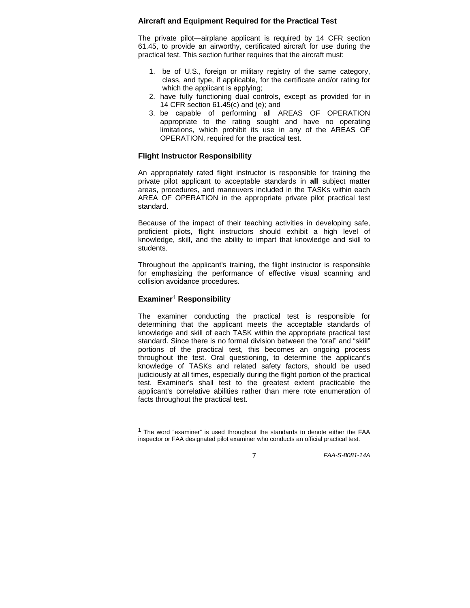#### **Aircraft and Equipment Required for the Practical Test**

The private pilot—airplane applicant is required by 14 CFR section 61.45, to provide an airworthy, certificated aircraft for use during the practical test. This section further requires that the aircraft must:

- 1. be of U.S., foreign or military registry of the same category, class, and type, if applicable, for the certificate and/or rating for which the applicant is applying;
- 2. have fully functioning dual controls, except as provided for in 14 CFR section 61.45(c) and (e); and
- 3. be capable of performing all AREAS OF OPERATION appropriate to the rating sought and have no operating limitations, which prohibit its use in any of the AREAS OF OPERATION, required for the practical test.

#### **Flight Instructor Responsibility**

An appropriately rated flight instructor is responsible for training the private pilot applicant to acceptable standards in **all** subject matter areas, procedures, and maneuvers included in the TASKs within each AREA OF OPERATION in the appropriate private pilot practical test standard.

Because of the impact of their teaching activities in developing safe, proficient pilots, flight instructors should exhibit a high level of knowledge, skill, and the ability to impart that knowledge and skill to students.

Throughout the applicant's training, the flight instructor is responsible for emphasizing the performance of effective visual scanning and collision avoidance procedures.

#### **Examiner**[1](#page-16-0) **Responsibility**

 $\overline{a}$ 

The examiner conducting the practical test is responsible for determining that the applicant meets the acceptable standards of knowledge and skill of each TASK within the appropriate practical test standard. Since there is no formal division between the "oral" and "skill" portions of the practical test, this becomes an ongoing process throughout the test. Oral questioning, to determine the applicant's knowledge of TASKs and related safety factors, should be used judiciously at all times, especially during the flight portion of the practical test. Examiner's shall test to the greatest extent practicable the applicant's correlative abilities rather than mere rote enumeration of facts throughout the practical test.

<span id="page-16-0"></span> $1$  The word "examiner" is used throughout the standards to denote either the FAA inspector or FAA designated pilot examiner who conducts an official practical test.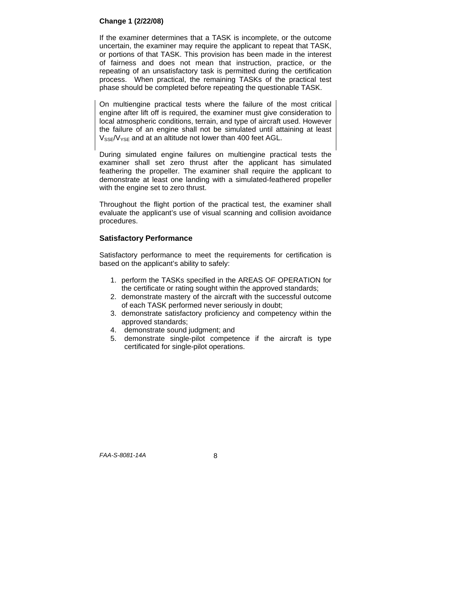#### **Change 1 (2/22/08)**

If the examiner determines that a TASK is incomplete, or the outcome uncertain, the examiner may require the applicant to repeat that TASK, or portions of that TASK. This provision has been made in the interest of fairness and does not mean that instruction, practice, or the repeating of an unsatisfactory task is permitted during the certification process. When practical, the remaining TASKs of the practical test phase should be completed before repeating the questionable TASK.

On multiengine practical tests where the failure of the most critical engine after lift off is required, the examiner must give consideration to local atmospheric conditions, terrain, and type of aircraft used. However the failure of an engine shall not be simulated until attaining at least  $V_{\text{SSE}}/V_{\text{YSE}}$  and at an altitude not lower than 400 feet AGL.

During simulated engine failures on multiengine practical tests the examiner shall set zero thrust after the applicant has simulated feathering the propeller. The examiner shall require the applicant to demonstrate at least one landing with a simulated-feathered propeller with the engine set to zero thrust.

Throughout the flight portion of the practical test, the examiner shall evaluate the applicant's use of visual scanning and collision avoidance procedures.

#### **Satisfactory Performance**

Satisfactory performance to meet the requirements for certification is based on the applicant's ability to safely:

- 1. perform the TASKs specified in the AREAS OF OPERATION for the certificate or rating sought within the approved standards;
- 2. demonstrate mastery of the aircraft with the successful outcome of each TASK performed never seriously in doubt;
- 3. demonstrate satisfactory proficiency and competency within the approved standards;
- 4. demonstrate sound judgment; and
- 5. demonstrate single-pilot competence if the aircraft is type certificated for single-pilot operations.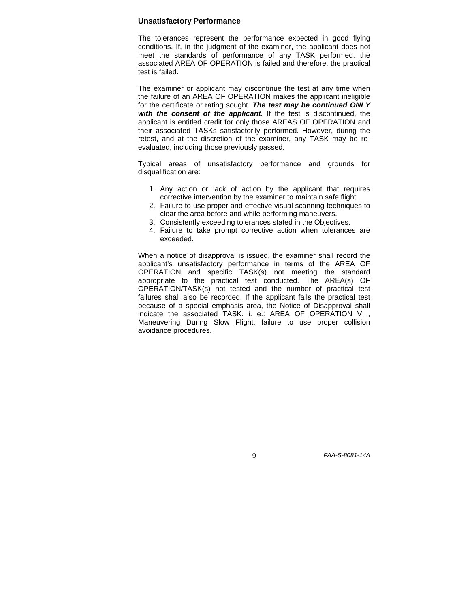#### **Unsatisfactory Performance**

The tolerances represent the performance expected in good flying conditions. If, in the judgment of the examiner, the applicant does not meet the standards of performance of any TASK performed, the associated AREA OF OPERATION is failed and therefore, the practical test is failed.

The examiner or applicant may discontinue the test at any time when the failure of an AREA OF OPERATION makes the applicant ineligible for the certificate or rating sought. *The test may be continued ONLY with the consent of the applicant.* If the test is discontinued, the applicant is entitled credit for only those AREAS OF OPERATION and their associated TASKs satisfactorily performed. However, during the retest, and at the discretion of the examiner, any TASK may be reevaluated, including those previously passed.

Typical areas of unsatisfactory performance and grounds for disqualification are:

- 1. Any action or lack of action by the applicant that requires corrective intervention by the examiner to maintain safe flight.
- 2. Failure to use proper and effective visual scanning techniques to clear the area before and while performing maneuvers.
- 3. Consistently exceeding tolerances stated in the Objectives.
- 4. Failure to take prompt corrective action when tolerances are exceeded.

When a notice of disapproval is issued, the examiner shall record the applicant's unsatisfactory performance in terms of the AREA OF OPERATION and specific TASK(s) not meeting the standard appropriate to the practical test conducted. The AREA(s) OF OPERATION/TASK(s) not tested and the number of practical test failures shall also be recorded. If the applicant fails the practical test because of a special emphasis area, the Notice of Disapproval shall indicate the associated TASK. i. e.: AREA OF OPERATION VIII, Maneuvering During Slow Flight, failure to use proper collision avoidance procedures.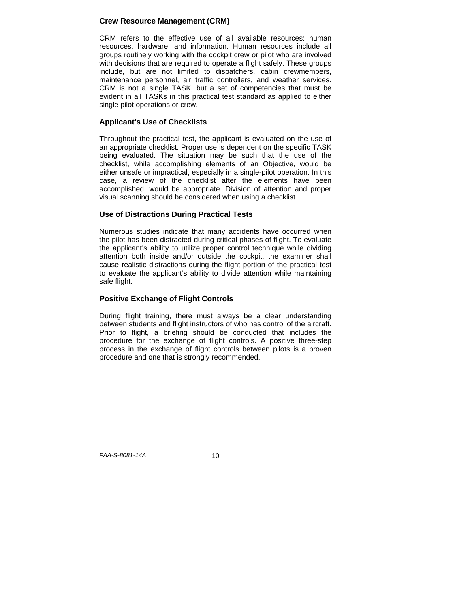### **Crew Resource Management (CRM)**

CRM refers to the effective use of all available resources: human resources, hardware, and information. Human resources include all groups routinely working with the cockpit crew or pilot who are involved with decisions that are required to operate a flight safely. These groups include, but are not limited to dispatchers, cabin crewmembers, maintenance personnel, air traffic controllers, and weather services. CRM is not a single TASK, but a set of competencies that must be evident in all TASKs in this practical test standard as applied to either single pilot operations or crew.

### **Applicant's Use of Checklists**

Throughout the practical test, the applicant is evaluated on the use of an appropriate checklist. Proper use is dependent on the specific TASK being evaluated. The situation may be such that the use of the checklist, while accomplishing elements of an Objective, would be either unsafe or impractical, especially in a single-pilot operation. In this case, a review of the checklist after the elements have been accomplished, would be appropriate. Division of attention and proper visual scanning should be considered when using a checklist.

### **Use of Distractions During Practical Tests**

Numerous studies indicate that many accidents have occurred when the pilot has been distracted during critical phases of flight. To evaluate the applicant's ability to utilize proper control technique while dividing attention both inside and/or outside the cockpit, the examiner shall cause realistic distractions during the flight portion of the practical test to evaluate the applicant's ability to divide attention while maintaining safe flight.

### **Positive Exchange of Flight Controls**

During flight training, there must always be a clear understanding between students and flight instructors of who has control of the aircraft. Prior to flight, a briefing should be conducted that includes the procedure for the exchange of flight controls. A positive three-step process in the exchange of flight controls between pilots is a proven procedure and one that is strongly recommended.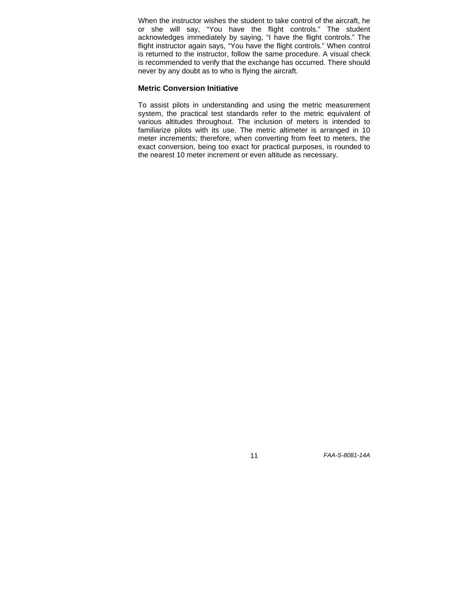When the instructor wishes the student to take control of the aircraft, he or she will say, "You have the flight controls." The student acknowledges immediately by saying, "I have the flight controls." The flight instructor again says, "You have the flight controls." When control is returned to the instructor, follow the same procedure. A visual check is recommended to verify that the exchange has occurred. There should never by any doubt as to who is flying the aircraft.

#### **Metric Conversion Initiative**

To assist pilots in understanding and using the metric measurement system, the practical test standards refer to the metric equivalent of various altitudes throughout. The inclusion of meters is intended to familiarize pilots with its use. The metric altimeter is arranged in 10 meter increments; therefore, when converting from feet to meters, the exact conversion, being too exact for practical purposes, is rounded to the nearest 10 meter increment or even altitude as necessary.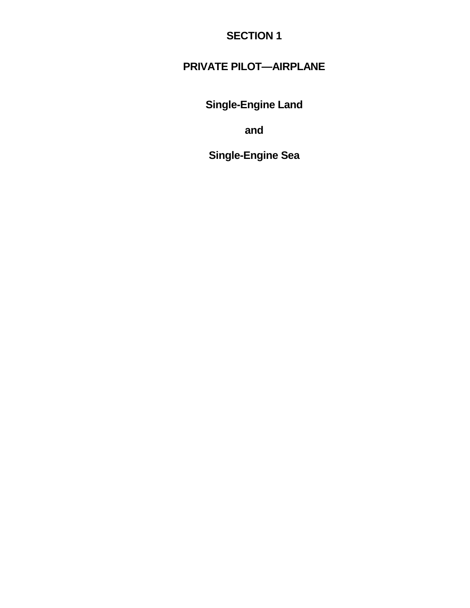## **SECTION 1**

## **PRIVATE PILOT—AIRPLANE**

**Single-Engine Land**

**and**

**Single-Engine Sea**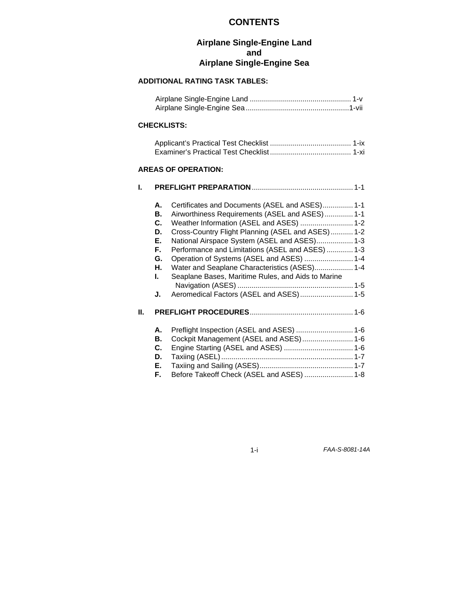### **CONTENTS**

### **Airplane Single-Engine Land and Airplane Single-Engine Sea**

### **ADDITIONAL RATING TASK TABLES:**

### **CHECKLISTS:**

### **AREAS OF OPERATION:**

| А. | Certificates and Documents (ASEL and ASES) 1-1     |  |  |  |  |
|----|----------------------------------------------------|--|--|--|--|
| В. | Airworthiness Requirements (ASEL and ASES) 1-1     |  |  |  |  |
| C. | Weather Information (ASEL and ASES)  1-2           |  |  |  |  |
| D. | Cross-Country Flight Planning (ASEL and ASES) 1-2  |  |  |  |  |
| Е. | National Airspace System (ASEL and ASES) 1-3       |  |  |  |  |
| F. | Performance and Limitations (ASEL and ASES)  1-3   |  |  |  |  |
| G. | Operation of Systems (ASEL and ASES)  1-4          |  |  |  |  |
| Η. | Water and Seaplane Characteristics (ASES) 1-4      |  |  |  |  |
| L. | Seaplane Bases, Maritime Rules, and Aids to Marine |  |  |  |  |
|    |                                                    |  |  |  |  |
| J. | Aeromedical Factors (ASEL and ASES) 1-5            |  |  |  |  |
|    |                                                    |  |  |  |  |
| А. | Preflight Inspection (ASEL and ASES)  1-6          |  |  |  |  |
| В. | Cockpit Management (ASEL and ASES) 1-6             |  |  |  |  |
| C. |                                                    |  |  |  |  |
| D. |                                                    |  |  |  |  |
| Е. |                                                    |  |  |  |  |
|    | Before Takeoff Check (ASEL and ASES)  1-8          |  |  |  |  |
|    |                                                    |  |  |  |  |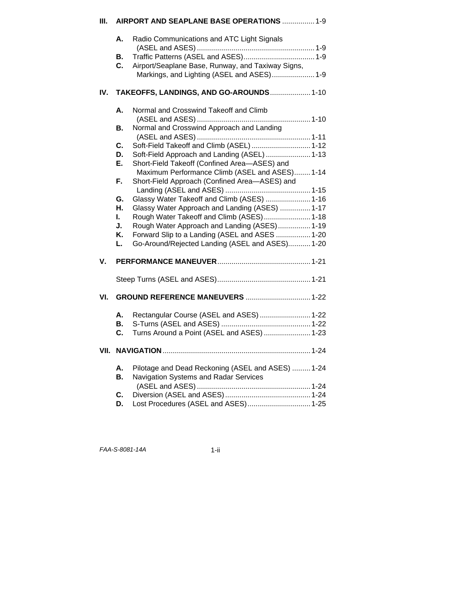| Ш.  | AIRPORT AND SEAPLANE BASE OPERATIONS  1-9 |                                                   |  |  |  |
|-----|-------------------------------------------|---------------------------------------------------|--|--|--|
|     | А.                                        | Radio Communications and ATC Light Signals        |  |  |  |
|     | В.                                        |                                                   |  |  |  |
|     | C.                                        | Airport/Seaplane Base, Runway, and Taxiway Signs, |  |  |  |
|     |                                           | Markings, and Lighting (ASEL and ASES) 1-9        |  |  |  |
| IV. |                                           | TAKEOFFS, LANDINGS, AND GO-AROUNDS 1-10           |  |  |  |
|     | А.                                        | Normal and Crosswind Takeoff and Climb            |  |  |  |
|     | В.                                        | Normal and Crosswind Approach and Landing         |  |  |  |
|     |                                           |                                                   |  |  |  |
|     | C.                                        | Soft-Field Takeoff and Climb (ASEL)  1-12         |  |  |  |
|     | D.                                        | Soft-Field Approach and Landing (ASEL)  1-13      |  |  |  |
|     | Е.                                        | Short-Field Takeoff (Confined Area-ASES) and      |  |  |  |
|     |                                           | Maximum Performance Climb (ASEL and ASES) 1-14    |  |  |  |
|     | F.                                        | Short-Field Approach (Confined Area-ASES) and     |  |  |  |
|     | G.                                        | Glassy Water Takeoff and Climb (ASES)  1-16       |  |  |  |
|     | н.                                        | Glassy Water Approach and Landing (ASES)  1-17    |  |  |  |
|     | L.                                        | Rough Water Takeoff and Climb (ASES) 1-18         |  |  |  |
|     | J.                                        | Rough Water Approach and Landing (ASES) 1-19      |  |  |  |
|     | K.                                        | Forward Slip to a Landing (ASEL and ASES  1-20    |  |  |  |
|     | L.                                        | Go-Around/Rejected Landing (ASEL and ASES) 1-20   |  |  |  |
| ۷.  |                                           |                                                   |  |  |  |
|     |                                           |                                                   |  |  |  |
| VI. |                                           | <b>GROUND REFERENCE MANEUVERS  1-22</b>           |  |  |  |
|     | А.                                        | Rectangular Course (ASEL and ASES)  1-22          |  |  |  |
|     | В.                                        |                                                   |  |  |  |
|     | C.                                        | Turns Around a Point (ASEL and ASES)  1-23        |  |  |  |
|     |                                           |                                                   |  |  |  |
|     | А.                                        | Pilotage and Dead Reckoning (ASEL and ASES)  1-24 |  |  |  |
|     | В.                                        | Navigation Systems and Radar Services             |  |  |  |
|     |                                           |                                                   |  |  |  |
|     | С.                                        |                                                   |  |  |  |
|     | D.                                        | Lost Procedures (ASEL and ASES) 1-25              |  |  |  |

FAA-S-8081-14A 1-ii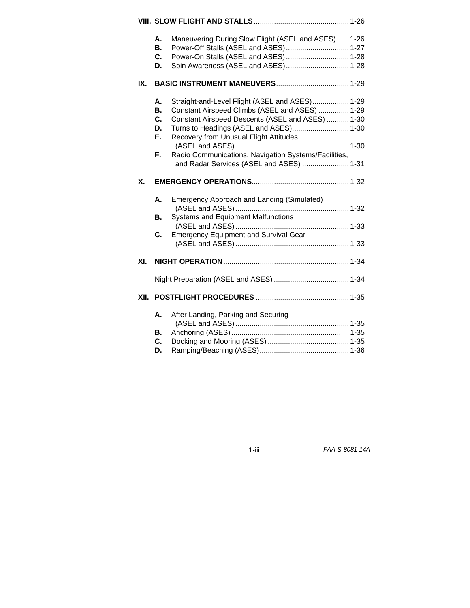|      | А.<br>В.<br>C.<br>D.                    | Maneuvering During Slow Flight (ASEL and ASES) 1-26<br>Power-Off Stalls (ASEL and ASES) 1-27<br>Power-On Stalls (ASEL and ASES) 1-28<br>Spin Awareness (ASEL and ASES) 1-28                                                                                                                                                                  |  |
|------|-----------------------------------------|----------------------------------------------------------------------------------------------------------------------------------------------------------------------------------------------------------------------------------------------------------------------------------------------------------------------------------------------|--|
| IX.  |                                         |                                                                                                                                                                                                                                                                                                                                              |  |
|      | А.<br><b>B.</b><br>C.<br>D.<br>Ε.<br>F. | Straight-and-Level Flight (ASEL and ASES) 1-29<br>Constant Airspeed Climbs (ASEL and ASES)  1-29<br>Constant Airspeed Descents (ASEL and ASES)  1-30<br>Turns to Headings (ASEL and ASES) 1-30<br>Recovery from Unusual Flight Attitudes<br>Radio Communications, Navigation Systems/Facilities,<br>and Radar Services (ASEL and ASES)  1-31 |  |
| Χ.   |                                         |                                                                                                                                                                                                                                                                                                                                              |  |
|      | Α.<br>В.<br>С.                          | Emergency Approach and Landing (Simulated)<br>Systems and Equipment Malfunctions<br><b>Emergency Equipment and Survival Gear</b>                                                                                                                                                                                                             |  |
| XI.  |                                         |                                                                                                                                                                                                                                                                                                                                              |  |
|      |                                         |                                                                                                                                                                                                                                                                                                                                              |  |
| XII. |                                         |                                                                                                                                                                                                                                                                                                                                              |  |
|      | А.<br>В.<br>C.<br>D.                    | After Landing, Parking and Securing                                                                                                                                                                                                                                                                                                          |  |

1-iii FAA-S-8081-14A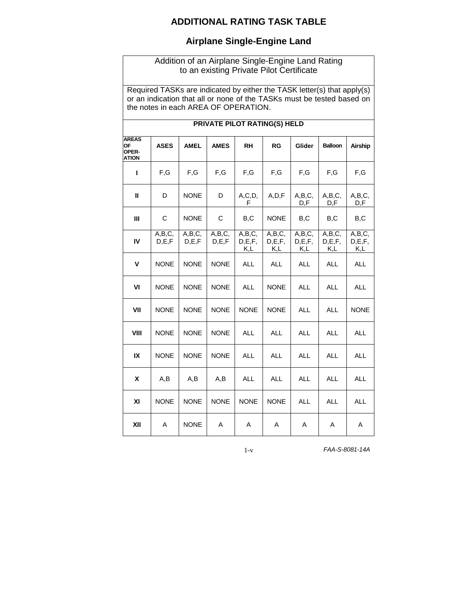### **ADDITIONAL RATING TASK TABLE**

### **Airplane Single-Engine Land**

Addition of an Airplane Single-Engine Land Rating to an existing Private Pilot Certificate

Required TASKs are indicated by either the TASK letter(s) that apply(s) or an indication that all or none of the TASKs must be tested based on the notes in each AREA OF OPERATION.

| PRIVATE PILOT RATING(S) HELD                       |                   |                                  |                   |                           |                           |                           |                                         |                            |
|----------------------------------------------------|-------------------|----------------------------------|-------------------|---------------------------|---------------------------|---------------------------|-----------------------------------------|----------------------------|
| <b>AREAS</b><br><b>OF</b><br>OPER-<br><b>ATION</b> | <b>ASES</b>       | <b>AMEL</b>                      | <b>AMES</b>       | <b>RH</b>                 | <b>RG</b>                 | Glider                    | <b>Balloon</b>                          | <b>Airship</b>             |
| ı                                                  | F,G               | F,G                              | F,G               | F,G                       | F.G                       | F,G                       | F,G                                     | F,G                        |
| $\mathbf{u}$                                       | D                 | <b>NONE</b>                      | D                 | A, C, D,<br>F             | A, D, F                   | A,B,C,<br>D,F             | A,B,C,<br>D.F                           | A,B,C,<br>D,F              |
| III                                                | C                 | <b>NONE</b>                      | C                 | B,C                       | <b>NONE</b>               | B,C                       | B,C                                     | B,C                        |
| IV                                                 | A,B,C,<br>D, E, F | $\overline{A}, B, C,$<br>D, E, F | A,B,C,<br>D, E, F | A,B,C,<br>D, E, F,<br>K,L | A,B,C,<br>D, E, F,<br>K,L | A,B,C,<br>D, E, F,<br>K,L | $A,B,\overline{C}$ ,<br>D, E, F,<br>K,L | A,B,C,<br>D, E, F,<br>K, L |
| V                                                  | <b>NONE</b>       | <b>NONE</b>                      | <b>NONE</b>       | <b>ALL</b>                | <b>ALL</b>                | <b>ALL</b>                | <b>ALL</b>                              | <b>ALL</b>                 |
| VI                                                 | <b>NONE</b>       | <b>NONE</b>                      | <b>NONE</b>       | <b>ALL</b>                | <b>NONE</b>               | <b>ALL</b>                | <b>ALL</b>                              | <b>ALL</b>                 |
| VII                                                | <b>NONE</b>       | <b>NONE</b>                      | <b>NONE</b>       | <b>NONE</b>               | <b>NONE</b>               | <b>ALL</b>                | <b>ALL</b>                              | <b>NONE</b>                |
| VIII                                               | <b>NONE</b>       | <b>NONE</b>                      | <b>NONE</b>       | <b>ALL</b>                | <b>ALL</b>                | <b>ALL</b>                | <b>ALL</b>                              | <b>ALL</b>                 |
| IX                                                 | <b>NONE</b>       | <b>NONE</b>                      | <b>NONE</b>       | <b>ALL</b>                | <b>ALL</b>                | <b>ALL</b>                | <b>ALL</b>                              | <b>ALL</b>                 |
| X                                                  | A,B               | A,B                              | A,B               | <b>ALL</b>                | <b>ALL</b>                | <b>ALL</b>                | <b>ALL</b>                              | <b>ALL</b>                 |
| XI                                                 | <b>NONE</b>       | <b>NONE</b>                      | <b>NONE</b>       | <b>NONE</b>               | <b>NONE</b>               | <b>ALL</b>                | <b>ALL</b>                              | <b>ALL</b>                 |
| XII                                                | A                 | <b>NONE</b>                      | A                 | A                         | A                         | A                         | A                                       | A                          |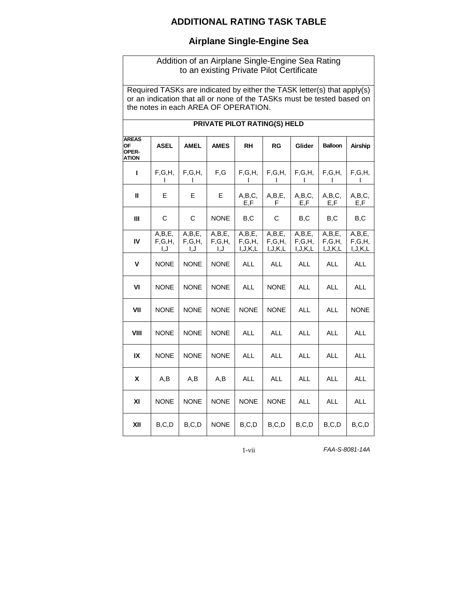### **ADDITIONAL RATING TASK TABLE**

### **Airplane Single-Engine Sea**

Addition of an Airplane Single-Engine Sea Rating to an existing Private Pilot Certificate

Required TASKs are indicated by either the TASK letter(s) that apply(s) or an indication that all or none of the TASKs must be tested based on the notes in each AREA OF OPERATION.

| PRIVATE PILOT RATING(S) HELD                |                         |                         |                         |                                |                                |                                |                                |                                |
|---------------------------------------------|-------------------------|-------------------------|-------------------------|--------------------------------|--------------------------------|--------------------------------|--------------------------------|--------------------------------|
| <b>AREAS</b><br>OF<br>OPER-<br><b>ATION</b> | <b>ASEL</b>             | <b>AMEL</b>             | <b>AMES</b>             | <b>RH</b>                      | RG                             | Glider                         | <b>Balloon</b>                 | Airship                        |
| $\mathbf{I}$                                | F,G,H,                  | F,G,H,                  | F,G                     | F,G,H,                         | F,G,H,<br>ı                    | F,G,H,                         | F,G,H,                         | F,G,H,                         |
| Ш                                           | E                       | E                       | E                       | A,B,C,<br>E,F                  | A,B,E,<br>F                    | A,B,C,<br>E,F                  | A,B,C,<br>E,F                  | A,B,C,<br>E,F                  |
| Ш                                           | С                       | С                       | <b>NONE</b>             | B,C                            | C                              | B,C                            | B,C                            | B,C                            |
| IV                                          | A,B,E,<br>F,G,H,<br>I,J | A,B,E,<br>F,G,H,<br>IJ, | A,B,E,<br>F,G,H,<br>IJ, | A,B,E,<br>F,G,H,<br>I, J, K, L | A,B,E,<br>F,G,H,<br>I, J, K, L | A,B,E,<br>F,G,H,<br>I, J, K, L | A,B,E,<br>F,G,H,<br>I, J, K, L | A,B,E,<br>F,G,H,<br>I, J, K, L |
| $\mathbf v$                                 | <b>NONE</b>             | <b>NONE</b>             | <b>NONE</b>             | <b>ALL</b>                     | <b>ALL</b>                     | <b>ALL</b>                     | <b>ALL</b>                     | <b>ALL</b>                     |
| VI                                          | <b>NONE</b>             | <b>NONE</b>             | <b>NONE</b>             | <b>ALL</b>                     | <b>NONE</b>                    | <b>ALL</b>                     | <b>ALL</b>                     | <b>ALL</b>                     |
| VII                                         | <b>NONE</b>             | <b>NONE</b>             | <b>NONE</b>             | <b>NONE</b>                    | <b>NONE</b>                    | <b>ALL</b>                     | <b>ALL</b>                     | <b>NONE</b>                    |
| VIII                                        | <b>NONE</b>             | <b>NONE</b>             | <b>NONE</b>             | <b>ALL</b>                     | <b>ALL</b>                     | <b>ALL</b>                     | <b>ALL</b>                     | <b>ALL</b>                     |
| IX                                          | <b>NONE</b>             | <b>NONE</b>             | <b>NONE</b>             | <b>ALL</b>                     | <b>ALL</b>                     | <b>ALL</b>                     | <b>ALL</b>                     | <b>ALL</b>                     |
| X                                           | A,B                     | A,B                     | A,B                     | <b>ALL</b>                     | <b>ALL</b>                     | <b>ALL</b>                     | <b>ALL</b>                     | <b>ALL</b>                     |
| XI                                          | <b>NONE</b>             | <b>NONE</b>             | <b>NONE</b>             | <b>NONE</b>                    | <b>NONE</b>                    | <b>ALL</b>                     | <b>ALL</b>                     | <b>ALL</b>                     |
| XII                                         | B, C, D                 | B, C, D                 | <b>NONE</b>             | B, C, D                        | B, C, D                        | B, C, D                        | B, C, D                        | B, C, D                        |

1-vii FAA-S-8081-14A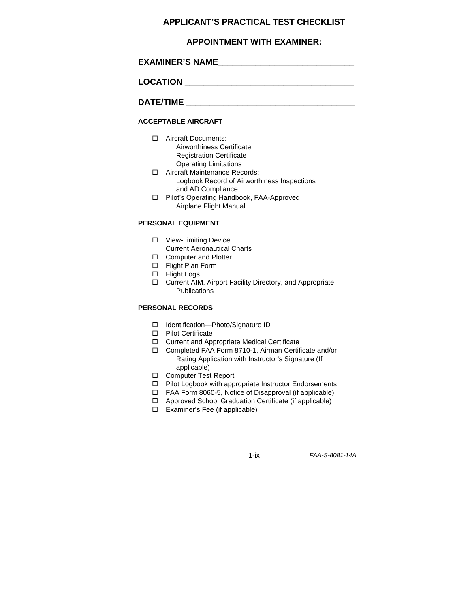### **APPLICANT'S PRACTICAL TEST CHECKLIST**

### **APPOINTMENT WITH EXAMINER:**

# **EXAMINER'S NAME**

**LOCATION \_\_\_\_\_\_\_\_\_\_\_\_\_\_\_\_\_\_\_\_\_\_\_\_\_\_\_\_\_\_\_\_\_\_\_\_**

**DATE/TIME** 

### **ACCEPTABLE AIRCRAFT**

- □ Aircraft Documents: Airworthiness Certificate Registration Certificate
	- Operating Limitations
- □ Aircraft Maintenance Records: Logbook Record of Airworthiness Inspections and AD Compliance
- ! Pilot's Operating Handbook, FAA-Approved Airplane Flight Manual

### **PERSONAL EQUIPMENT**

- □ View-Limiting Device
	- Current Aeronautical Charts
- □ Computer and Plotter
- □ Flight Plan Form
- □ Flight Logs
- ! Current AIM, Airport Facility Directory, and Appropriate **Publications**

### **PERSONAL RECORDS**

- ! Identification—Photo/Signature ID
- □ Pilot Certificate
- □ Current and Appropriate Medical Certificate
- ! Completed FAA Form 8710-1, Airman Certificate and/or Rating Application with Instructor's Signature (If applicable)
- □ Computer Test Report
- ! Pilot Logbook with appropriate Instructor Endorsements
- ! FAA Form 8060-5**,** Notice of Disapproval (if applicable)
- ! Approved School Graduation Certificate (if applicable)
- □ Examiner's Fee (if applicable)

1-ix FAA-S-8081-14A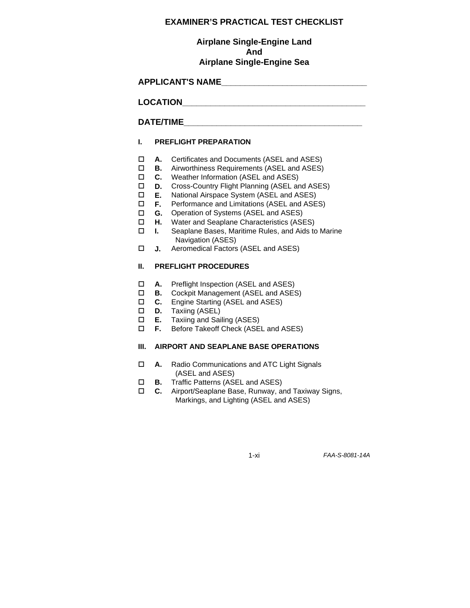### **EXAMINER'S PRACTICAL TEST CHECKLIST**

### **Airplane Single-Engine Land And Airplane Single-Engine Sea**

| <b>APPLICANT'S NAME</b>                   |                                                     |                                                                                                                                                                                                                                                                                                                                                                                                                                                          |  |  |  |
|-------------------------------------------|-----------------------------------------------------|----------------------------------------------------------------------------------------------------------------------------------------------------------------------------------------------------------------------------------------------------------------------------------------------------------------------------------------------------------------------------------------------------------------------------------------------------------|--|--|--|
| <b>LOCATION</b>                           |                                                     |                                                                                                                                                                                                                                                                                                                                                                                                                                                          |  |  |  |
| <b>DATE/TIME</b>                          |                                                     |                                                                                                                                                                                                                                                                                                                                                                                                                                                          |  |  |  |
| <b>PREFLIGHT PREPARATION</b><br>L         |                                                     |                                                                                                                                                                                                                                                                                                                                                                                                                                                          |  |  |  |
| п<br>п<br>П<br>П<br>П<br>$\Box$<br>□<br>П | А.<br>В.<br>D.<br>E.,<br>F.<br>O H.<br>$\mathbf{L}$ | Certificates and Documents (ASEL and ASES)<br>Airworthiness Requirements (ASEL and ASES)<br>C. Weather Information (ASEL and ASES)<br>Cross-Country Flight Planning (ASEL and ASES)<br>National Airspace System (ASEL and ASES)<br>Performance and Limitations (ASEL and ASES)<br><b>G.</b> Operation of Systems (ASEL and ASES)<br>Water and Seaplane Characteristics (ASES)<br>Seaplane Bases, Maritime Rules, and Aids to Marine<br>Navigation (ASES) |  |  |  |
| п                                         | J.                                                  | Aeromedical Factors (ASEL and ASES)                                                                                                                                                                                                                                                                                                                                                                                                                      |  |  |  |
| Ш.                                        |                                                     | <b>PREFLIGHT PROCEDURES</b>                                                                                                                                                                                                                                                                                                                                                                                                                              |  |  |  |
| п<br>п                                    | А.<br>В.                                            | Preflight Inspection (ASEL and ASES)<br>Cockpit Management (ASEL and ASES)                                                                                                                                                                                                                                                                                                                                                                               |  |  |  |

- **C.** Engine Starting (ASEL and ASES)
- ! **D.** Taxiing (ASEL)
- ! **E.** Taxiing and Sailing (ASES)
- ! **F.** Before Takeoff Check (ASEL and ASES)

### **III. AIRPORT AND SEAPLANE BASE OPERATIONS**

- ! **A.** Radio Communications and ATC Light Signals (ASEL and ASES)
- **B.** Traffic Patterns (ASEL and ASES)
- ! **C.** Airport/Seaplane Base, Runway, and Taxiway Signs, Markings, and Lighting (ASEL and ASES)

1-xi FAA-S-8081-14A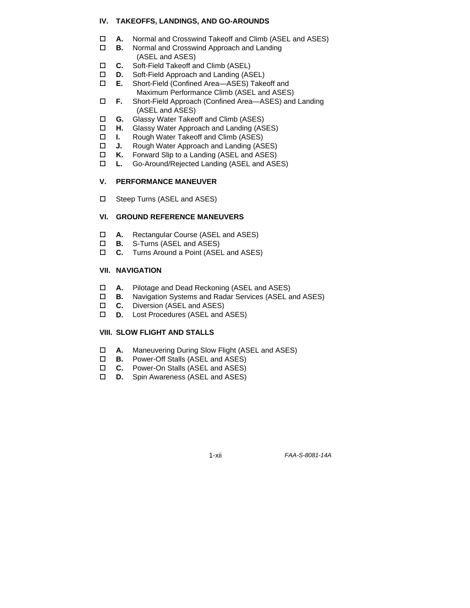### **IV. TAKEOFFS, LANDINGS, AND GO-AROUNDS**

- ! **A.** Normal and Crosswind Takeoff and Climb (ASEL and ASES)
- ! **B.** Normal and Crosswind Approach and Landing (ASEL and ASES)
- ! **C.** Soft-Field Takeoff and Climb (ASEL)
- ! **D.** Soft-Field Approach and Landing (ASEL)
- ! **E.** Short-Field (Confined Area—ASES) Takeoff and Maximum Performance Climb (ASEL and ASES)
- ! **F.** Short-Field Approach (Confined Area—ASES) and Landing (ASEL and ASES)
- ! **G.** Glassy Water Takeoff and Climb (ASES)
- ! **H.** Glassy Water Approach and Landing (ASES)
- ! **I.** Rough Water Takeoff and Climb (ASES)
- ! **J.** Rough Water Approach and Landing (ASES)
- ! **K.** Forward Slip to a Landing (ASEL and ASES)
- ! **L.** Go-Around/Rejected Landing (ASEL and ASES)

### **V. PERFORMANCE MANEUVER**

□ Steep Turns (ASEL and ASES)

### **VI. GROUND REFERENCE MANEUVERS**

- ! **A.** Rectangular Course (ASEL and ASES)
- **B.** S-Turns (ASEL and ASES)
- **C.** Turns Around a Point (ASEL and ASES)

### **VII. NAVIGATION**

- ! **A.** Pilotage and Dead Reckoning (ASEL and ASES)
- ! **B.** Navigation Systems and Radar Services (ASEL and ASES)
- **C.** Diversion (ASEL and ASES)
- **D.** Lost Procedures (ASEL and ASES)

### **VIII. SLOW FLIGHT AND STALLS**

- □ **A.** Maneuvering During Slow Flight (ASEL and ASES)
- **B.** Power-Off Stalls (ASEL and ASES)
- **C.** Power-On Stalls (ASEL and ASES)
- **D.** Spin Awareness (ASEL and ASES)

1-xii FAA-S-8081-14A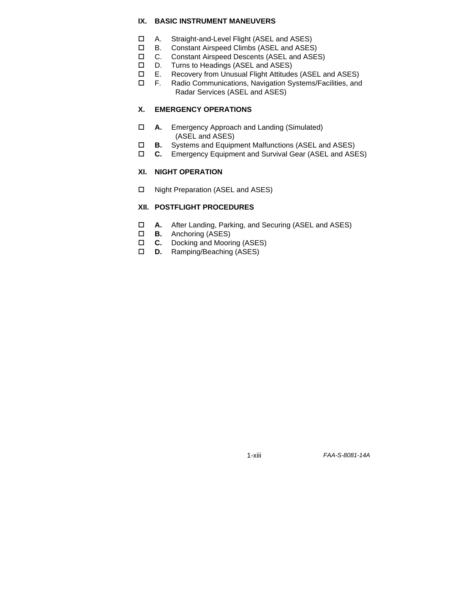### **IX. BASIC INSTRUMENT MANEUVERS**

- □ A. Straight-and-Level Flight (ASEL and ASES)
- □ B. Constant Airspeed Climbs (ASEL and ASES)
- □ C. Constant Airspeed Descents (ASEL and ASES)<br>□ D. Turns to Headings (ASEL and ASES)
- D. Turns to Headings (ASEL and ASES)
- □ E. Recovery from Unusual Flight Attitudes (ASEL and ASES)
- □ F. Radio Communications, Navigation Systems/Facilities, and Radar Services (ASEL and ASES)

### **X. EMERGENCY OPERATIONS**

- **A.** Emergency Approach and Landing (Simulated) (ASEL and ASES)
- ! **B.** Systems and Equipment Malfunctions (ASEL and ASES)
- ! **C.** Emergency Equipment and Survival Gear (ASEL and ASES)

#### **XI. NIGHT OPERATION**

□ Night Preparation (ASEL and ASES)

### **XII. POSTFLIGHT PROCEDURES**

- ! **A.** After Landing, Parking, and Securing (ASEL and ASES)
- **B.** Anchoring (ASES)
- ! **C.** Docking and Mooring (ASES)
- **D.** Ramping/Beaching (ASES)

1-xiii FAA-S-8081-14A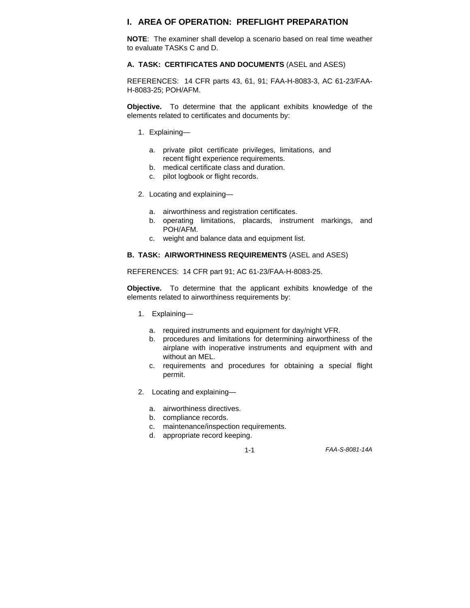### **I. AREA OF OPERATION: PREFLIGHT PREPARATION**

**NOTE**: The examiner shall develop a scenario based on real time weather to evaluate TASKs C and D.

### **A. TASK: CERTIFICATES AND DOCUMENTS** (ASEL and ASES)

REFERENCES: 14 CFR parts 43, 61, 91; FAA-H-8083-3, AC 61-23/FAA-H-8083-25; POH/AFM.

**Objective.** To determine that the applicant exhibits knowledge of the elements related to certificates and documents by:

- 1. Explaining
	- a. private pilot certificate privileges, limitations, and recent flight experience requirements.
	- b. medical certificate class and duration.
	- c. pilot logbook or flight records.
- 2. Locating and explaining
	- a. airworthiness and registration certificates.
	- b. operating limitations, placards, instrument markings, and POH/AFM.
	- c. weight and balance data and equipment list.

### **B. TASK: AIRWORTHINESS REQUIREMENTS** (ASEL and ASES)

REFERENCES: 14 CFR part 91; AC 61-23/FAA-H-8083-25.

**Objective.** To determine that the applicant exhibits knowledge of the elements related to airworthiness requirements by:

- 1. Explaining
	- a. required instruments and equipment for day/night VFR.
	- b. procedures and limitations for determining airworthiness of the airplane with inoperative instruments and equipment with and without an MEL.
	- c. requirements and procedures for obtaining a special flight permit.
- 2. Locating and explaining
	- a. airworthiness directives.
	- b. compliance records.
	- c. maintenance/inspection requirements.
	- d. appropriate record keeping.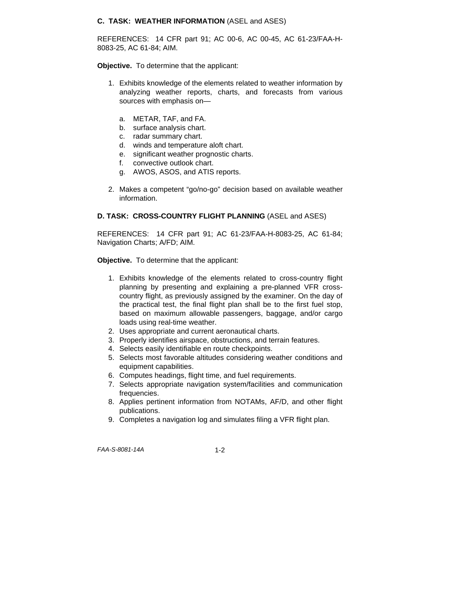### **C. TASK: WEATHER INFORMATION** (ASEL and ASES)

REFERENCES: 14 CFR part 91; AC 00-6, AC 00-45, AC 61-23/FAA-H-8083-25, AC 61-84; AIM.

**Objective.** To determine that the applicant:

- 1. Exhibits knowledge of the elements related to weather information by analyzing weather reports, charts, and forecasts from various sources with emphasis on
	- a. METAR, TAF, and FA.
	- b. surface analysis chart.
	- c. radar summary chart.
	- d. winds and temperature aloft chart.
	- e. significant weather prognostic charts.
	- f. convective outlook chart.
	- g. AWOS, ASOS, and ATIS reports.
- 2. Makes a competent "go/no-go" decision based on available weather information.

### **D. TASK: CROSS-COUNTRY FLIGHT PLANNING** (ASEL and ASES)

REFERENCES: 14 CFR part 91; AC 61-23/FAA-H-8083-25, AC 61-84; Navigation Charts; A/FD; AIM.

**Objective.** To determine that the applicant:

- 1. Exhibits knowledge of the elements related to cross-country flight planning by presenting and explaining a pre-planned VFR crosscountry flight, as previously assigned by the examiner. On the day of the practical test, the final flight plan shall be to the first fuel stop, based on maximum allowable passengers, baggage, and/or cargo loads using real-time weather.
- 2. Uses appropriate and current aeronautical charts.
- 3. Properly identifies airspace, obstructions, and terrain features.
- 4. Selects easily identifiable en route checkpoints.
- 5. Selects most favorable altitudes considering weather conditions and equipment capabilities.
- 6. Computes headings, flight time, and fuel requirements.
- 7. Selects appropriate navigation system/facilities and communication frequencies.
- 8. Applies pertinent information from NOTAMs, AF/D, and other flight publications.
- 9. Completes a navigation log and simulates filing a VFR flight plan.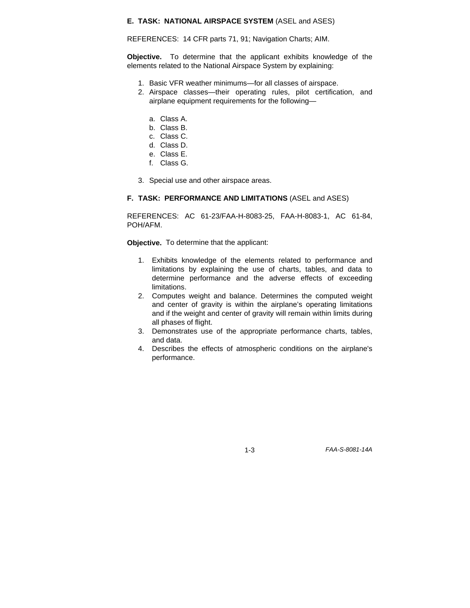#### **E. TASK: NATIONAL AIRSPACE SYSTEM** (ASEL and ASES)

REFERENCES: 14 CFR parts 71, 91; Navigation Charts; AIM.

**Objective.** To determine that the applicant exhibits knowledge of the elements related to the National Airspace System by explaining:

- 1. Basic VFR weather minimums—for all classes of airspace.
- 2. Airspace classes—their operating rules, pilot certification, and airplane equipment requirements for the following
	- a. Class A.
	- b. Class B.
	- c. Class C.
	- d. Class D.
	- e. Class E.
	- f. Class G.
- 3. Special use and other airspace areas.

#### **F. TASK: PERFORMANCE AND LIMITATIONS** (ASEL and ASES)

REFERENCES: AC 61-23/FAA-H-8083-25, FAA-H-8083-1, AC 61-84, POH/AFM.

**Objective.** To determine that the applicant:

- 1. Exhibits knowledge of the elements related to performance and limitations by explaining the use of charts, tables, and data to determine performance and the adverse effects of exceeding limitations.
- 2. Computes weight and balance. Determines the computed weight and center of gravity is within the airplane's operating limitations and if the weight and center of gravity will remain within limits during all phases of flight.
- 3. Demonstrates use of the appropriate performance charts, tables, and data.
- 4. Describes the effects of atmospheric conditions on the airplane's performance.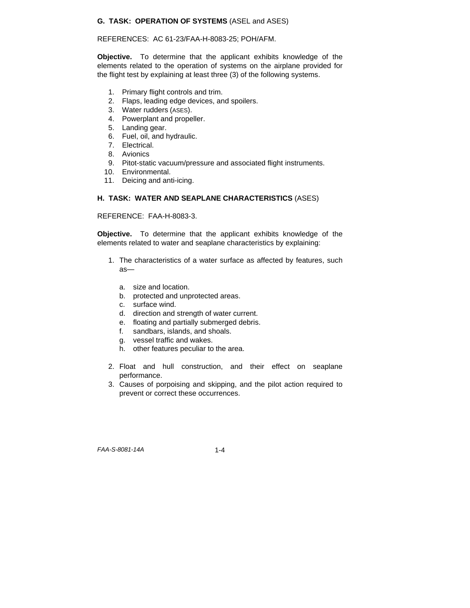### **G. TASK: OPERATION OF SYSTEMS** (ASEL and ASES)

### REFERENCES: AC 61-23/FAA-H-8083-25; POH/AFM.

**Objective.** To determine that the applicant exhibits knowledge of the elements related to the operation of systems on the airplane provided for the flight test by explaining at least three (3) of the following systems.

- 1. Primary flight controls and trim.
- 2. Flaps, leading edge devices, and spoilers.
- 3. Water rudders (ASES).
- 4. Powerplant and propeller.
- 5. Landing gear.
- 6. Fuel, oil, and hydraulic.
- 7. Electrical.
- 8. Avionics
- 9. Pitot-static vacuum/pressure and associated flight instruments.
- 10. Environmental.
- 11. Deicing and anti-icing.

### **H. TASK: WATER AND SEAPLANE CHARACTERISTICS** (ASES)

### REFERENCE: FAA-H-8083-3.

**Objective.** To determine that the applicant exhibits knowledge of the elements related to water and seaplane characteristics by explaining:

- 1. The characteristics of a water surface as affected by features, such as
	- a. size and location.
	- b. protected and unprotected areas.
	- c. surface wind.
	- d. direction and strength of water current.
	- e. floating and partially submerged debris.
	- f. sandbars, islands, and shoals.
	- g. vessel traffic and wakes.
	- h. other features peculiar to the area.
- 2. Float and hull construction, and their effect on seaplane performance.
- 3. Causes of porpoising and skipping, and the pilot action required to prevent or correct these occurrences.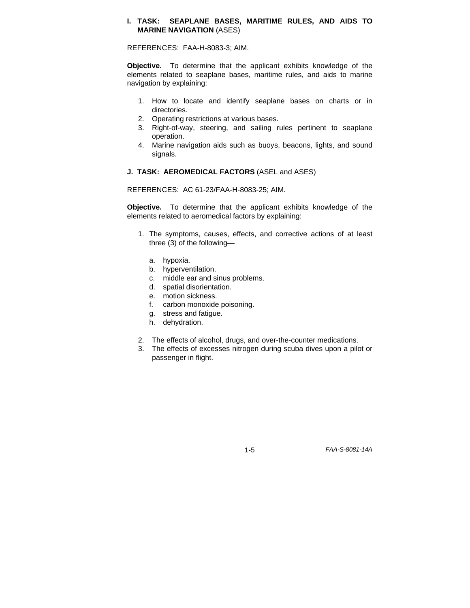### **I. TASK: SEAPLANE BASES, MARITIME RULES, AND AIDS TO MARINE NAVIGATION** (ASES)

REFERENCES: FAA-H-8083-3; AIM.

**Objective.** To determine that the applicant exhibits knowledge of the elements related to seaplane bases, maritime rules, and aids to marine navigation by explaining:

- 1. How to locate and identify seaplane bases on charts or in directories.
- 2. Operating restrictions at various bases.
- 3. Right-of-way, steering, and sailing rules pertinent to seaplane operation.
- 4. Marine navigation aids such as buoys, beacons, lights, and sound signals.

#### **J. TASK: AEROMEDICAL FACTORS** (ASEL and ASES)

REFERENCES: AC 61-23/FAA-H-8083-25; AIM.

**Objective.** To determine that the applicant exhibits knowledge of the elements related to aeromedical factors by explaining:

- 1. The symptoms, causes, effects, and corrective actions of at least three (3) of the following
	- a. hypoxia.
	- b. hyperventilation.
	- c. middle ear and sinus problems.
	- d. spatial disorientation.
	- e. motion sickness.
	- f. carbon monoxide poisoning.
	- g. stress and fatigue.
	- h. dehydration.
- 2. The effects of alcohol, drugs, and over-the-counter medications.
- 3. The effects of excesses nitrogen during scuba dives upon a pilot or passenger in flight.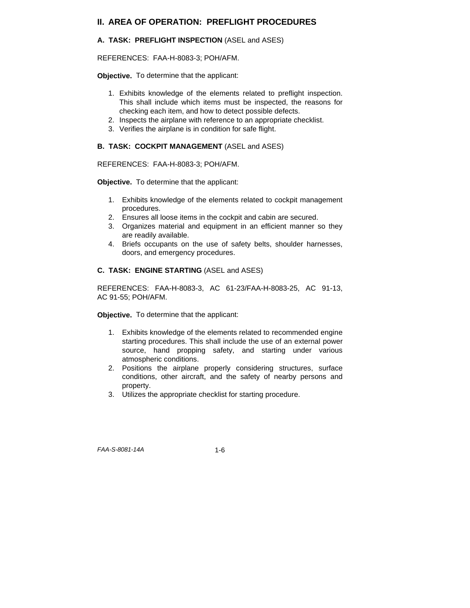## **II. AREA OF OPERATION: PREFLIGHT PROCEDURES**

## **A. TASK: PREFLIGHT INSPECTION** (ASEL and ASES)

REFERENCES: FAA-H-8083-3; POH/AFM.

**Objective.** To determine that the applicant:

- 1. Exhibits knowledge of the elements related to preflight inspection. This shall include which items must be inspected, the reasons for checking each item, and how to detect possible defects.
- 2. Inspects the airplane with reference to an appropriate checklist.
- 3. Verifies the airplane is in condition for safe flight.

#### **B. TASK: COCKPIT MANAGEMENT** (ASEL and ASES)

REFERENCES: FAA-H-8083-3; POH/AFM.

**Objective.** To determine that the applicant:

- 1. Exhibits knowledge of the elements related to cockpit management procedures.
- 2. Ensures all loose items in the cockpit and cabin are secured.
- 3. Organizes material and equipment in an efficient manner so they are readily available.
- 4. Briefs occupants on the use of safety belts, shoulder harnesses, doors, and emergency procedures.

#### **C. TASK: ENGINE STARTING** (ASEL and ASES)

REFERENCES: FAA-H-8083-3, AC 61-23/FAA-H-8083-25, AC 91-13, AC 91-55; POH/AFM.

**Objective.** To determine that the applicant:

- 1. Exhibits knowledge of the elements related to recommended engine starting procedures. This shall include the use of an external power source, hand propping safety, and starting under various atmospheric conditions.
- 2. Positions the airplane properly considering structures, surface conditions, other aircraft, and the safety of nearby persons and property.
- 3. Utilizes the appropriate checklist for starting procedure.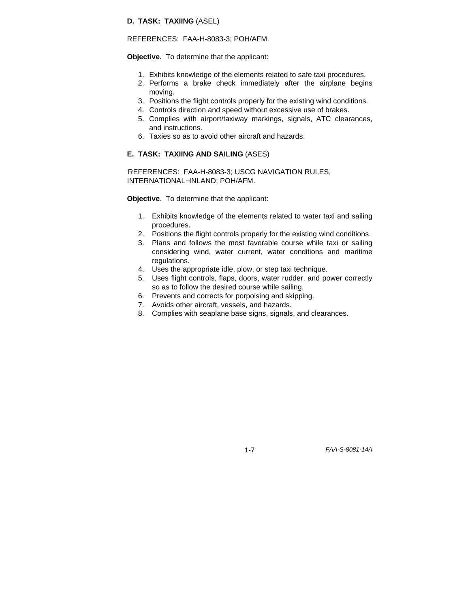#### **D. TASK: TAXIING** (ASEL)

REFERENCES: FAA-H-8083-3; POH/AFM.

**Objective.** To determine that the applicant:

- 1. Exhibits knowledge of the elements related to safe taxi procedures.
- 2. Performs a brake check immediately after the airplane begins moving.
- 3. Positions the flight controls properly for the existing wind conditions.
- 4. Controls direction and speed without excessive use of brakes.
- 5. Complies with airport/taxiway markings, signals, ATC clearances, and instructions.
- 6. Taxies so as to avoid other aircraft and hazards.

#### **E. TASK: TAXIING AND SAILING** (ASES)

REFERENCES: FAA-H-8083-3; USCG NAVIGATION RULES, INTERNATIONAL−INLAND; POH/AFM.

**Objective**. To determine that the applicant:

- 1. Exhibits knowledge of the elements related to water taxi and sailing procedures.
- 2. Positions the flight controls properly for the existing wind conditions.
- 3. Plans and follows the most favorable course while taxi or sailing considering wind, water current, water conditions and maritime regulations.
- 4. Uses the appropriate idle, plow, or step taxi technique.
- 5. Uses flight controls, flaps, doors, water rudder, and power correctly so as to follow the desired course while sailing.
- 6. Prevents and corrects for porpoising and skipping.
- 7. Avoids other aircraft, vessels, and hazards.
- 8. Complies with seaplane base signs, signals, and clearances.

1-7 FAA-S-8081-14A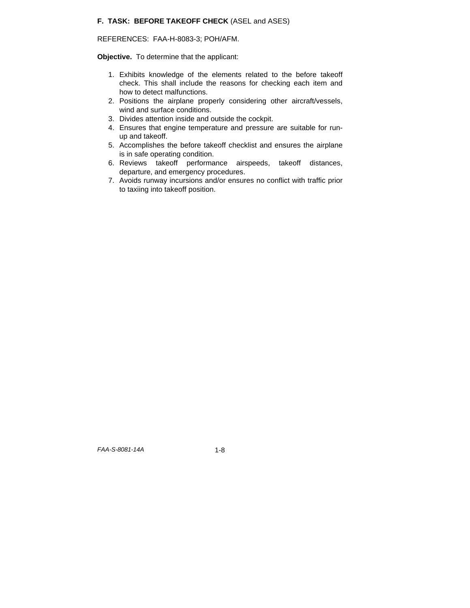### **F. TASK: BEFORE TAKEOFF CHECK** (ASEL and ASES)

REFERENCES: FAA-H-8083-3; POH/AFM.

**Objective.** To determine that the applicant:

- 1. Exhibits knowledge of the elements related to the before takeoff check. This shall include the reasons for checking each item and how to detect malfunctions.
- 2. Positions the airplane properly considering other aircraft/vessels, wind and surface conditions.
- 3. Divides attention inside and outside the cockpit.
- 4. Ensures that engine temperature and pressure are suitable for runup and takeoff.
- 5. Accomplishes the before takeoff checklist and ensures the airplane is in safe operating condition.
- 6. Reviews takeoff performance airspeeds, takeoff distances, departure, and emergency procedures.
- 7. Avoids runway incursions and/or ensures no conflict with traffic prior to taxiing into takeoff position.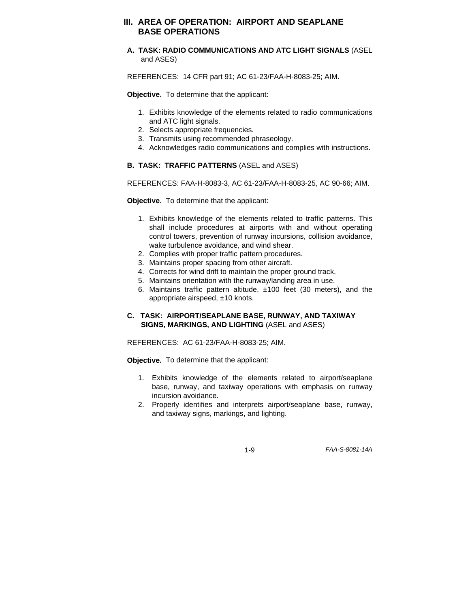## **III. AREA OF OPERATION: AIRPORT AND SEAPLANE BASE OPERATIONS**

#### **A. TASK: RADIO COMMUNICATIONS AND ATC LIGHT SIGNALS** (ASEL and ASES)

REFERENCES: 14 CFR part 91; AC 61-23/FAA-H-8083-25; AIM.

**Objective.** To determine that the applicant:

- 1. Exhibits knowledge of the elements related to radio communications and ATC light signals.
- 2. Selects appropriate frequencies.
- 3. Transmits using recommended phraseology.
- 4. Acknowledges radio communications and complies with instructions.

#### **B. TASK: TRAFFIC PATTERNS** (ASEL and ASES)

REFERENCES: FAA-H-8083-3, AC 61-23/FAA-H-8083-25, AC 90-66; AIM.

**Objective.** To determine that the applicant:

- 1. Exhibits knowledge of the elements related to traffic patterns. This shall include procedures at airports with and without operating control towers, prevention of runway incursions, collision avoidance, wake turbulence avoidance, and wind shear.
- 2. Complies with proper traffic pattern procedures.
- 3. Maintains proper spacing from other aircraft.
- 4. Corrects for wind drift to maintain the proper ground track.
- 5. Maintains orientation with the runway/landing area in use.
- 6. Maintains traffic pattern altitude,  $\pm 100$  feet (30 meters), and the appropriate airspeed, ±10 knots.

#### **C. TASK: AIRPORT/SEAPLANE BASE, RUNWAY, AND TAXIWAY SIGNS, MARKINGS, AND LIGHTING** (ASEL and ASES)

REFERENCES: AC 61-23/FAA-H-8083-25; AIM.

**Objective.** To determine that the applicant:

- 1. Exhibits knowledge of the elements related to airport/seaplane base, runway, and taxiway operations with emphasis on runway incursion avoidance.
- 2. Properly identifies and interprets airport/seaplane base, runway, and taxiway signs, markings, and lighting.

1-9 FAA-S-8081-14A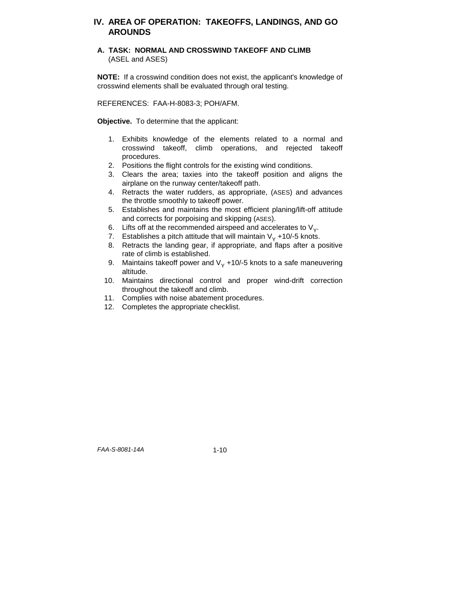## **IV. AREA OF OPERATION: TAKEOFFS, LANDINGS, AND GO AROUNDS**

#### **A. TASK: NORMAL AND CROSSWIND TAKEOFF AND CLIMB** (ASEL and ASES)

**NOTE:** If a crosswind condition does not exist, the applicant's knowledge of crosswind elements shall be evaluated through oral testing.

REFERENCES: FAA-H-8083-3; POH/AFM.

**Objective.** To determine that the applicant:

- 1. Exhibits knowledge of the elements related to a normal and crosswind takeoff, climb operations, and rejected takeoff procedures.
- 2. Positions the flight controls for the existing wind conditions.
- 3. Clears the area; taxies into the takeoff position and aligns the airplane on the runway center/takeoff path.
- 4. Retracts the water rudders, as appropriate, (ASES) and advances the throttle smoothly to takeoff power.
- 5. Establishes and maintains the most efficient planing/lift-off attitude and corrects for porpoising and skipping (ASES).
- 6. Lifts off at the recommended airspeed and accelerates to  $V_{Y}$ .
- 7. Establishes a pitch attitude that will maintain  $V_v$  +10/-5 knots.
- 8. Retracts the landing gear, if appropriate, and flaps after a positive rate of climb is established.
- 9. Maintains takeoff power and  $V_v$  +10/-5 knots to a safe maneuvering altitude.
- 10. Maintains directional control and proper wind-drift correction throughout the takeoff and climb.
- 11. Complies with noise abatement procedures.
- 12. Completes the appropriate checklist.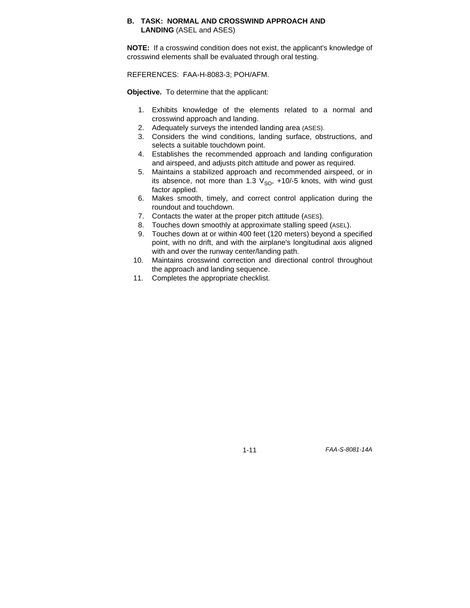#### **B. TASK: NORMAL AND CROSSWIND APPROACH AND LANDING** (ASEL and ASES)

**NOTE:** If a crosswind condition does not exist, the applicant's knowledge of crosswind elements shall be evaluated through oral testing.

REFERENCES: FAA-H-8083-3; POH/AFM.

**Objective.** To determine that the applicant:

- 1. Exhibits knowledge of the elements related to a normal and crosswind approach and landing.
- 2. Adequately surveys the intended landing area (ASES).
- 3. Considers the wind conditions, landing surface, obstructions, and selects a suitable touchdown point.
- 4. Establishes the recommended approach and landing configuration and airspeed, and adjusts pitch attitude and power as required.
- 5. Maintains a stabilized approach and recommended airspeed, or in its absence, not more than 1.3  $V_{SO}$ , +10/-5 knots, with wind gust factor applied.
- 6. Makes smooth, timely, and correct control application during the roundout and touchdown.
- 7. Contacts the water at the proper pitch attitude (ASES).
- 8. Touches down smoothly at approximate stalling speed (ASEL).
- 9. Touches down at or within 400 feet (120 meters) beyond a specified point, with no drift, and with the airplane's longitudinal axis aligned with and over the runway center/landing path.
- 10. Maintains crosswind correction and directional control throughout the approach and landing sequence.
- 11. Completes the appropriate checklist.

1-11 FAA-S-8081-14A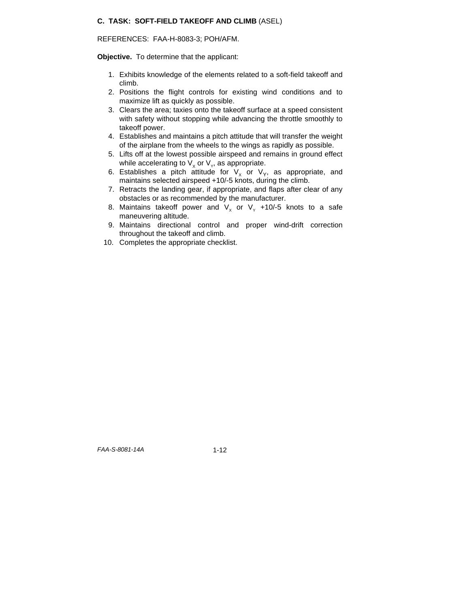#### **C. TASK: SOFT-FIELD TAKEOFF AND CLIMB** (ASEL)

REFERENCES: FAA-H-8083-3; POH/AFM.

**Objective.** To determine that the applicant:

- 1. Exhibits knowledge of the elements related to a soft-field takeoff and climb.
- 2. Positions the flight controls for existing wind conditions and to maximize lift as quickly as possible.
- 3. Clears the area; taxies onto the takeoff surface at a speed consistent with safety without stopping while advancing the throttle smoothly to takeoff power.
- 4. Establishes and maintains a pitch attitude that will transfer the weight of the airplane from the wheels to the wings as rapidly as possible.
- 5. Lifts off at the lowest possible airspeed and remains in ground effect while accelerating to  $V_x$  or  $V_y$ , as appropriate.
- 6. Establishes a pitch attitude for  $V_x$  or  $V_y$ , as appropriate, and maintains selected airspeed +10/-5 knots, during the climb.
- 7. Retracts the landing gear, if appropriate, and flaps after clear of any obstacles or as recommended by the manufacturer.
- 8. Maintains takeoff power and  $V_x$  or  $V_y$  +10/-5 knots to a safe maneuvering altitude.
- 9. Maintains directional control and proper wind-drift correction throughout the takeoff and climb.
- 10. Completes the appropriate checklist.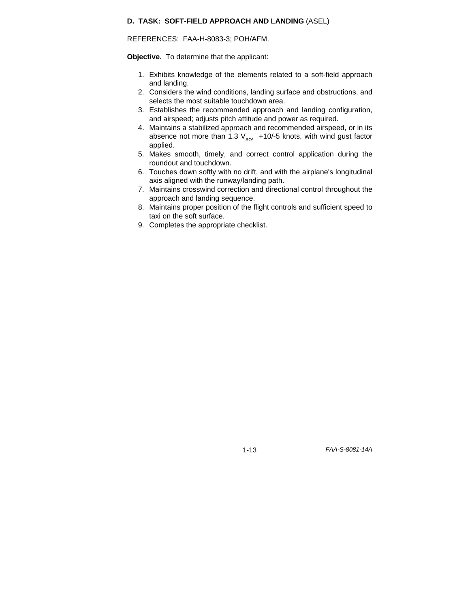#### **D. TASK: SOFT-FIELD APPROACH AND LANDING** (ASEL)

REFERENCES: FAA-H-8083-3; POH/AFM.

**Objective.** To determine that the applicant:

- 1. Exhibits knowledge of the elements related to a soft-field approach and landing.
- 2. Considers the wind conditions, landing surface and obstructions, and selects the most suitable touchdown area.
- 3. Establishes the recommended approach and landing configuration, and airspeed; adjusts pitch attitude and power as required.
- 4. Maintains a stabilized approach and recommended airspeed, or in its absence not more than 1.3  $V_{\text{SO}}$ , +10/-5 knots, with wind gust factor applied.
- 5. Makes smooth, timely, and correct control application during the roundout and touchdown.
- 6. Touches down softly with no drift, and with the airplane's longitudinal axis aligned with the runway/landing path.
- 7. Maintains crosswind correction and directional control throughout the approach and landing sequence.
- 8. Maintains proper position of the flight controls and sufficient speed to taxi on the soft surface.
- 9. Completes the appropriate checklist.

1-13 FAA-S-8081-14A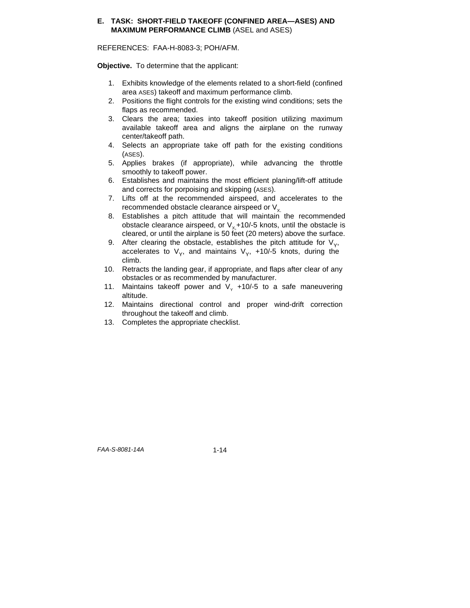#### **E. TASK: SHORT-FIELD TAKEOFF (CONFINED AREA—ASES) AND MAXIMUM PERFORMANCE CLIMB** (ASEL and ASES)

REFERENCES: FAA-H-8083-3; POH/AFM.

**Objective.** To determine that the applicant:

- 1. Exhibits knowledge of the elements related to a short-field (confined area ASES) takeoff and maximum performance climb.
- 2. Positions the flight controls for the existing wind conditions; sets the flaps as recommended.
- 3. Clears the area; taxies into takeoff position utilizing maximum available takeoff area and aligns the airplane on the runway center/takeoff path.
- 4. Selects an appropriate take off path for the existing conditions (ASES).
- 5. Applies brakes (if appropriate), while advancing the throttle smoothly to takeoff power.
- 6. Establishes and maintains the most efficient planing/lift-off attitude and corrects for porpoising and skipping (ASES).
- 7. Lifts off at the recommended airspeed, and accelerates to the recommended obstacle clearance airspeed or  $V_{x}$
- 8. Establishes a pitch attitude that will maintain the recommended obstacle clearance airspeed, or  $\mathsf{V}_{\mathsf{x},\mathsf{+}}$ 10/-5 knots, until the obstacle is cleared, or until the airplane is 50 feet (20 meters) above the surface.
- 9. After clearing the obstacle, establishes the pitch attitude for  $V_v$ , accelerates to  $V_{Y}$ , and maintains  $V_{Y}$ , +10/-5 knots, during the climb.
- 10. Retracts the landing gear, if appropriate, and flaps after clear of any obstacles or as recommended by manufacturer.
- 11. Maintains takeoff power and  $V_y$  +10/-5 to a safe maneuvering altitude.
- 12. Maintains directional control and proper wind-drift correction throughout the takeoff and climb.
- 13. Completes the appropriate checklist.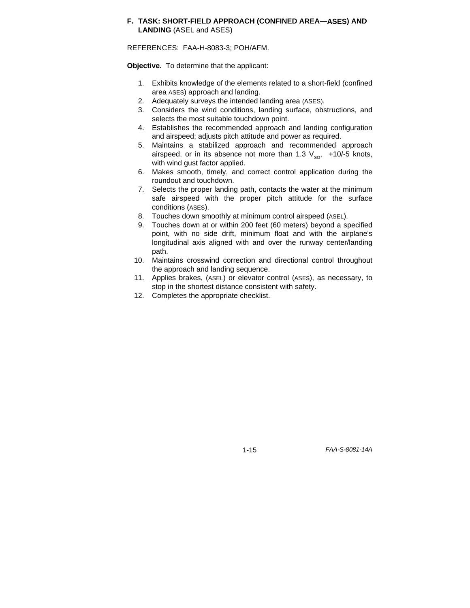#### **F. TASK: SHORT-FIELD APPROACH (CONFINED AREA—ASES) AND LANDING** (ASEL and ASES)

REFERENCES: FAA-H-8083-3; POH/AFM.

**Objective.** To determine that the applicant:

- 1. Exhibits knowledge of the elements related to a short-field (confined area ASES) approach and landing.
- 2. Adequately surveys the intended landing area (ASES).
- 3. Considers the wind conditions, landing surface, obstructions, and selects the most suitable touchdown point.
- 4. Establishes the recommended approach and landing configuration and airspeed; adjusts pitch attitude and power as required.
- 5. Maintains a stabilized approach and recommended approach airspeed, or in its absence not more than 1.3  $V_{\rm so}$ , +10/-5 knots, with wind gust factor applied.
- 6. Makes smooth, timely, and correct control application during the roundout and touchdown.
- 7. Selects the proper landing path, contacts the water at the minimum safe airspeed with the proper pitch attitude for the surface conditions (ASES).
- 8. Touches down smoothly at minimum control airspeed (ASEL).
- 9. Touches down at or within 200 feet (60 meters) beyond a specified point, with no side drift, minimum float and with the airplane's longitudinal axis aligned with and over the runway center/landing path.
- 10. Maintains crosswind correction and directional control throughout the approach and landing sequence.
- 11. Applies brakes, (ASEL) or elevator control (ASEs), as necessary, to stop in the shortest distance consistent with safety.
- 12. Completes the appropriate checklist.

1-15 FAA-S-8081-14A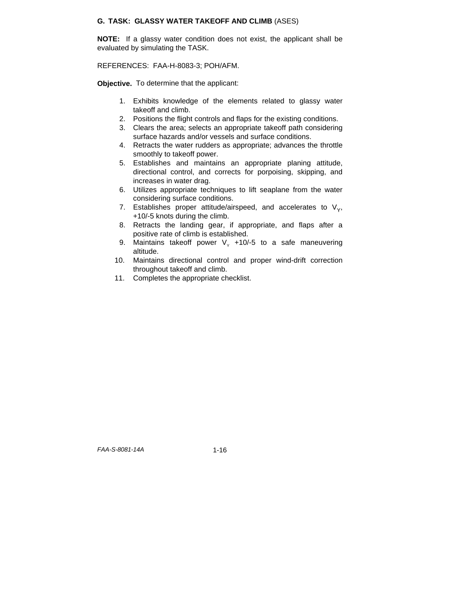#### **G. TASK: GLASSY WATER TAKEOFF AND CLIMB** (ASES)

**NOTE:** If a glassy water condition does not exist, the applicant shall be evaluated by simulating the TASK.

REFERENCES: FAA-H-8083-3; POH/AFM.

**Objective.** To determine that the applicant:

- 1. Exhibits knowledge of the elements related to glassy water takeoff and climb.
- 2. Positions the flight controls and flaps for the existing conditions.
- 3. Clears the area; selects an appropriate takeoff path considering surface hazards and/or vessels and surface conditions.
- 4. Retracts the water rudders as appropriate; advances the throttle smoothly to takeoff power.
- 5. Establishes and maintains an appropriate planing attitude, directional control, and corrects for porpoising, skipping, and increases in water drag.
- 6. Utilizes appropriate techniques to lift seaplane from the water considering surface conditions.
- 7. Establishes proper attitude/airspeed, and accelerates to  $V_v$ , +10/-5 knots during the climb.
- 8. Retracts the landing gear, if appropriate, and flaps after a positive rate of climb is established.
- 9. Maintains takeoff power  $V_v$  +10/-5 to a safe maneuvering altitude.
- 10. Maintains directional control and proper wind-drift correction throughout takeoff and climb.
- 11. Completes the appropriate checklist.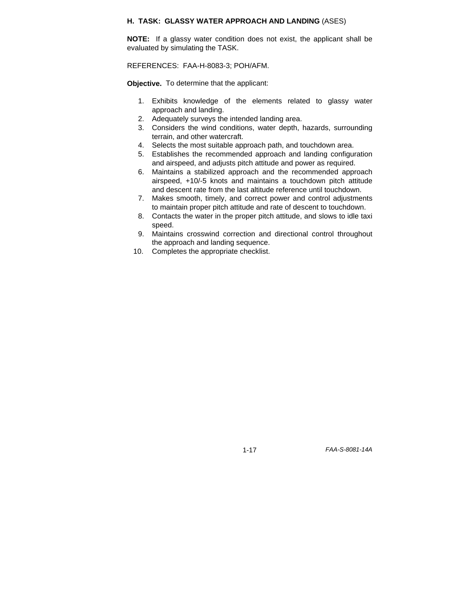#### **H. TASK: GLASSY WATER APPROACH AND LANDING** (ASES)

**NOTE:** If a glassy water condition does not exist, the applicant shall be evaluated by simulating the TASK.

REFERENCES: FAA-H-8083-3; POH/AFM.

**Objective.** To determine that the applicant:

- 1. Exhibits knowledge of the elements related to glassy water approach and landing.
- 2. Adequately surveys the intended landing area.
- 3. Considers the wind conditions, water depth, hazards, surrounding terrain, and other watercraft.
- 4. Selects the most suitable approach path, and touchdown area.
- 5. Establishes the recommended approach and landing configuration and airspeed, and adjusts pitch attitude and power as required.
- 6. Maintains a stabilized approach and the recommended approach airspeed, +10/-5 knots and maintains a touchdown pitch attitude and descent rate from the last altitude reference until touchdown.
- 7. Makes smooth, timely, and correct power and control adjustments to maintain proper pitch attitude and rate of descent to touchdown.
- 8. Contacts the water in the proper pitch attitude, and slows to idle taxi speed.
- 9. Maintains crosswind correction and directional control throughout the approach and landing sequence.
- 10. Completes the appropriate checklist.

1-17 FAA-S-8081-14A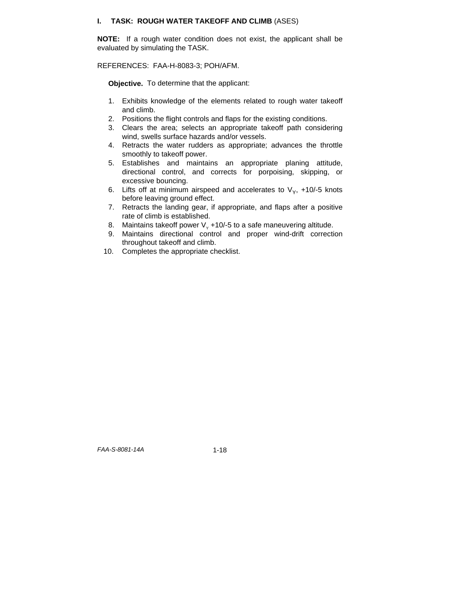#### **I. TASK: ROUGH WATER TAKEOFF AND CLIMB** (ASES)

**NOTE:** If a rough water condition does not exist, the applicant shall be evaluated by simulating the TASK.

REFERENCES: FAA-H-8083-3; POH/AFM.

**Objective.** To determine that the applicant:

- 1. Exhibits knowledge of the elements related to rough water takeoff and climb.
- 2. Positions the flight controls and flaps for the existing conditions.
- 3. Clears the area; selects an appropriate takeoff path considering wind, swells surface hazards and/or vessels.
- 4. Retracts the water rudders as appropriate; advances the throttle smoothly to takeoff power.
- 5. Establishes and maintains an appropriate planing attitude, directional control, and corrects for porpoising, skipping, or excessive bouncing.
- 6. Lifts off at minimum airspeed and accelerates to  $V_{y}$ , +10/-5 knots before leaving ground effect.
- 7. Retracts the landing gear, if appropriate, and flaps after a positive rate of climb is established.
- 8. Maintains takeoff power  $V_y + 10/-5$  to a safe maneuvering altitude.
- 9. Maintains directional control and proper wind-drift correction throughout takeoff and climb.
- 10. Completes the appropriate checklist.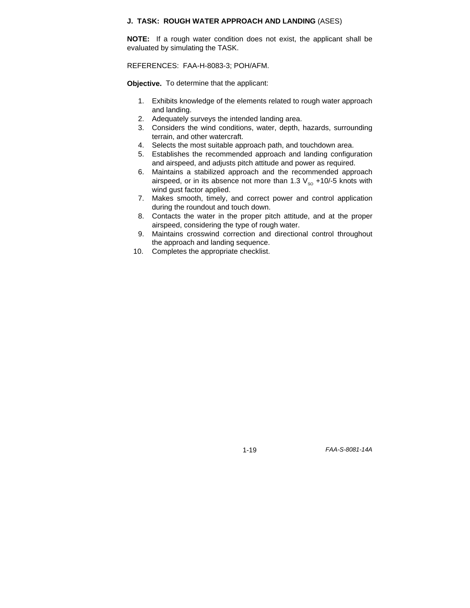#### **J. TASK: ROUGH WATER APPROACH AND LANDING** (ASES)

**NOTE:** If a rough water condition does not exist, the applicant shall be evaluated by simulating the TASK.

REFERENCES: FAA-H-8083-3; POH/AFM.

**Objective.** To determine that the applicant:

- 1. Exhibits knowledge of the elements related to rough water approach and landing.
- 2. Adequately surveys the intended landing area.
- 3. Considers the wind conditions, water, depth, hazards, surrounding terrain, and other watercraft.
- 4. Selects the most suitable approach path, and touchdown area.
- 5. Establishes the recommended approach and landing configuration and airspeed, and adjusts pitch attitude and power as required.
- 6. Maintains a stabilized approach and the recommended approach airspeed, or in its absence not more than 1.3  $V_{\rm so}$  +10/-5 knots with wind gust factor applied.
- 7. Makes smooth, timely, and correct power and control application during the roundout and touch down.
- 8. Contacts the water in the proper pitch attitude, and at the proper airspeed, considering the type of rough water.
- 9. Maintains crosswind correction and directional control throughout the approach and landing sequence.
- 10. Completes the appropriate checklist.

1-19 FAA-S-8081-14A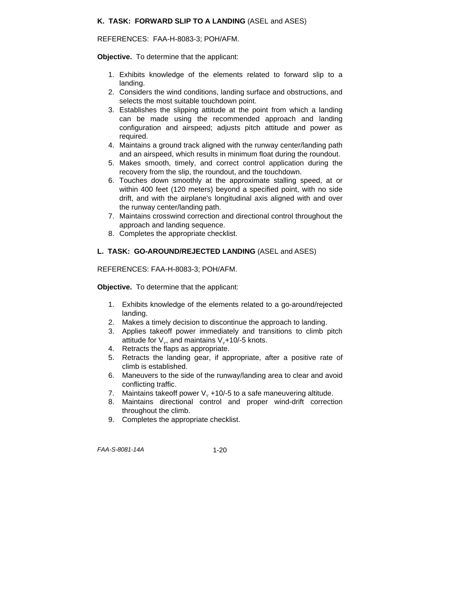#### **K. TASK: FORWARD SLIP TO A LANDING** (ASEL and ASES)

REFERENCES: FAA-H-8083-3; POH/AFM.

**Objective.** To determine that the applicant:

- 1. Exhibits knowledge of the elements related to forward slip to a landing.
- 2. Considers the wind conditions, landing surface and obstructions, and selects the most suitable touchdown point.
- 3. Establishes the slipping attitude at the point from which a landing can be made using the recommended approach and landing configuration and airspeed; adjusts pitch attitude and power as required.
- 4. Maintains a ground track aligned with the runway center/landing path and an airspeed, which results in minimum float during the roundout.
- 5. Makes smooth, timely, and correct control application during the recovery from the slip, the roundout, and the touchdown.
- 6. Touches down smoothly at the approximate stalling speed, at or within 400 feet (120 meters) beyond a specified point, with no side drift, and with the airplane's longitudinal axis aligned with and over the runway center/landing path.
- 7. Maintains crosswind correction and directional control throughout the approach and landing sequence.
- 8. Completes the appropriate checklist.

#### **L. TASK: GO-AROUND/REJECTED LANDING** (ASEL and ASES)

REFERENCES: FAA-H-8083-3; POH/AFM.

**Objective.** To determine that the applicant:

- 1. Exhibits knowledge of the elements related to a go-around/rejected landing.
- 2. Makes a timely decision to discontinue the approach to landing.
- 3. Applies takeoff power immediately and transitions to climb pitch attitude for  $V_y$ , and maintains  $V_y + 10/5$  knots.
- 4. Retracts the flaps as appropriate.
- 5. Retracts the landing gear, if appropriate, after a positive rate of climb is established.
- 6. Maneuvers to the side of the runway/landing area to clear and avoid conflicting traffic.
- 7. Maintains takeoff power  $V_y + 10/5$  to a safe maneuvering altitude.
- 8. Maintains directional control and proper wind-drift correction throughout the climb.
- 9. Completes the appropriate checklist.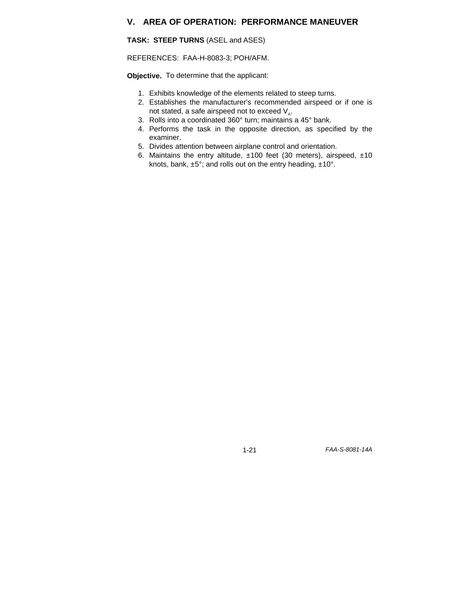## **V. AREA OF OPERATION: PERFORMANCE MANEUVER**

#### **TASK: STEEP TURNS** (ASEL and ASES)

REFERENCES: FAA-H-8083-3; POH/AFM.

**Objective.** To determine that the applicant:

- 1. Exhibits knowledge of the elements related to steep turns.
- 2. Establishes the manufacturer's recommended airspeed or if one is not stated, a safe airspeed not to exceed  $V_{\alpha}$ .
- 3. Rolls into a coordinated 360° turn; maintains a 45° bank.
- 4. Performs the task in the opposite direction, as specified by the examiner.
- 5. Divides attention between airplane control and orientation.
- 6. Maintains the entry altitude,  $\pm 100$  feet (30 meters), airspeed,  $\pm 10$ knots, bank,  $\pm 5^{\circ}$ ; and rolls out on the entry heading,  $\pm 10^{\circ}$ .

1-21 FAA-S-8081-14A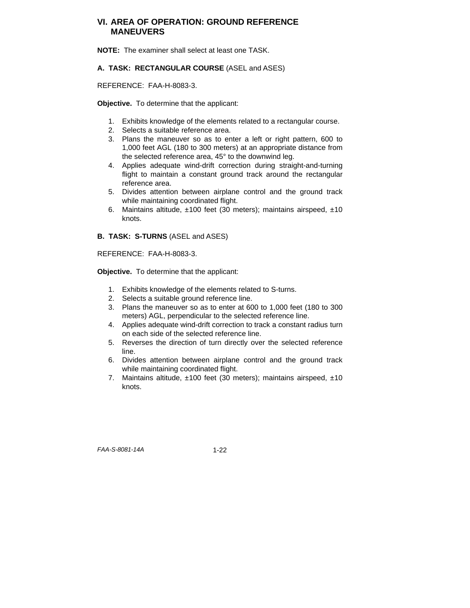## **VI. AREA OF OPERATION: GROUND REFERENCE MANEUVERS**

**NOTE:** The examiner shall select at least one TASK.

#### **A. TASK: RECTANGULAR COURSE** (ASEL and ASES)

REFERENCE: FAA-H-8083-3.

**Objective.** To determine that the applicant:

- 1. Exhibits knowledge of the elements related to a rectangular course.
- 2. Selects a suitable reference area.
- 3. Plans the maneuver so as to enter a left or right pattern, 600 to 1,000 feet AGL (180 to 300 meters) at an appropriate distance from the selected reference area, 45° to the downwind leg.
- 4. Applies adequate wind-drift correction during straight-and-turning flight to maintain a constant ground track around the rectangular reference area.
- 5. Divides attention between airplane control and the ground track while maintaining coordinated flight.
- 6. Maintains altitude,  $\pm 100$  feet (30 meters); maintains airspeed,  $\pm 10$ knots.

**B. TASK: S-TURNS** (ASEL and ASES)

REFERENCE: FAA-H-8083-3.

**Objective.** To determine that the applicant:

- 1. Exhibits knowledge of the elements related to S-turns.
- 2. Selects a suitable ground reference line.
- 3. Plans the maneuver so as to enter at 600 to 1,000 feet (180 to 300 meters) AGL, perpendicular to the selected reference line.
- 4. Applies adequate wind-drift correction to track a constant radius turn on each side of the selected reference line.
- 5. Reverses the direction of turn directly over the selected reference line.
- 6. Divides attention between airplane control and the ground track while maintaining coordinated flight.
- 7. Maintains altitude,  $\pm 100$  feet (30 meters); maintains airspeed,  $\pm 10$ knots.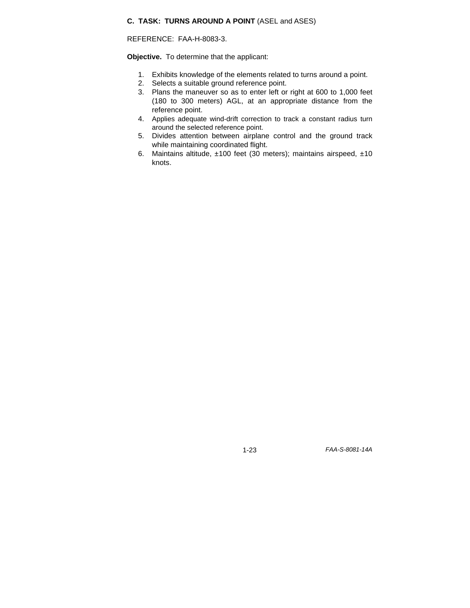#### **C. TASK: TURNS AROUND A POINT** (ASEL and ASES)

REFERENCE: FAA-H-8083-3.

**Objective.** To determine that the applicant:

- 1. Exhibits knowledge of the elements related to turns around a point.
- 2. Selects a suitable ground reference point.
- 3. Plans the maneuver so as to enter left or right at 600 to 1,000 feet (180 to 300 meters) AGL, at an appropriate distance from the reference point.
- 4. Applies adequate wind-drift correction to track a constant radius turn around the selected reference point.
- 5. Divides attention between airplane control and the ground track while maintaining coordinated flight.
- 6. Maintains altitude,  $\pm 100$  feet (30 meters); maintains airspeed,  $\pm 10$ knots.

1-23 FAA-S-8081-14A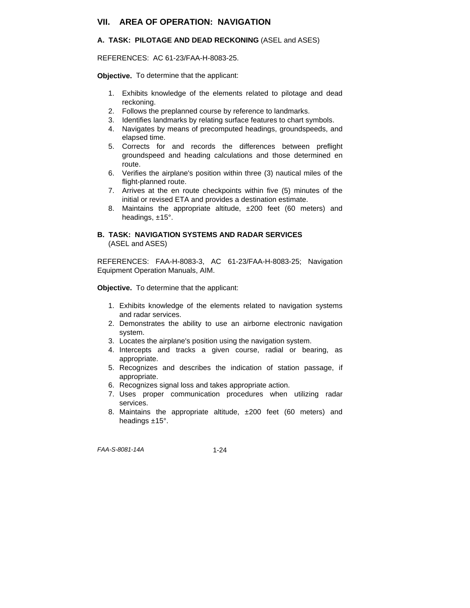## **VII. AREA OF OPERATION: NAVIGATION**

#### **A. TASK: PILOTAGE AND DEAD RECKONING** (ASEL and ASES)

REFERENCES: AC 61-23/FAA-H-8083-25.

**Objective.** To determine that the applicant:

- 1. Exhibits knowledge of the elements related to pilotage and dead reckoning.
- 2. Follows the preplanned course by reference to landmarks.
- 3. Identifies landmarks by relating surface features to chart symbols.
- 4. Navigates by means of precomputed headings, groundspeeds, and elapsed time.
- 5. Corrects for and records the differences between preflight groundspeed and heading calculations and those determined en route.
- 6. Verifies the airplane's position within three (3) nautical miles of the flight-planned route.
- 7. Arrives at the en route checkpoints within five (5) minutes of the initial or revised ETA and provides a destination estimate.
- 8. Maintains the appropriate altitude,  $\pm 200$  feet (60 meters) and headings,  $±15^\circ$ .

## **B. TASK: NAVIGATION SYSTEMS AND RADAR SERVICES** (ASEL and ASES)

REFERENCES: FAA-H-8083-3, AC 61-23/FAA-H-8083-25; Navigation Equipment Operation Manuals, AIM.

**Objective.** To determine that the applicant:

- 1. Exhibits knowledge of the elements related to navigation systems and radar services.
- 2. Demonstrates the ability to use an airborne electronic navigation system.
- 3. Locates the airplane's position using the navigation system.
- 4. Intercepts and tracks a given course, radial or bearing, as appropriate.
- 5. Recognizes and describes the indication of station passage, if appropriate.
- 6. Recognizes signal loss and takes appropriate action.
- 7. Uses proper communication procedures when utilizing radar services.
- 8. Maintains the appropriate altitude, ±200 feet (60 meters) and headings ±15°.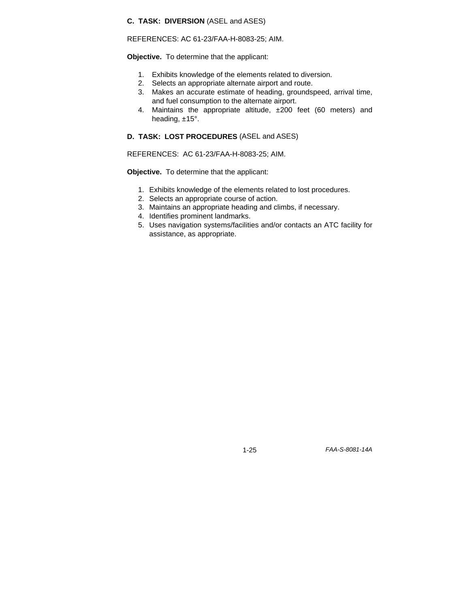#### **C. TASK: DIVERSION (ASEL and ASES)**

REFERENCES: AC 61-23/FAA-H-8083-25; AIM.

**Objective.** To determine that the applicant:

- 1. Exhibits knowledge of the elements related to diversion.
- 2. Selects an appropriate alternate airport and route.
- 3. Makes an accurate estimate of heading, groundspeed, arrival time, and fuel consumption to the alternate airport.
- 4. Maintains the appropriate altitude, ±200 feet (60 meters) and heading, ±15°.

#### **D. TASK: LOST PROCEDURES** (ASEL and ASES)

REFERENCES: AC 61-23/FAA-H-8083-25; AIM.

**Objective.** To determine that the applicant:

- 1. Exhibits knowledge of the elements related to lost procedures.
- 2. Selects an appropriate course of action.
- 3. Maintains an appropriate heading and climbs, if necessary.
- 4. Identifies prominent landmarks.
- 5. Uses navigation systems/facilities and/or contacts an ATC facility for assistance, as appropriate.

1-25 FAA-S-8081-14A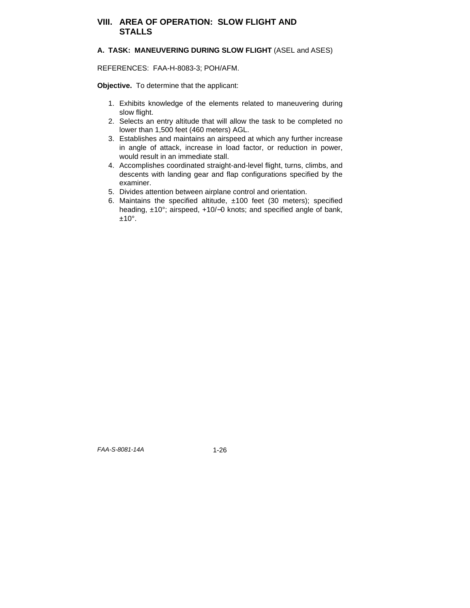## **VIII. AREA OF OPERATION: SLOW FLIGHT AND STALLS**

#### **A. TASK: MANEUVERING DURING SLOW FLIGHT** (ASEL and ASES)

REFERENCES: FAA-H-8083-3; POH/AFM.

**Objective.** To determine that the applicant:

- 1. Exhibits knowledge of the elements related to maneuvering during slow flight.
- 2. Selects an entry altitude that will allow the task to be completed no lower than 1,500 feet (460 meters) AGL.
- 3. Establishes and maintains an airspeed at which any further increase in angle of attack, increase in load factor, or reduction in power, would result in an immediate stall.
- 4. Accomplishes coordinated straight-and-level flight, turns, climbs, and descents with landing gear and flap configurations specified by the examiner.
- 5. Divides attention between airplane control and orientation.
- 6. Maintains the specified altitude,  $±100$  feet (30 meters); specified heading, ±10°; airspeed, +10/−0 knots; and specified angle of bank,  $±10^\circ$ .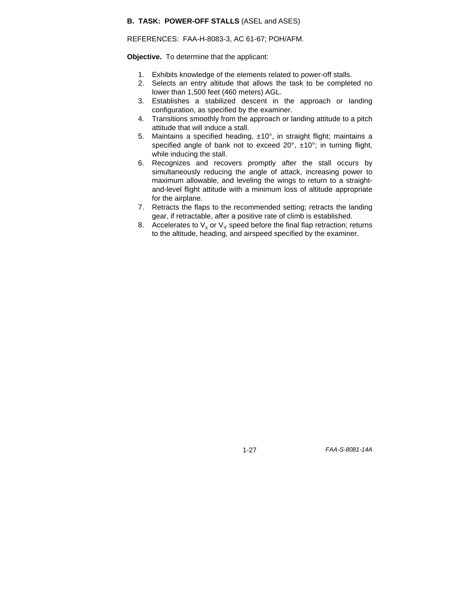#### **B. TASK: POWER-OFF STALLS** (ASEL and ASES)

REFERENCES: FAA-H-8083-3, AC 61-67; POH/AFM.

**Objective.** To determine that the applicant:

- 1. Exhibits knowledge of the elements related to power-off stalls.
- 2. Selects an entry altitude that allows the task to be completed no lower than 1,500 feet (460 meters) AGL.
- 3. Establishes a stabilized descent in the approach or landing configuration, as specified by the examiner.
- 4. Transitions smoothly from the approach or landing attitude to a pitch attitude that will induce a stall.
- 5. Maintains a specified heading, ±10°, in straight flight; maintains a specified angle of bank not to exceed 20°,  $\pm 10^{\circ}$ ; in turning flight, while inducing the stall.
- 6. Recognizes and recovers promptly after the stall occurs by simultaneously reducing the angle of attack, increasing power to maximum allowable, and leveling the wings to return to a straightand-level flight attitude with a minimum loss of altitude appropriate for the airplane.
- 7. Retracts the flaps to the recommended setting; retracts the landing gear, if retractable, after a positive rate of climb is established.
- 8. Accelerates to  $V_x$  or  $V_y$  speed before the final flap retraction; returns to the altitude, heading, and airspeed specified by the examiner.

1-27 FAA-S-8081-14A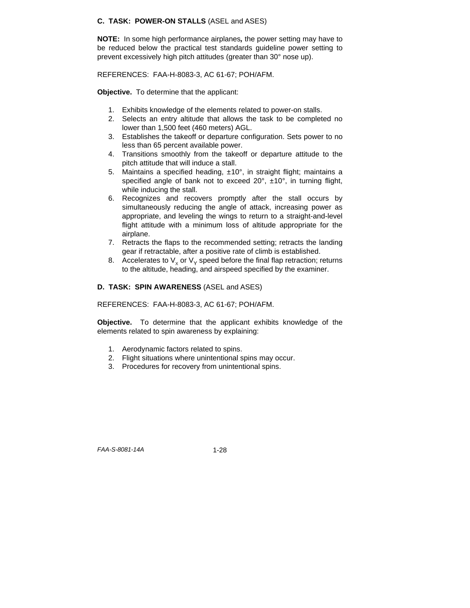#### **C. TASK: POWER-ON STALLS** (ASEL and ASES)

**NOTE:** In some high performance airplanes**,** the power setting may have to be reduced below the practical test standards guideline power setting to prevent excessively high pitch attitudes (greater than 30° nose up).

#### REFERENCES: FAA-H-8083-3, AC 61-67; POH/AFM.

**Objective.** To determine that the applicant:

- 1. Exhibits knowledge of the elements related to power-on stalls.
- 2. Selects an entry altitude that allows the task to be completed no lower than 1,500 feet (460 meters) AGL.
- 3. Establishes the takeoff or departure configuration. Sets power to no less than 65 percent available power.
- 4. Transitions smoothly from the takeoff or departure attitude to the pitch attitude that will induce a stall.
- 5. Maintains a specified heading,  $\pm 10^{\circ}$ , in straight flight; maintains a specified angle of bank not to exceed 20°, ±10°, in turning flight, while inducing the stall.
- 6. Recognizes and recovers promptly after the stall occurs by simultaneously reducing the angle of attack, increasing power as appropriate, and leveling the wings to return to a straight-and-level flight attitude with a minimum loss of altitude appropriate for the airplane.
- 7. Retracts the flaps to the recommended setting; retracts the landing gear if retractable, after a positive rate of climb is established.
- 8. Accelerates to  $V_x$  or  $V_y$  speed before the final flap retraction; returns to the altitude, heading, and airspeed specified by the examiner.

#### **D. TASK: SPIN AWARENESS** (ASEL and ASES)

REFERENCES: FAA-H-8083-3, AC 61-67; POH/AFM.

**Objective.** To determine that the applicant exhibits knowledge of the elements related to spin awareness by explaining:

- 1. Aerodynamic factors related to spins.
- 2. Flight situations where unintentional spins may occur.
- 3. Procedures for recovery from unintentional spins.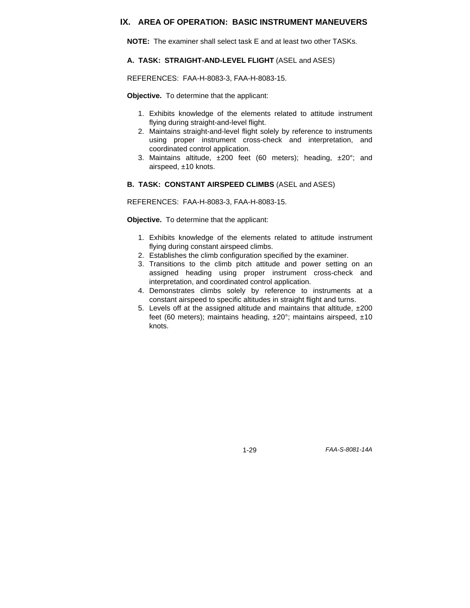### **IX. AREA OF OPERATION: BASIC INSTRUMENT MANEUVERS**

**NOTE:** The examiner shall select task E and at least two other TASKs.

#### **A. TASK: STRAIGHT-AND-LEVEL FLIGHT** (ASEL and ASES)

REFERENCES: FAA-H-8083-3, FAA-H-8083-15.

**Objective.** To determine that the applicant:

- 1. Exhibits knowledge of the elements related to attitude instrument flying during straight-and-level flight.
- 2. Maintains straight-and-level flight solely by reference to instruments using proper instrument cross-check and interpretation, and coordinated control application.
- 3. Maintains altitude, ±200 feet (60 meters); heading, ±20°; and airspeed, ±10 knots.

#### **B. TASK: CONSTANT AIRSPEED CLIMBS** (ASEL and ASES)

REFERENCES: FAA-H-8083-3, FAA-H-8083-15.

**Objective.** To determine that the applicant:

- 1. Exhibits knowledge of the elements related to attitude instrument flying during constant airspeed climbs.
- 2. Establishes the climb configuration specified by the examiner.
- 3. Transitions to the climb pitch attitude and power setting on an assigned heading using proper instrument cross-check and interpretation, and coordinated control application.
- 4. Demonstrates climbs solely by reference to instruments at a constant airspeed to specific altitudes in straight flight and turns.
- 5. Levels off at the assigned altitude and maintains that altitude, ±200 feet (60 meters); maintains heading, ±20°; maintains airspeed, ±10 knots.

1-29 FAA-S-8081-14A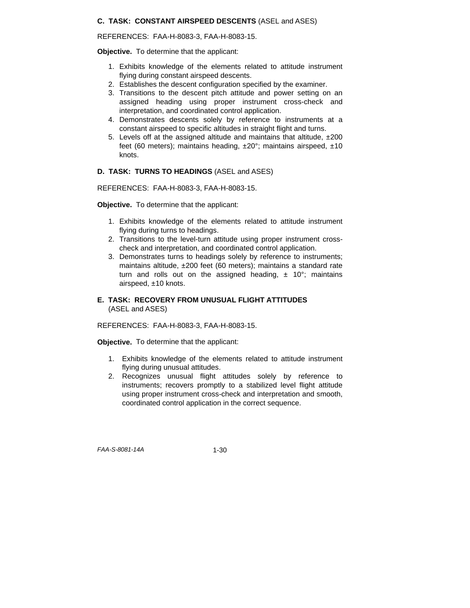#### **C. TASK: CONSTANT AIRSPEED DESCENTS** (ASEL and ASES)

REFERENCES: FAA-H-8083-3, FAA-H-8083-15.

**Objective.** To determine that the applicant:

- 1. Exhibits knowledge of the elements related to attitude instrument flying during constant airspeed descents.
- 2. Establishes the descent configuration specified by the examiner.
- 3. Transitions to the descent pitch attitude and power setting on an assigned heading using proper instrument cross-check and interpretation, and coordinated control application.
- 4. Demonstrates descents solely by reference to instruments at a constant airspeed to specific altitudes in straight flight and turns.
- 5. Levels off at the assigned altitude and maintains that altitude,  $\pm 200$ feet (60 meters); maintains heading,  $\pm 20^{\circ}$ ; maintains airspeed,  $\pm 10$ knots.

#### **D. TASK: TURNS TO HEADINGS** (ASEL and ASES)

REFERENCES: FAA-H-8083-3, FAA-H-8083-15.

**Objective.** To determine that the applicant:

- 1. Exhibits knowledge of the elements related to attitude instrument flying during turns to headings.
- 2. Transitions to the level-turn attitude using proper instrument crosscheck and interpretation, and coordinated control application.
- 3. Demonstrates turns to headings solely by reference to instruments; maintains altitude, ±200 feet (60 meters); maintains a standard rate turn and rolls out on the assigned heading,  $\pm$  10°; maintains airspeed, ±10 knots.

#### **E. TASK: RECOVERY FROM UNUSUAL FLIGHT ATTITUDES** (ASEL and ASES)

REFERENCES: FAA-H-8083-3, FAA-H-8083-15.

**Objective.** To determine that the applicant:

- 1. Exhibits knowledge of the elements related to attitude instrument flying during unusual attitudes.
- 2. Recognizes unusual flight attitudes solely by reference to instruments; recovers promptly to a stabilized level flight attitude using proper instrument cross-check and interpretation and smooth, coordinated control application in the correct sequence.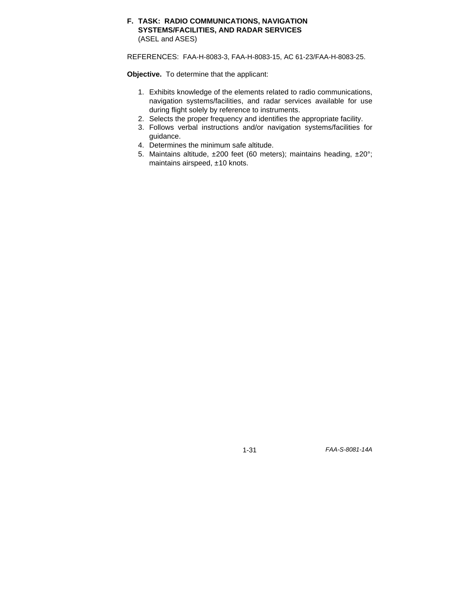#### **F. TASK: RADIO COMMUNICATIONS, NAVIGATION SYSTEMS/FACILITIES, AND RADAR SERVICES** (ASEL and ASES)

REFERENCES: FAA-H-8083-3, FAA-H-8083-15, AC 61-23/FAA-H-8083-25.

**Objective.** To determine that the applicant:

- 1. Exhibits knowledge of the elements related to radio communications, navigation systems/facilities, and radar services available for use during flight solely by reference to instruments.
- 2. Selects the proper frequency and identifies the appropriate facility.
- 3. Follows verbal instructions and/or navigation systems/facilities for guidance.
- 4. Determines the minimum safe altitude.
- 5. Maintains altitude, ±200 feet (60 meters); maintains heading, ±20°; maintains airspeed, ±10 knots.

1-31 FAA-S-8081-14A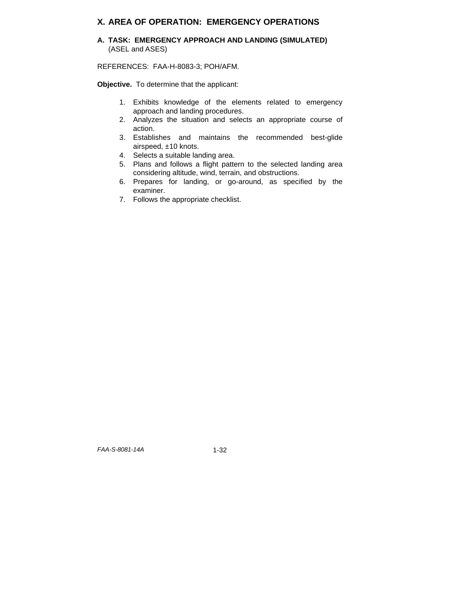## **X. AREA OF OPERATION: EMERGENCY OPERATIONS**

#### **A. TASK: EMERGENCY APPROACH AND LANDING (SIMULATED)** (ASEL and ASES)

REFERENCES: FAA-H-8083-3; POH/AFM.

**Objective.** To determine that the applicant:

- 1. Exhibits knowledge of the elements related to emergency approach and landing procedures.
- 2. Analyzes the situation and selects an appropriate course of action.
- 3. Establishes and maintains the recommended best-glide airspeed, ±10 knots.
- 4. Selects a suitable landing area.
- 5. Plans and follows a flight pattern to the selected landing area considering altitude, wind, terrain, and obstructions.
- 6. Prepares for landing, or go-around, as specified by the examiner.
- 7. Follows the appropriate checklist.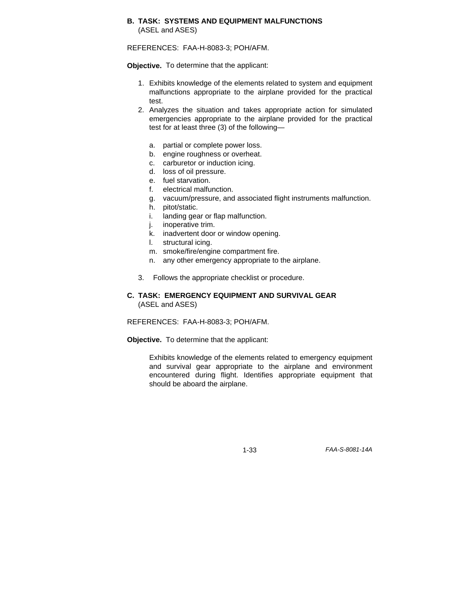#### **B. TASK: SYSTEMS AND EQUIPMENT MALFUNCTIONS** (ASEL and ASES)

REFERENCES: FAA-H-8083-3; POH/AFM.

**Objective.** To determine that the applicant:

- 1. Exhibits knowledge of the elements related to system and equipment malfunctions appropriate to the airplane provided for the practical test.
- 2. Analyzes the situation and takes appropriate action for simulated emergencies appropriate to the airplane provided for the practical test for at least three (3) of the following
	- a. partial or complete power loss.
	- b. engine roughness or overheat.
	- c. carburetor or induction icing.
	- d. loss of oil pressure.
	- e. fuel starvation.
	- f. electrical malfunction.
	- g. vacuum/pressure, and associated flight instruments malfunction.
	- h. pitot/static.
	- i. landing gear or flap malfunction.
	- j. inoperative trim.
	- k. inadvertent door or window opening.
	- l. structural icing.
	- m. smoke/fire/engine compartment fire.
	- n. any other emergency appropriate to the airplane.
- 3. Follows the appropriate checklist or procedure.

#### **C. TASK: EMERGENCY EQUIPMENT AND SURVIVAL GEAR** (ASEL and ASES)

REFERENCES: FAA-H-8083-3; POH/AFM.

**Objective.** To determine that the applicant:

Exhibits knowledge of the elements related to emergency equipment and survival gear appropriate to the airplane and environment encountered during flight. Identifies appropriate equipment that should be aboard the airplane.

1-33 FAA-S-8081-14A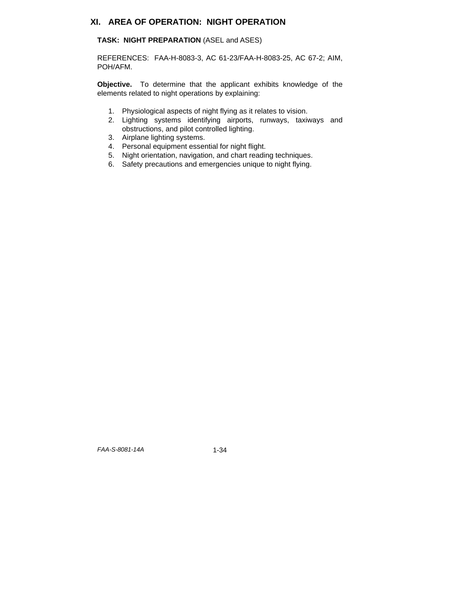## **XI. AREA OF OPERATION: NIGHT OPERATION**

#### **TASK: NIGHT PREPARATION** (ASEL and ASES)

REFERENCES: FAA-H-8083-3, AC 61-23/FAA-H-8083-25, AC 67-2; AIM, POH/AFM.

**Objective.** To determine that the applicant exhibits knowledge of the elements related to night operations by explaining:

- 1. Physiological aspects of night flying as it relates to vision.
- 2. Lighting systems identifying airports, runways, taxiways and obstructions, and pilot controlled lighting.
- 3. Airplane lighting systems.
- 4. Personal equipment essential for night flight.
- 5. Night orientation, navigation, and chart reading techniques.
- 6. Safety precautions and emergencies unique to night flying.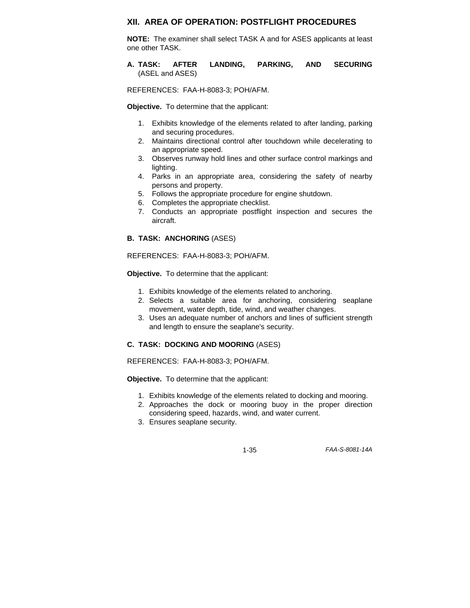## **XII. AREA OF OPERATION: POSTFLIGHT PROCEDURES**

**NOTE:** The examiner shall select TASK A and for ASES applicants at least one other TASK.

**A. TASK: AFTER LANDING, PARKING, AND SECURING** (ASEL and ASES)

REFERENCES: FAA-H-8083-3; POH/AFM.

**Objective.** To determine that the applicant:

- 1. Exhibits knowledge of the elements related to after landing, parking and securing procedures.
- 2. Maintains directional control after touchdown while decelerating to an appropriate speed.
- 3. Observes runway hold lines and other surface control markings and lighting.
- 4. Parks in an appropriate area, considering the safety of nearby persons and property.
- 5. Follows the appropriate procedure for engine shutdown.
- 6. Completes the appropriate checklist.
- 7. Conducts an appropriate postflight inspection and secures the aircraft.

## **B. TASK: ANCHORING** (ASES)

REFERENCES: FAA-H-8083-3; POH/AFM.

**Objective.** To determine that the applicant:

- 1. Exhibits knowledge of the elements related to anchoring.
- 2. Selects a suitable area for anchoring, considering seaplane movement, water depth, tide, wind, and weather changes.
- 3. Uses an adequate number of anchors and lines of sufficient strength and length to ensure the seaplane's security.

#### **C. TASK: DOCKING AND MOORING** (ASES)

REFERENCES: FAA-H-8083-3; POH/AFM.

**Objective.** To determine that the applicant:

- 1. Exhibits knowledge of the elements related to docking and mooring.
- 2. Approaches the dock or mooring buoy in the proper direction considering speed, hazards, wind, and water current.
- 3. Ensures seaplane security.

1-35 FAA-S-8081-14A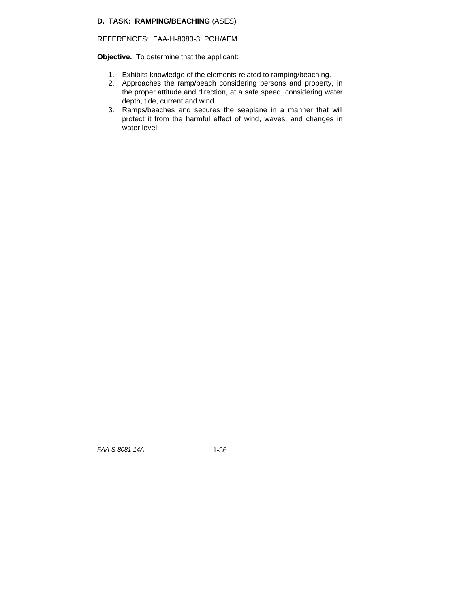#### **D. TASK: RAMPING/BEACHING** (ASES)

REFERENCES: FAA-H-8083-3; POH/AFM.

**Objective.** To determine that the applicant:

- 1. Exhibits knowledge of the elements related to ramping/beaching.
- 2. Approaches the ramp/beach considering persons and property, in the proper attitude and direction, at a safe speed, considering water depth, tide, current and wind.
- 3. Ramps/beaches and secures the seaplane in a manner that will protect it from the harmful effect of wind, waves, and changes in water level.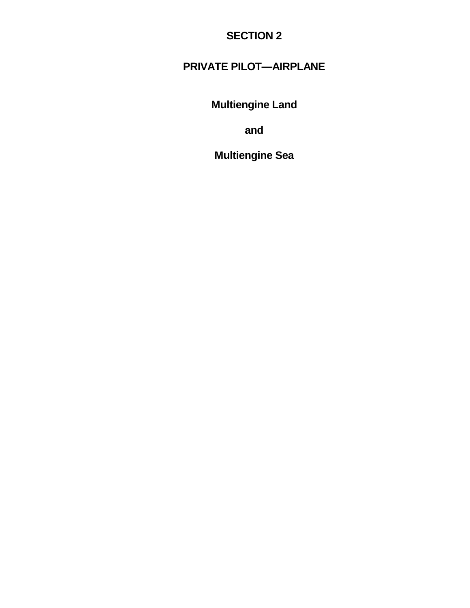## **SECTION 2**

# **PRIVATE PILOT—AIRPLANE**

**Multiengine Land**

**and**

**Multiengine Sea**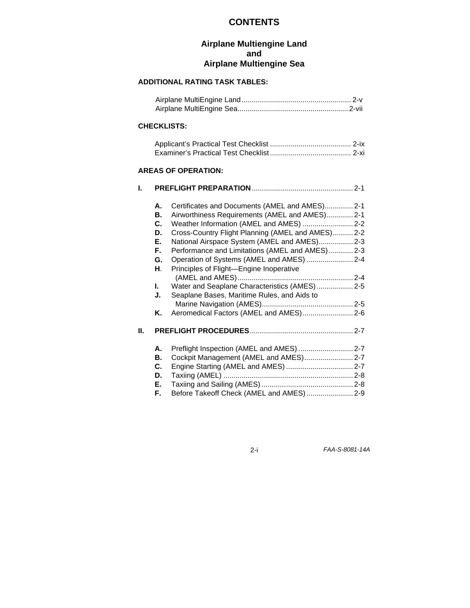## **CONTENTS**

## **Airplane Multiengine Land and Airplane Multiengine Sea**

## **ADDITIONAL RATING TASK TABLES:**

#### **CHECKLISTS:**

### **AREAS OF OPERATION:**

| I. |    |                                                   |  |
|----|----|---------------------------------------------------|--|
|    |    |                                                   |  |
|    | А. | Certificates and Documents (AMEL and AMES) 2-1    |  |
|    | В. | Airworthiness Requirements (AMEL and AMES)2-1     |  |
|    | C. | Weather Information (AMEL and AMES)  2-2          |  |
|    | D. | Cross-Country Flight Planning (AMEL and AMES) 2-2 |  |
|    | Е. | National Airspace System (AMEL and AMES) 2-3      |  |
|    | Е. | Performance and Limitations (AMEL and AMES) 2-3   |  |
|    | G. | Operation of Systems (AMEL and AMES)  2-4         |  |
|    | Η. | Principles of Flight-Engine Inoperative           |  |
|    |    |                                                   |  |
|    | I. | Water and Seaplane Characteristics (AMES) 2-5     |  |
|    | J. | Seaplane Bases, Maritime Rules, and Aids to       |  |
|    |    |                                                   |  |
|    | Κ. | Aeromedical Factors (AMEL and AMES) 2-6           |  |
|    |    |                                                   |  |
| Ш. |    |                                                   |  |
|    |    |                                                   |  |
|    | А. | Preflight Inspection (AMEL and AMES)  2-7         |  |
|    | В. | Cockpit Management (AMEL and AMES) 2-7            |  |
|    | C. |                                                   |  |
|    | D. |                                                   |  |
|    | Е. |                                                   |  |
|    | F. | Before Takeoff Check (AMEL and AMES) 2-9          |  |
|    |    |                                                   |  |

2-i FAA-S-8081-14A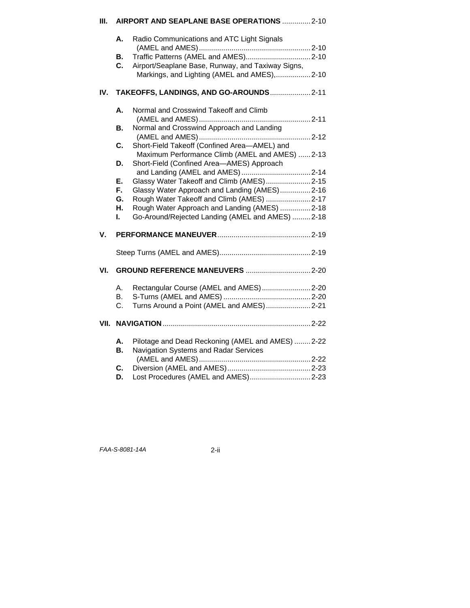| Ш.  | AIRPORT AND SEAPLANE BASE OPERATIONS  2-10 |                                                   |  |
|-----|--------------------------------------------|---------------------------------------------------|--|
|     | А.                                         | Radio Communications and ATC Light Signals        |  |
|     | В.                                         | Traffic Patterns (AMEL and AMES) 2-10             |  |
|     | C.                                         | Airport/Seaplane Base, Runway, and Taxiway Signs, |  |
|     |                                            | Markings, and Lighting (AMEL and AMES),2-10       |  |
|     |                                            |                                                   |  |
| IV. | TAKEOFFS, LANDINGS, AND GO-AROUNDS2-11     |                                                   |  |
|     | А.                                         | Normal and Crosswind Takeoff and Climb            |  |
|     |                                            |                                                   |  |
|     | В.                                         | Normal and Crosswind Approach and Landing         |  |
|     |                                            |                                                   |  |
|     | C.                                         | Short-Field Takeoff (Confined Area-AMEL) and      |  |
|     |                                            | Maximum Performance Climb (AMEL and AMES) 2-13    |  |
|     | D.                                         | Short-Field (Confined Area-AMES) Approach         |  |
|     | Е.                                         | Glassy Water Takeoff and Climb (AMES) 2-15        |  |
|     | F.                                         | Glassy Water Approach and Landing (AMES)2-16      |  |
|     | G.                                         | Rough Water Takeoff and Climb (AMES)  2-17        |  |
|     | Н.                                         | Rough Water Approach and Landing (AMES) 2-18      |  |
|     | L.                                         | Go-Around/Rejected Landing (AMEL and AMES) 2-18   |  |
|     |                                            |                                                   |  |
| ۷.  |                                            |                                                   |  |
|     |                                            |                                                   |  |
|     |                                            | <b>GROUND REFERENCE MANEUVERS  2-20</b>           |  |
| VI. |                                            |                                                   |  |
|     | А.                                         | Rectangular Course (AMEL and AMES) 2-20           |  |
|     | В.                                         |                                                   |  |
|     | C.                                         | Turns Around a Point (AMEL and AMES) 2-21         |  |
|     |                                            |                                                   |  |
|     |                                            |                                                   |  |
|     | А.                                         | Pilotage and Dead Reckoning (AMEL and AMES)  2-22 |  |
|     | В.                                         | Navigation Systems and Radar Services             |  |
|     |                                            |                                                   |  |
|     | C.                                         |                                                   |  |
|     | D.                                         | Lost Procedures (AMEL and AMES) 2-23              |  |

FAA-S-8081-14A 2-ii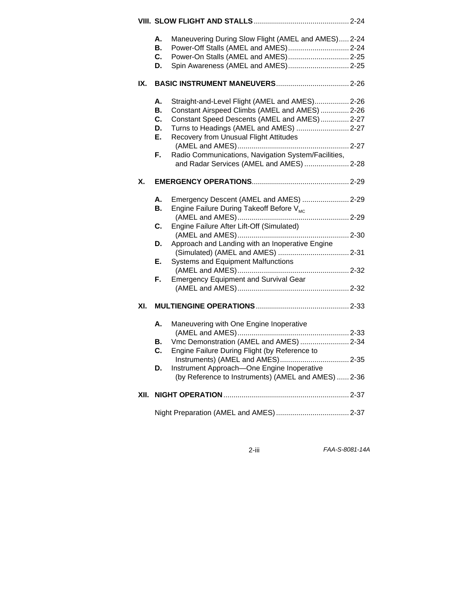|      | А.<br>В.<br>C.<br>D.             | Maneuvering During Slow Flight (AMEL and AMES) 2-24<br>Power-Off Stalls (AMEL and AMES) 2-24<br>Power-On Stalls (AMEL and AMES) 2-25<br>Spin Awareness (AMEL and AMES) 2-25                                                                                                                                                               |  |
|------|----------------------------------|-------------------------------------------------------------------------------------------------------------------------------------------------------------------------------------------------------------------------------------------------------------------------------------------------------------------------------------------|--|
| IX.  |                                  |                                                                                                                                                                                                                                                                                                                                           |  |
|      | А.<br>В.<br>C.<br>D.<br>Е.<br>F. | Straight-and-Level Flight (AMEL and AMES) 2-26<br>Constant Airspeed Climbs (AMEL and AMES)  2-26<br>Constant Speed Descents (AMEL and AMES)  2-27<br>Turns to Headings (AMEL and AMES)  2-27<br>Recovery from Unusual Flight Attitudes<br>Radio Communications, Navigation System/Facilities,<br>and Radar Services (AMEL and AMES)  2-28 |  |
| Х.   |                                  |                                                                                                                                                                                                                                                                                                                                           |  |
|      | А.<br>В.                         | Emergency Descent (AMEL and AMES)  2-29<br>Engine Failure During Takeoff Before V <sub>MC</sub>                                                                                                                                                                                                                                           |  |
|      | C.                               | Engine Failure After Lift-Off (Simulated)                                                                                                                                                                                                                                                                                                 |  |
|      | D.                               | Approach and Landing with an Inoperative Engine                                                                                                                                                                                                                                                                                           |  |
|      | Е.                               | Systems and Equipment Malfunctions                                                                                                                                                                                                                                                                                                        |  |
|      | F.                               | <b>Emergency Equipment and Survival Gear</b>                                                                                                                                                                                                                                                                                              |  |
| XI.  |                                  |                                                                                                                                                                                                                                                                                                                                           |  |
|      | А.                               | Maneuvering with One Engine Inoperative                                                                                                                                                                                                                                                                                                   |  |
|      | В.<br>C.                         | Vmc Demonstration (AMEL and AMES)  2-34<br>Engine Failure During Flight (by Reference to                                                                                                                                                                                                                                                  |  |
|      | D.                               | Instrument Approach-One Engine Inoperative<br>(by Reference to Instruments) (AMEL and AMES)  2-36                                                                                                                                                                                                                                         |  |
| XII. |                                  |                                                                                                                                                                                                                                                                                                                                           |  |
|      |                                  |                                                                                                                                                                                                                                                                                                                                           |  |

2-iii FAA-S-8081-14A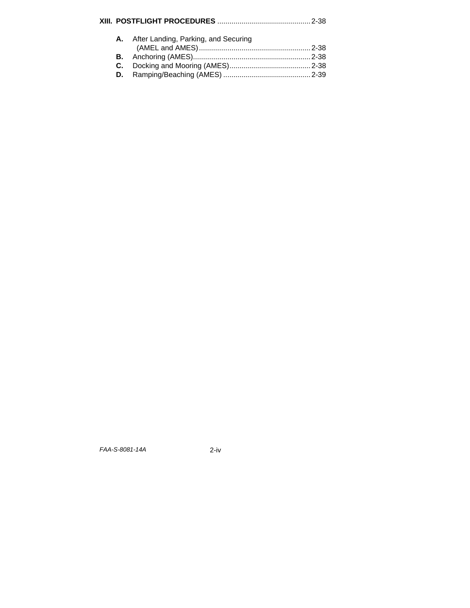|  | A. After Landing, Parking, and Securing |  |
|--|-----------------------------------------|--|
|  |                                         |  |
|  |                                         |  |
|  |                                         |  |
|  |                                         |  |

FAA-S-8081-14A 2-iv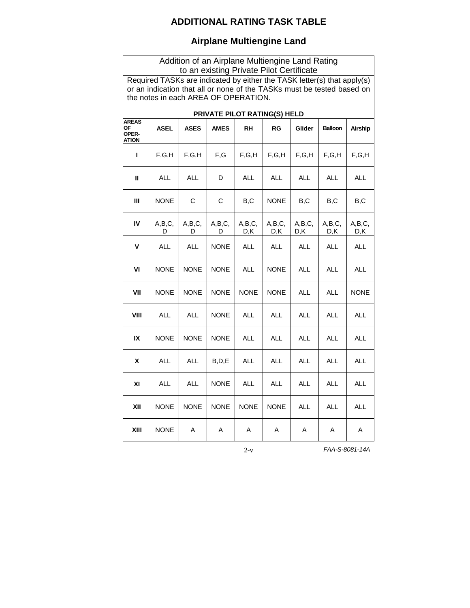## **ADDITIONAL RATING TASK TABLE**

# **Airplane Multiengine Land**

| Addition of an Airplane Multiengine Land Rating<br>to an existing Private Pilot Certificate                                                                                               |                                     |             |             |               |               |               |                |                |
|-------------------------------------------------------------------------------------------------------------------------------------------------------------------------------------------|-------------------------------------|-------------|-------------|---------------|---------------|---------------|----------------|----------------|
| Required TASKs are indicated by either the TASK letter(s) that apply(s)<br>or an indication that all or none of the TASKs must be tested based on<br>the notes in each AREA OF OPERATION. |                                     |             |             |               |               |               |                |                |
|                                                                                                                                                                                           | <b>PRIVATE PILOT RATING(S) HELD</b> |             |             |               |               |               |                |                |
| <b>AREAS</b><br>ОF<br>OPER-<br><b>ATION</b>                                                                                                                                               | <b>ASEL</b>                         | <b>ASES</b> | <b>AMES</b> | <b>RH</b>     | <b>RG</b>     | Glider        | <b>Balloon</b> | <b>Airship</b> |
| т                                                                                                                                                                                         | F,G,H                               | F,G,H       | F,G         | F,G,H         | F,G,H         | F,G,H         | F,G,H          | F,G,H          |
| Ш                                                                                                                                                                                         | <b>ALL</b>                          | <b>ALL</b>  | D           | <b>ALL</b>    | <b>ALL</b>    | <b>ALL</b>    | <b>ALL</b>     | <b>ALL</b>     |
| Ш                                                                                                                                                                                         | NONE                                | С           | С           | B,C           | <b>NONE</b>   | B,C           | B,C            | B,C            |
| IV                                                                                                                                                                                        | A,B,C,<br>D                         | A,B,C,<br>D | A,B,C,<br>D | A,B,C,<br>D,K | A,B,C,<br>D,K | A,B,C,<br>D,K | A,B,C,<br>D,K  | A,B,C,<br>D,K  |
| v                                                                                                                                                                                         | ALL                                 | ALL         | <b>NONE</b> | <b>ALL</b>    | ALL           | ALL           | ALL            | ALL            |
| VI                                                                                                                                                                                        | NONE                                | <b>NONE</b> | <b>NONE</b> | ALL           | <b>NONE</b>   | ALL           | <b>ALL</b>     | <b>ALL</b>     |
| VII                                                                                                                                                                                       | <b>NONE</b>                         | <b>NONE</b> | <b>NONE</b> | <b>NONE</b>   | <b>NONE</b>   | <b>ALL</b>    | <b>ALL</b>     | <b>NONE</b>    |
| VIII                                                                                                                                                                                      | <b>ALL</b>                          | <b>ALL</b>  | <b>NONE</b> | <b>ALL</b>    | <b>ALL</b>    | <b>ALL</b>    | <b>ALL</b>     | <b>ALL</b>     |
| IX                                                                                                                                                                                        | <b>NONE</b>                         | <b>NONE</b> | <b>NONE</b> | <b>ALL</b>    | <b>ALL</b>    | <b>ALL</b>    | <b>ALL</b>     | <b>ALL</b>     |
| Χ                                                                                                                                                                                         | <b>ALL</b>                          | <b>ALL</b>  | B,D,E       | ALL           | <b>ALL</b>    | <b>ALL</b>    | <b>ALL</b>     | <b>ALL</b>     |
| XI                                                                                                                                                                                        | <b>ALL</b>                          | <b>ALL</b>  | <b>NONE</b> | <b>ALL</b>    | <b>ALL</b>    | <b>ALL</b>    | <b>ALL</b>     | <b>ALL</b>     |
| XII                                                                                                                                                                                       | <b>NONE</b>                         | <b>NONE</b> | <b>NONE</b> | <b>NONE</b>   | <b>NONE</b>   | ALL           | <b>ALL</b>     | <b>ALL</b>     |
| XIII                                                                                                                                                                                      | <b>NONE</b>                         | Α           | Α           | Α             | Α             | Α             | Α              | Α              |

2-v FAA-S-8081-14A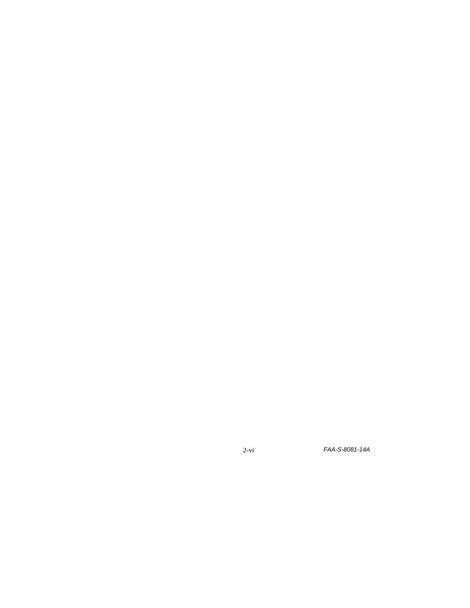2-vi FAA-S-8081-14A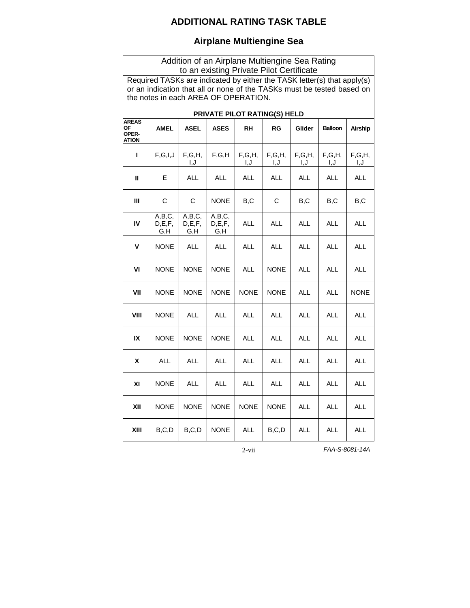## **ADDITIONAL RATING TASK TABLE**

# **Airplane Multiengine Sea**

| Addition of an Airplane Multiengine Sea Rating<br>to an existing Private Pilot Certificate                                                                                                |                                     |                           |                           |               |               |               |                |                |
|-------------------------------------------------------------------------------------------------------------------------------------------------------------------------------------------|-------------------------------------|---------------------------|---------------------------|---------------|---------------|---------------|----------------|----------------|
| Required TASKs are indicated by either the TASK letter(s) that apply(s)<br>or an indication that all or none of the TASKs must be tested based on<br>the notes in each AREA OF OPERATION. |                                     |                           |                           |               |               |               |                |                |
|                                                                                                                                                                                           | <b>PRIVATE PILOT RATING(S) HELD</b> |                           |                           |               |               |               |                |                |
| <b>AREAS</b><br>ΟF<br>OPER-<br><b>ATION</b>                                                                                                                                               | <b>AMEL</b>                         | <b>ASEL</b>               | <b>ASES</b>               | <b>RH</b>     | <b>RG</b>     | Glider        | <b>Balloon</b> | <b>Airship</b> |
| т                                                                                                                                                                                         | F,G,I,J                             | F,G,H,<br>I,J             | F,G,H                     | F,G,H,<br>IJ, | F,G,H,<br>IJ, | F,G,H,<br>I,J | F,G,H,<br>I,J  | F,G,H,<br>IJ,  |
| Ш                                                                                                                                                                                         | Е                                   | ALL                       | ALL                       | ALL           | <b>ALL</b>    | <b>ALL</b>    | <b>ALL</b>     | <b>ALL</b>     |
| Ш                                                                                                                                                                                         | С                                   | С                         | <b>NONE</b>               | B,C           | C             | B,C           | B,C            | B,C            |
| IV                                                                                                                                                                                        | A,B,C,<br>D, E, F,<br>G,H           | A,B,C,<br>D, E, F,<br>G,H | A,B,C,<br>D, E, F,<br>G,H | <b>ALL</b>    | <b>ALL</b>    | <b>ALL</b>    | ALL            | <b>ALL</b>     |
| v                                                                                                                                                                                         | <b>NONE</b>                         | <b>ALL</b>                | ALL                       | ALL           | <b>ALL</b>    | <b>ALL</b>    | <b>ALL</b>     | ALL            |
| VI                                                                                                                                                                                        | NONE                                | <b>NONE</b>               | <b>NONE</b>               | ALL           | <b>NONE</b>   | ALL           | ALL            | ALL            |
| VII                                                                                                                                                                                       | <b>NONE</b>                         | <b>NONE</b>               | <b>NONE</b>               | <b>NONE</b>   | <b>NONE</b>   | <b>ALL</b>    | <b>ALL</b>     | <b>NONE</b>    |
| VIII                                                                                                                                                                                      | <b>NONE</b>                         | <b>ALL</b>                | <b>ALL</b>                | <b>ALL</b>    | <b>ALL</b>    | <b>ALL</b>    | ALL            | <b>ALL</b>     |
| IX                                                                                                                                                                                        | <b>NONE</b>                         | <b>NONE</b>               | <b>NONE</b>               | <b>ALL</b>    | <b>ALL</b>    | <b>ALL</b>    | <b>ALL</b>     | <b>ALL</b>     |
| X                                                                                                                                                                                         | <b>ALL</b>                          | <b>ALL</b>                | ALL                       | ALL           | ALL           | <b>ALL</b>    | <b>ALL</b>     | <b>ALL</b>     |
| ΧI                                                                                                                                                                                        | <b>NONE</b>                         | <b>ALL</b>                | ALL                       | ALL           | <b>ALL</b>    | <b>ALL</b>    | <b>ALL</b>     | <b>ALL</b>     |
| XII                                                                                                                                                                                       | <b>NONE</b>                         | <b>NONE</b>               | <b>NONE</b>               | <b>NONE</b>   | <b>NONE</b>   | ALL           | <b>ALL</b>     | <b>ALL</b>     |
| XIII                                                                                                                                                                                      | B,C,D                               | B,C,D                     | <b>NONE</b>               | <b>ALL</b>    | B, C, D       | <b>ALL</b>    | <b>ALL</b>     | <b>ALL</b>     |

2-vii FAA-S-8081-14A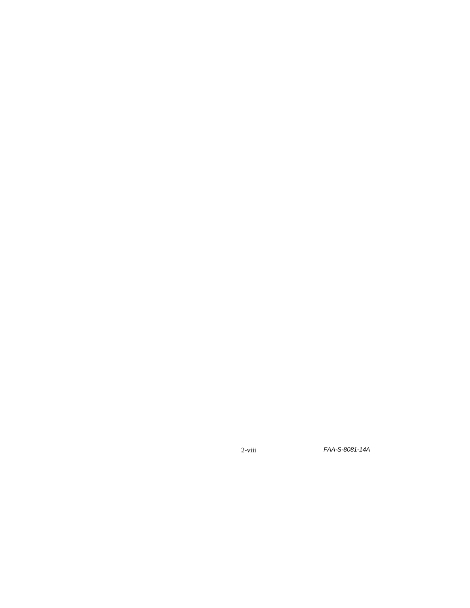2-viii FAA-S-8081-14A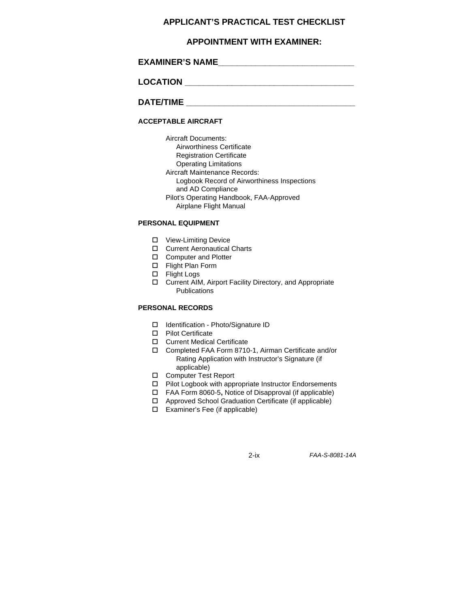## **APPLICANT'S PRACTICAL TEST CHECKLIST**

## **APPOINTMENT WITH EXAMINER:**

# **EXAMINER'S NAME**

**LOCATION \_\_\_\_\_\_\_\_\_\_\_\_\_\_\_\_\_\_\_\_\_\_\_\_\_\_\_\_\_\_\_\_\_\_\_\_**

**DATE/TIME** 

#### **ACCEPTABLE AIRCRAFT**

Aircraft Documents: Airworthiness Certificate Registration Certificate Operating Limitations Aircraft Maintenance Records: Logbook Record of Airworthiness Inspections and AD Compliance Pilot's Operating Handbook, FAA-Approved Airplane Flight Manual

#### **PERSONAL EQUIPMENT**

- □ View-Limiting Device
- □ Current Aeronautical Charts
- □ Computer and Plotter
- □ Flight Plan Form
- □ Flight Logs
- ! Current AIM, Airport Facility Directory, and Appropriate **Publications**

#### **PERSONAL RECORDS**

- ! Identification Photo/Signature ID
- □ Pilot Certificate
- □ Current Medical Certificate
- ! Completed FAA Form 8710-1, Airman Certificate and/or Rating Application with Instructor's Signature (if applicable)
- □ Computer Test Report
- ! Pilot Logbook with appropriate Instructor Endorsements
- ! FAA Form 8060-5**,** Notice of Disapproval (if applicable)
- ! Approved School Graduation Certificate (if applicable)
- □ Examiner's Fee (if applicable)

2-ix FAA-S-8081-14A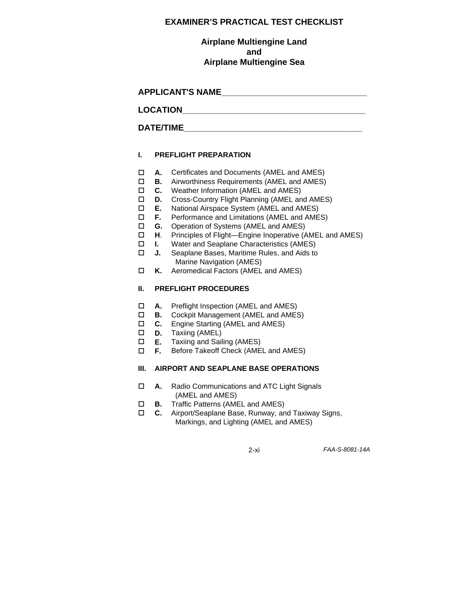## **EXAMINER'S PRACTICAL TEST CHECKLIST**

## **Airplane Multiengine Land and Airplane Multiengine Sea**

| <b>APPLICANT'S NAME</b>                                       |                                                                |                                                                                                                                                                                                                                                                                                                                                                                                                                                                                                                                               |  |  |  |
|---------------------------------------------------------------|----------------------------------------------------------------|-----------------------------------------------------------------------------------------------------------------------------------------------------------------------------------------------------------------------------------------------------------------------------------------------------------------------------------------------------------------------------------------------------------------------------------------------------------------------------------------------------------------------------------------------|--|--|--|
| <b>LOCATION</b>                                               |                                                                |                                                                                                                                                                                                                                                                                                                                                                                                                                                                                                                                               |  |  |  |
| <b>DATE/TIME</b>                                              |                                                                |                                                                                                                                                                                                                                                                                                                                                                                                                                                                                                                                               |  |  |  |
|                                                               |                                                                |                                                                                                                                                                                                                                                                                                                                                                                                                                                                                                                                               |  |  |  |
| <b>PREFLIGHT PREPARATION</b><br>ı.                            |                                                                |                                                                                                                                                                                                                                                                                                                                                                                                                                                                                                                                               |  |  |  |
| □<br>□<br>$\Box$<br>□<br>□<br>□<br>$\Box$<br>□<br>□<br>□<br>□ | А.<br>В.<br>C.<br>D.<br>Е.<br>F.<br>G.<br>Н.<br>L.<br>J.<br>Κ. | Certificates and Documents (AMEL and AMES)<br>Airworthiness Requirements (AMEL and AMES)<br>Weather Information (AMEL and AMES)<br>Cross-Country Flight Planning (AMEL and AMES)<br>National Airspace System (AMEL and AMES)<br>Performance and Limitations (AMEL and AMES)<br>Operation of Systems (AMEL and AMES)<br>Principles of Flight-Engine Inoperative (AMEL and AMES)<br>Water and Seaplane Characteristics (AMES)<br>Seaplane Bases, Maritime Rules, and Aids to<br>Marine Navigation (AMES)<br>Aeromedical Factors (AMEL and AMES) |  |  |  |
| П.                                                            |                                                                | <b>PREFLIGHT PROCEDURES</b>                                                                                                                                                                                                                                                                                                                                                                                                                                                                                                                   |  |  |  |
| □<br>П<br>□<br>□                                              | А.<br>В.<br>C.<br>D.                                           | Preflight Inspection (AMEL and AMES)<br>Cockpit Management (AMEL and AMES)<br>Engine Starting (AMEL and AMES)<br>Taxiing (AMEL)                                                                                                                                                                                                                                                                                                                                                                                                               |  |  |  |

- ! **E.** Taxiing and Sailing (AMES)
- ! **F.** Before Takeoff Check (AMEL and AMES)

#### **III. AIRPORT AND SEAPLANE BASE OPERATIONS**

- ! **A.** Radio Communications and ATC Light Signals (AMEL and AMES)
- **B.** Traffic Patterns (AMEL and AMES)
- ! **C.** Airport/Seaplane Base, Runway, and Taxiway Signs, Markings, and Lighting (AMEL and AMES)

2-xi FAA-S-8081-14A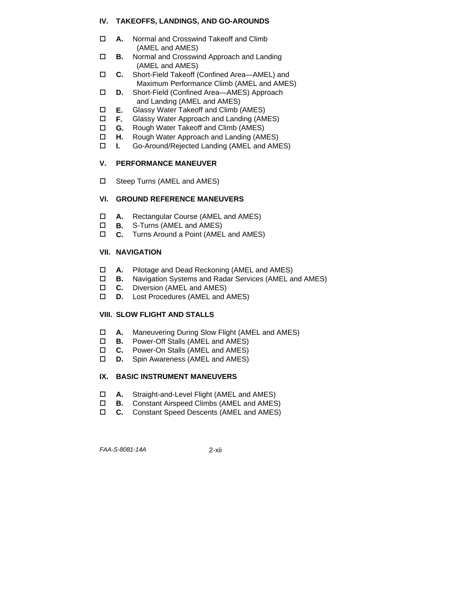## **IV. TAKEOFFS, LANDINGS, AND GO-AROUNDS**

- ! **A.** Normal and Crosswind Takeoff and Climb (AMEL and AMES)
- ! **B.** Normal and Crosswind Approach and Landing (AMEL and AMES)
- ! **C.** Short-Field Takeoff (Confined Area—AMEL) and Maximum Performance Climb (AMEL and AMES)
- ! **D.** Short-Field (Confined Area—AMES) Approach and Landing (AMEL and AMES)
- ! **E.** Glassy Water Takeoff and Climb (AMES)
- ! **F.** Glassy Water Approach and Landing (AMES)
- **G.** Rough Water Takeoff and Climb (AMES)
- ! **H.** Rough Water Approach and Landing (AMES)
- ! **I.** Go-Around/Rejected Landing (AMEL and AMES)

### **V. PERFORMANCE MANEUVER**

□ Steep Turns (AMEL and AMES)

### **VI. GROUND REFERENCE MANEUVERS**

- ! **A.** Rectangular Course (AMEL and AMES)
- ! **B.** S-Turns (AMEL and AMES)
- **C.** Turns Around a Point (AMEL and AMES)

#### **VII. NAVIGATION**

- ! **A.** Pilotage and Dead Reckoning (AMEL and AMES)
- ! **B.** Navigation Systems and Radar Services (AMEL and AMES)
- **C.** Diversion (AMEL and AMES)
- **D.** Lost Procedures (AMEL and AMES)

#### **VIII. SLOW FLIGHT AND STALLS**

- **A.** Maneuvering During Slow Flight (AMEL and AMES)
- ! **B.** Power-Off Stalls (AMEL and AMES)
- **C.** Power-On Stalls (AMEL and AMES)
- **D.** Spin Awareness (AMEL and AMES)

#### **IX. BASIC INSTRUMENT MANEUVERS**

- □ **A.** Straight-and-Level Flight (AMEL and AMES)
- ! **B.** Constant Airspeed Climbs (AMEL and AMES)
- ! **C.** Constant Speed Descents (AMEL and AMES)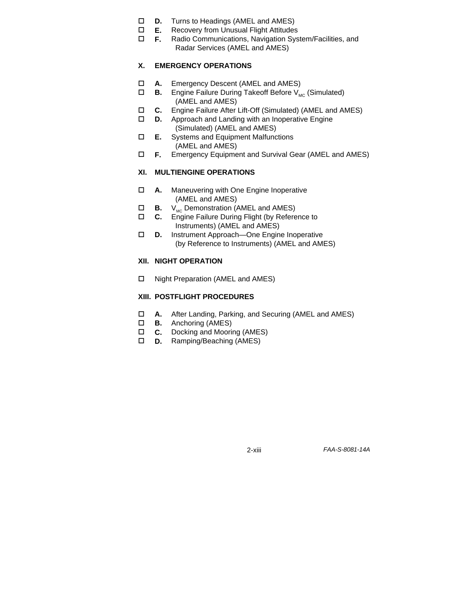- ! **D.** Turns to Headings (AMEL and AMES)
- ! **E.** Recovery from Unusual Flight Attitudes
- ! **F.** Radio Communications, Navigation System/Facilities, and Radar Services (AMEL and AMES)

#### **X. EMERGENCY OPERATIONS**

- ! **A.** Emergency Descent (AMEL and AMES)
- **B.** Engine Failure During Takeoff Before V<sub>MC</sub> (Simulated) (AMEL and AMES)
- ! **C.** Engine Failure After Lift-Off (Simulated) (AMEL and AMES)
- □ **D.** Approach and Landing with an Inoperative Engine (Simulated) (AMEL and AMES)
- ! **E.** Systems and Equipment Malfunctions (AMEL and AMES)
- ! **F.** Emergency Equipment and Survival Gear (AMEL and AMES)

#### **XI. MULTIENGINE OPERATIONS**

- □ A. Maneuvering with One Engine Inoperative (AMEL and AMES)
- **B.**  $V_{MC}$  Demonstration (AMEL and AMES)<br>  $\Box$  **C.** Engine Failure During Flight (by Refere
- **C.** Engine Failure During Flight (by Reference to Instruments) (AMEL and AMES)
- ! **D.** Instrument Approach—One Engine Inoperative (by Reference to Instruments) (AMEL and AMES)

#### **XII. NIGHT OPERATION**

□ Night Preparation (AMEL and AMES)

#### **XIII. POSTFLIGHT PROCEDURES**

- ! **A.** After Landing, Parking, and Securing (AMEL and AMES)
- **B.** Anchoring (AMES)
- ! **C.** Docking and Mooring (AMES)
- ! **D.** Ramping/Beaching (AMES)

2-xiii FAA-S-8081-14A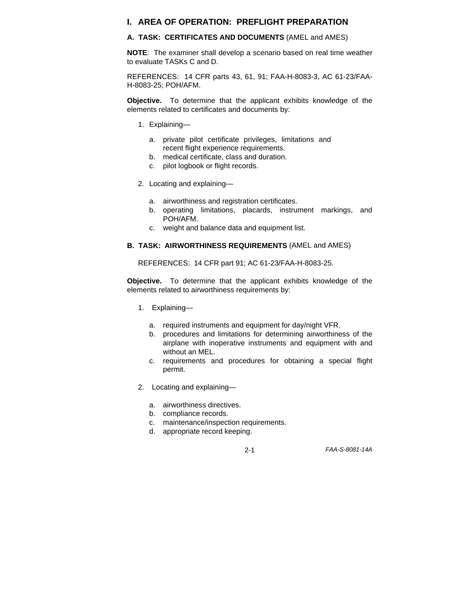## **I. AREA OF OPERATION: PREFLIGHT PREPARATION**

#### **A. TASK: CERTIFICATES AND DOCUMENTS** (AMEL and AMES)

**NOTE**: The examiner shall develop a scenario based on real time weather to evaluate TASKs C and D.

REFERENCES: 14 CFR parts 43, 61, 91; FAA-H-8083-3, AC 61-23/FAA-H-8083-25; POH/AFM.

**Objective.** To determine that the applicant exhibits knowledge of the elements related to certificates and documents by:

- 1. Explaining
	- a. private pilot certificate privileges, limitations and recent flight experience requirements.
	- b. medical certificate, class and duration.
	- c. pilot logbook or flight records.
- 2. Locating and explaining
	- a. airworthiness and registration certificates.
	- b. operating limitations, placards, instrument markings, and POH/AFM.
	- c. weight and balance data and equipment list.

#### **B. TASK: AIRWORTHINESS REQUIREMENTS** (AMEL and AMES)

REFERENCES: 14 CFR part 91; AC 61-23/FAA-H-8083-25.

**Objective.** To determine that the applicant exhibits knowledge of the elements related to airworthiness requirements by:

- 1. Explaining
	- a. required instruments and equipment for day/night VFR.
	- b. procedures and limitations for determining airworthiness of the airplane with inoperative instruments and equipment with and without an MEL.
	- c. requirements and procedures for obtaining a special flight permit.
- 2. Locating and explaining
	- a. airworthiness directives.
	- b. compliance records.
	- c. maintenance/inspection requirements.
	- d. appropriate record keeping.

2-1 FAA-S-8081-14A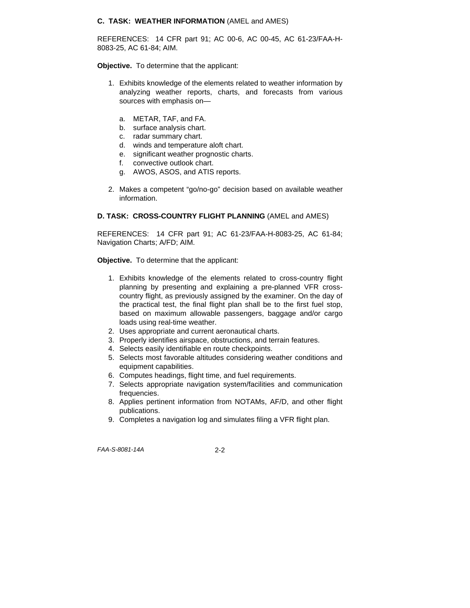#### **C. TASK: WEATHER INFORMATION** (AMEL and AMES)

REFERENCES: 14 CFR part 91; AC 00-6, AC 00-45, AC 61-23/FAA-H-8083-25, AC 61-84; AIM.

**Objective.** To determine that the applicant:

- 1. Exhibits knowledge of the elements related to weather information by analyzing weather reports, charts, and forecasts from various sources with emphasis on
	- a. METAR, TAF, and FA.
	- b. surface analysis chart.
	- c. radar summary chart.
	- d. winds and temperature aloft chart.
	- e. significant weather prognostic charts.
	- f. convective outlook chart.
	- g. AWOS, ASOS, and ATIS reports.
- 2. Makes a competent "go/no-go" decision based on available weather information.

#### **D. TASK: CROSS-COUNTRY FLIGHT PLANNING** (AMEL and AMES)

REFERENCES: 14 CFR part 91; AC 61-23/FAA-H-8083-25, AC 61-84; Navigation Charts; A/FD; AIM.

**Objective.** To determine that the applicant:

- 1. Exhibits knowledge of the elements related to cross-country flight planning by presenting and explaining a pre-planned VFR crosscountry flight, as previously assigned by the examiner. On the day of the practical test, the final flight plan shall be to the first fuel stop, based on maximum allowable passengers, baggage and/or cargo loads using real-time weather.
- 2. Uses appropriate and current aeronautical charts.
- 3. Properly identifies airspace, obstructions, and terrain features.
- 4. Selects easily identifiable en route checkpoints.
- 5. Selects most favorable altitudes considering weather conditions and equipment capabilities.
- 6. Computes headings, flight time, and fuel requirements.
- 7. Selects appropriate navigation system/facilities and communication frequencies.
- 8. Applies pertinent information from NOTAMs, AF/D, and other flight publications.
- 9. Completes a navigation log and simulates filing a VFR flight plan.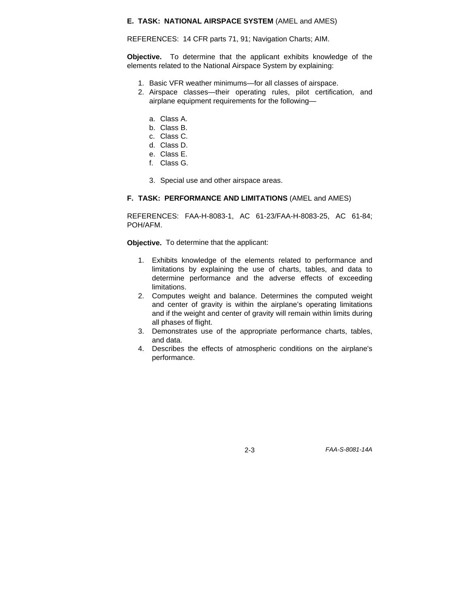#### **E. TASK: NATIONAL AIRSPACE SYSTEM** (AMEL and AMES)

REFERENCES: 14 CFR parts 71, 91; Navigation Charts; AIM.

**Objective.** To determine that the applicant exhibits knowledge of the elements related to the National Airspace System by explaining:

- 1. Basic VFR weather minimums—for all classes of airspace.
- 2. Airspace classes—their operating rules, pilot certification, and airplane equipment requirements for the following
	- a. Class A.
	- b. Class B.
	- c. Class C.
	- d. Class D.
	- e. Class E.
	- f. Class G.
	- 3. Special use and other airspace areas.

#### **F. TASK: PERFORMANCE AND LIMITATIONS** (AMEL and AMES)

REFERENCES: FAA-H-8083-1, AC 61-23/FAA-H-8083-25, AC 61-84; POH/AFM.

**Objective.** To determine that the applicant:

- 1. Exhibits knowledge of the elements related to performance and limitations by explaining the use of charts, tables, and data to determine performance and the adverse effects of exceeding limitations.
- 2. Computes weight and balance. Determines the computed weight and center of gravity is within the airplane's operating limitations and if the weight and center of gravity will remain within limits during all phases of flight.
- 3. Demonstrates use of the appropriate performance charts, tables, and data.
- 4. Describes the effects of atmospheric conditions on the airplane's performance.

2-3 FAA-S-8081-14A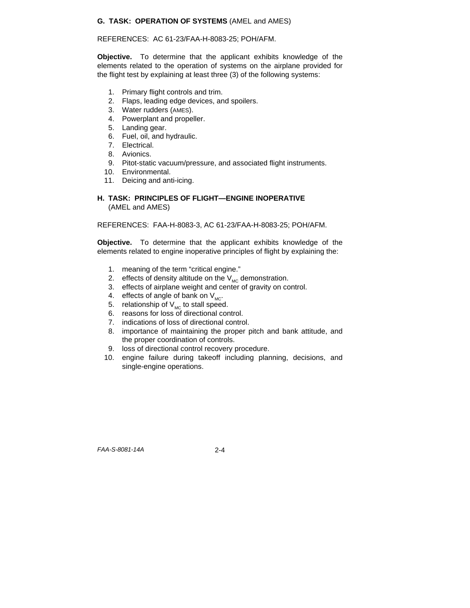#### **G. TASK: OPERATION OF SYSTEMS** (AMEL and AMES)

#### REFERENCES: AC 61-23/FAA-H-8083-25; POH/AFM.

**Objective.** To determine that the applicant exhibits knowledge of the elements related to the operation of systems on the airplane provided for the flight test by explaining at least three (3) of the following systems:

- 1. Primary flight controls and trim.
- 2. Flaps, leading edge devices, and spoilers.
- 3. Water rudders (AMES).
- 4. Powerplant and propeller.
- 5. Landing gear.
- 6. Fuel, oil, and hydraulic.
- 7. Electrical.
- 8. Avionics.
- 9. Pitot-static vacuum/pressure, and associated flight instruments.
- 10. Environmental.
- 11. Deicing and anti-icing.

### **H. TASK: PRINCIPLES OF FLIGHT—ENGINE INOPERATIVE** (AMEL and AMES)

REFERENCES: FAA-H-8083-3, AC 61-23/FAA-H-8083-25; POH/AFM.

**Objective.** To determine that the applicant exhibits knowledge of the elements related to engine inoperative principles of flight by explaining the:

- 1. meaning of the term "critical engine."
- 2. effects of density altitude on the  $V_{MC}$  demonstration.
- 3. effects of airplane weight and center of gravity on control.
- 4. effects of angle of bank on  $V_{MC}$ .
- 5. relationship of  $V_{MC}$  to stall speed.
- 6. reasons for loss of directional control.
- 7. indications of loss of directional control.
- 8. importance of maintaining the proper pitch and bank attitude, and the proper coordination of controls.
- 9. loss of directional control recovery procedure.
- 10. engine failure during takeoff including planning, decisions, and single-engine operations.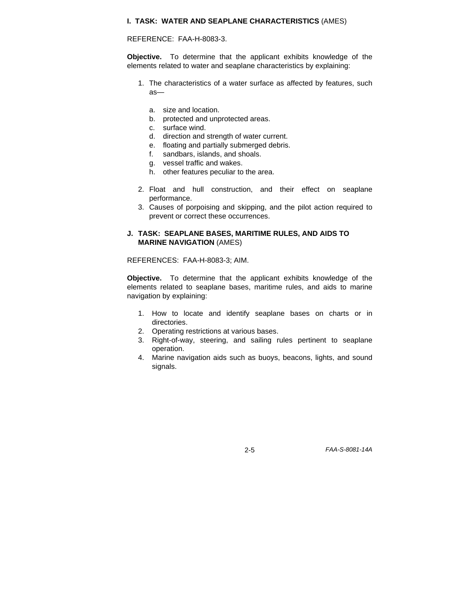#### **I. TASK: WATER AND SEAPLANE CHARACTERISTICS** (AMES)

REFERENCE: FAA-H-8083-3.

**Objective.** To determine that the applicant exhibits knowledge of the elements related to water and seaplane characteristics by explaining:

- 1. The characteristics of a water surface as affected by features, such as
	- a. size and location.
	- b. protected and unprotected areas.
	- c. surface wind.
	- d. direction and strength of water current.
	- e. floating and partially submerged debris.
	- f. sandbars, islands, and shoals.
	- g. vessel traffic and wakes.
	- h. other features peculiar to the area.
- 2. Float and hull construction, and their effect on seaplane performance.
- 3. Causes of porpoising and skipping, and the pilot action required to prevent or correct these occurrences.

#### **J. TASK: SEAPLANE BASES, MARITIME RULES, AND AIDS TO MARINE NAVIGATION** (AMES)

REFERENCES: FAA-H-8083-3; AIM.

**Objective.** To determine that the applicant exhibits knowledge of the elements related to seaplane bases, maritime rules, and aids to marine navigation by explaining:

- 1. How to locate and identify seaplane bases on charts or in directories.
- 2. Operating restrictions at various bases.
- 3. Right-of-way, steering, and sailing rules pertinent to seaplane operation.
- 4. Marine navigation aids such as buoys, beacons, lights, and sound signals.

2-5 FAA-S-8081-14A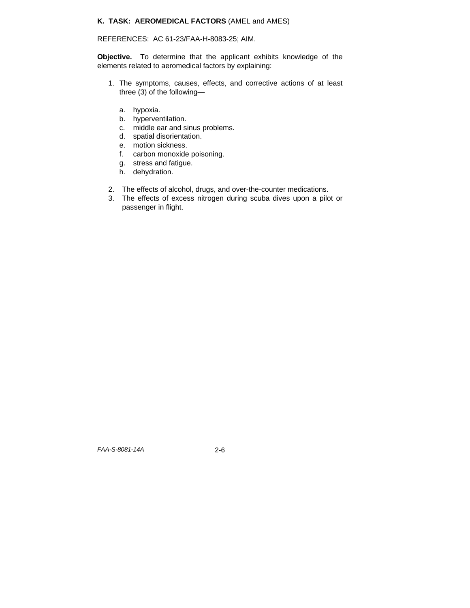#### **K. TASK: AEROMEDICAL FACTORS** (AMEL and AMES)

REFERENCES: AC 61-23/FAA-H-8083-25; AIM.

**Objective.** To determine that the applicant exhibits knowledge of the elements related to aeromedical factors by explaining:

- 1. The symptoms, causes, effects, and corrective actions of at least three (3) of the following
	- a. hypoxia.
	- b. hyperventilation.
	- c. middle ear and sinus problems.
	- d. spatial disorientation.
	- e. motion sickness.
	- f. carbon monoxide poisoning.
	- g. stress and fatigue.
	- h. dehydration.
- 2. The effects of alcohol, drugs, and over-the-counter medications.
- 3. The effects of excess nitrogen during scuba dives upon a pilot or passenger in flight.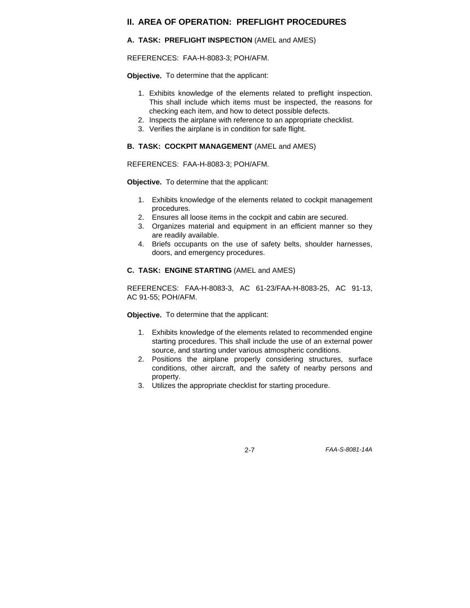## **II. AREA OF OPERATION: PREFLIGHT PROCEDURES**

#### **A. TASK: PREFLIGHT INSPECTION** (AMEL and AMES)

REFERENCES: FAA-H-8083-3; POH/AFM.

**Objective.** To determine that the applicant:

- 1. Exhibits knowledge of the elements related to preflight inspection. This shall include which items must be inspected, the reasons for checking each item, and how to detect possible defects.
- 2. Inspects the airplane with reference to an appropriate checklist.
- 3. Verifies the airplane is in condition for safe flight.

#### **B. TASK: COCKPIT MANAGEMENT** (AMEL and AMES)

REFERENCES: FAA-H-8083-3; POH/AFM.

**Objective.** To determine that the applicant:

- 1. Exhibits knowledge of the elements related to cockpit management procedures.
- 2. Ensures all loose items in the cockpit and cabin are secured.
- 3. Organizes material and equipment in an efficient manner so they are readily available.
- 4. Briefs occupants on the use of safety belts, shoulder harnesses, doors, and emergency procedures.

#### **C. TASK: ENGINE STARTING** (AMEL and AMES)

REFERENCES: FAA-H-8083-3, AC 61-23/FAA-H-8083-25, AC 91-13, AC 91-55; POH/AFM.

**Objective.** To determine that the applicant:

- 1. Exhibits knowledge of the elements related to recommended engine starting procedures. This shall include the use of an external power source, and starting under various atmospheric conditions.
- 2. Positions the airplane properly considering structures, surface conditions, other aircraft, and the safety of nearby persons and property.
- 3. Utilizes the appropriate checklist for starting procedure.

2-7 FAA-S-8081-14A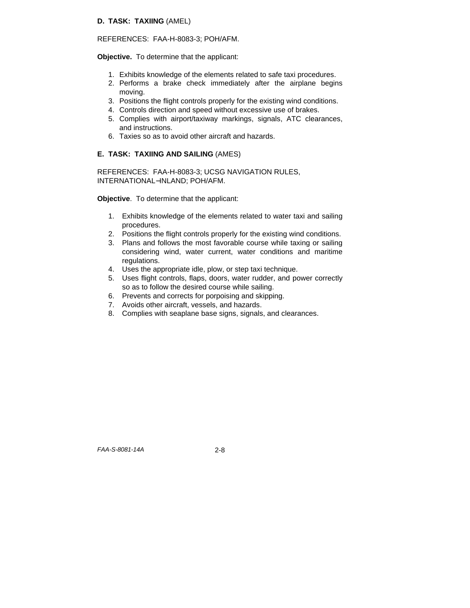#### **D. TASK: TAXIING** (AMEL)

REFERENCES: FAA-H-8083-3; POH/AFM.

**Objective.** To determine that the applicant:

- 1. Exhibits knowledge of the elements related to safe taxi procedures.
- 2. Performs a brake check immediately after the airplane begins moving.
- 3. Positions the flight controls properly for the existing wind conditions.
- 4. Controls direction and speed without excessive use of brakes.
- 5. Complies with airport/taxiway markings, signals, ATC clearances, and instructions.
- 6. Taxies so as to avoid other aircraft and hazards.

#### **E. TASK: TAXIING AND SAILING** (AMES)

REFERENCES: FAA-H-8083-3; UCSG NAVIGATION RULES, INTERNATIONAL−INLAND; POH/AFM.

**Objective**. To determine that the applicant:

- 1. Exhibits knowledge of the elements related to water taxi and sailing procedures.
- 2. Positions the flight controls properly for the existing wind conditions.
- 3. Plans and follows the most favorable course while taxing or sailing considering wind, water current, water conditions and maritime regulations.
- 4. Uses the appropriate idle, plow, or step taxi technique.
- 5. Uses flight controls, flaps, doors, water rudder, and power correctly so as to follow the desired course while sailing.
- 6. Prevents and corrects for porpoising and skipping.
- 7. Avoids other aircraft, vessels, and hazards.
- 8. Complies with seaplane base signs, signals, and clearances.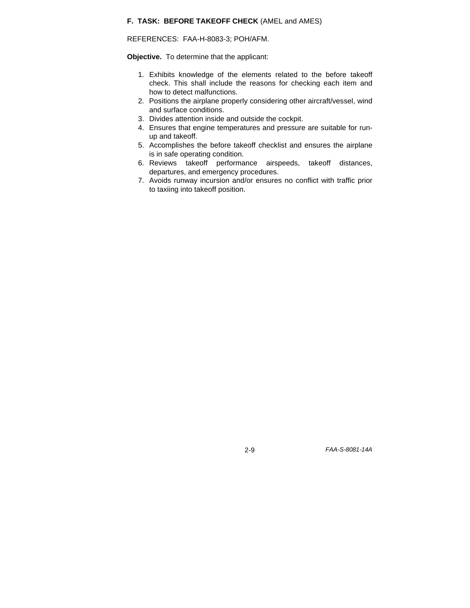#### **F. TASK: BEFORE TAKEOFF CHECK** (AMEL and AMES)

REFERENCES: FAA-H-8083-3; POH/AFM.

**Objective.** To determine that the applicant:

- 1. Exhibits knowledge of the elements related to the before takeoff check. This shall include the reasons for checking each item and how to detect malfunctions.
- 2. Positions the airplane properly considering other aircraft/vessel, wind and surface conditions.
- 3. Divides attention inside and outside the cockpit.
- 4. Ensures that engine temperatures and pressure are suitable for runup and takeoff.
- 5. Accomplishes the before takeoff checklist and ensures the airplane is in safe operating condition.
- 6. Reviews takeoff performance airspeeds, takeoff distances, departures, and emergency procedures.
- 7. Avoids runway incursion and/or ensures no conflict with traffic prior to taxiing into takeoff position.

2-9 FAA-S-8081-14A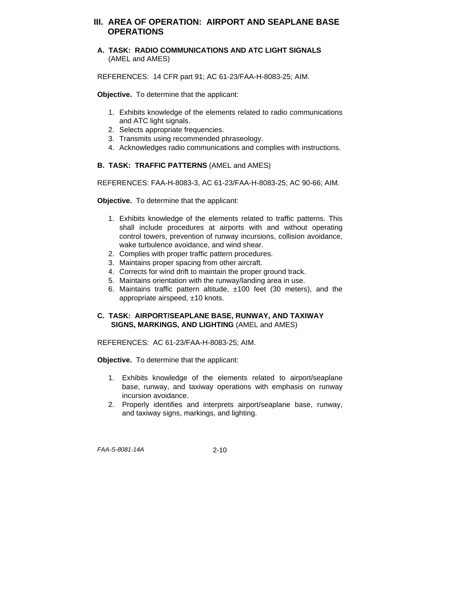## **III. AREA OF OPERATION: AIRPORT AND SEAPLANE BASE OPERATIONS**

#### **A. TASK: RADIO COMMUNICATIONS AND ATC LIGHT SIGNALS** (AMEL and AMES)

REFERENCES: 14 CFR part 91; AC 61-23/FAA-H-8083-25; AIM.

**Objective.** To determine that the applicant:

- 1. Exhibits knowledge of the elements related to radio communications and ATC light signals.
- 2. Selects appropriate frequencies.
- 3. Transmits using recommended phraseology.
- 4. Acknowledges radio communications and complies with instructions.

#### **B. TASK: TRAFFIC PATTERNS** (AMEL and AMES)

REFERENCES: FAA-H-8083-3, AC 61-23/FAA-H-8083-25; AC 90-66; AIM.

**Objective.** To determine that the applicant:

- 1. Exhibits knowledge of the elements related to traffic patterns. This shall include procedures at airports with and without operating control towers, prevention of runway incursions, collision avoidance, wake turbulence avoidance, and wind shear.
- 2. Complies with proper traffic pattern procedures.
- 3. Maintains proper spacing from other aircraft.
- 4. Corrects for wind drift to maintain the proper ground track.
- 5. Maintains orientation with the runway/landing area in use.
- 6. Maintains traffic pattern altitude,  $\pm 100$  feet (30 meters), and the appropriate airspeed, ±10 knots.

#### **C. TASK: AIRPORT/SEAPLANE BASE, RUNWAY, AND TAXIWAY SIGNS, MARKINGS, AND LIGHTING** (AMEL and AMES)

REFERENCES: AC 61-23/FAA-H-8083-25; AIM.

**Objective.** To determine that the applicant:

- 1. Exhibits knowledge of the elements related to airport/seaplane base, runway, and taxiway operations with emphasis on runway incursion avoidance.
- 2. Properly identifies and interprets airport/seaplane base, runway, and taxiway signs, markings, and lighting.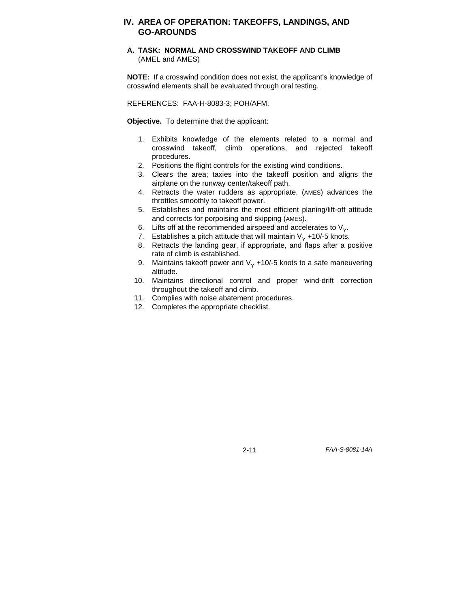## **IV. AREA OF OPERATION: TAKEOFFS, LANDINGS, AND GO-AROUNDS**

#### **A. TASK: NORMAL AND CROSSWIND TAKEOFF AND CLIMB** (AMEL and AMES)

**NOTE:** If a crosswind condition does not exist, the applicant's knowledge of crosswind elements shall be evaluated through oral testing.

REFERENCES: FAA-H-8083-3; POH/AFM.

**Objective.** To determine that the applicant:

- 1. Exhibits knowledge of the elements related to a normal and crosswind takeoff, climb operations, and rejected takeoff procedures.
- 2. Positions the flight controls for the existing wind conditions.
- 3. Clears the area; taxies into the takeoff position and aligns the airplane on the runway center/takeoff path.
- 4. Retracts the water rudders as appropriate, (AMES) advances the throttles smoothly to takeoff power.
- 5. Establishes and maintains the most efficient planing/lift-off attitude and corrects for porpoising and skipping (AMES).
- 6. Lifts off at the recommended airspeed and accelerates to  $V_{\gamma}$ .
- 7. Establishes a pitch attitude that will maintain  $V_v$  +10/-5 knots.
- 8. Retracts the landing gear, if appropriate, and flaps after a positive rate of climb is established.
- 9. Maintains takeoff power and  $V_y$  +10/-5 knots to a safe maneuvering altitude.
- 10. Maintains directional control and proper wind-drift correction throughout the takeoff and climb.
- 11. Complies with noise abatement procedures.
- 12. Completes the appropriate checklist.

2-11 FAA-S-8081-14A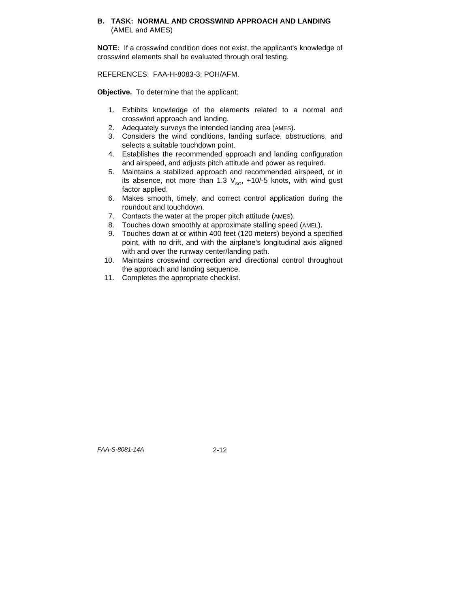#### **B. TASK: NORMAL AND CROSSWIND APPROACH AND LANDING** (AMEL and AMES)

**NOTE:** If a crosswind condition does not exist, the applicant's knowledge of crosswind elements shall be evaluated through oral testing.

REFERENCES: FAA-H-8083-3; POH/AFM.

**Objective.** To determine that the applicant:

- 1. Exhibits knowledge of the elements related to a normal and crosswind approach and landing.
- 2. Adequately surveys the intended landing area (AMES).
- 3. Considers the wind conditions, landing surface, obstructions, and selects a suitable touchdown point.
- 4. Establishes the recommended approach and landing configuration and airspeed, and adjusts pitch attitude and power as required.
- 5. Maintains a stabilized approach and recommended airspeed, or in its absence, not more than 1.3  $V_{\text{SO}}$ , +10/-5 knots, with wind gust factor applied.
- 6. Makes smooth, timely, and correct control application during the roundout and touchdown.
- 7. Contacts the water at the proper pitch attitude (AMES).
- 8. Touches down smoothly at approximate stalling speed (AMEL).
- 9. Touches down at or within 400 feet (120 meters) beyond a specified point, with no drift, and with the airplane's longitudinal axis aligned with and over the runway center/landing path.
- 10. Maintains crosswind correction and directional control throughout the approach and landing sequence.
- 11. Completes the appropriate checklist.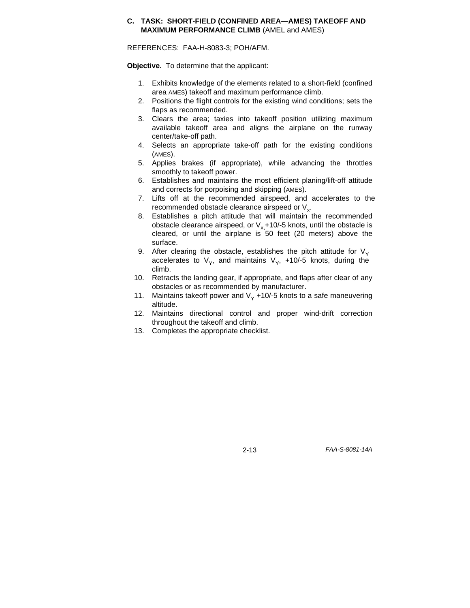#### **C. TASK: SHORT-FIELD (CONFINED AREA—AMES) TAKEOFF AND MAXIMUM PERFORMANCE CLIMB** (AMEL and AMES)

REFERENCES: FAA-H-8083-3; POH/AFM.

**Objective.** To determine that the applicant:

- 1. Exhibits knowledge of the elements related to a short-field (confined area AMES) takeoff and maximum performance climb.
- 2. Positions the flight controls for the existing wind conditions; sets the flaps as recommended.
- 3. Clears the area; taxies into takeoff position utilizing maximum available takeoff area and aligns the airplane on the runway center/take-off path.
- 4. Selects an appropriate take-off path for the existing conditions (AMES).
- 5. Applies brakes (if appropriate), while advancing the throttles smoothly to takeoff power.
- 6. Establishes and maintains the most efficient planing/lift-off attitude and corrects for porpoising and skipping (AMES).
- 7. Lifts off at the recommended airspeed, and accelerates to the recommended obstacle clearance airspeed or  $V<sub>x</sub>$ .
- 8. Establishes a pitch attitude that will maintain the recommended obstacle clearance airspeed, or  $\mathsf{V}_{\mathsf{x},\mathsf{+}}$ 10/-5 knots, until the obstacle is cleared, or until the airplane is  $50$  feet (20 meters) above the surface.
- 9. After clearing the obstacle, establishes the pitch attitude for  $V_{\rm y}$ accelerates to  $V_{\gamma}$ , and maintains  $V_{\gamma}$ , +10/-5 knots, during the climb.
- 10. Retracts the landing gear, if appropriate, and flaps after clear of any obstacles or as recommended by manufacturer.
- 11. Maintains takeoff power and  $V_y$  +10/-5 knots to a safe maneuvering altitude.
- 12. Maintains directional control and proper wind-drift correction throughout the takeoff and climb.
- 13. Completes the appropriate checklist.

2-13 FAA-S-8081-14A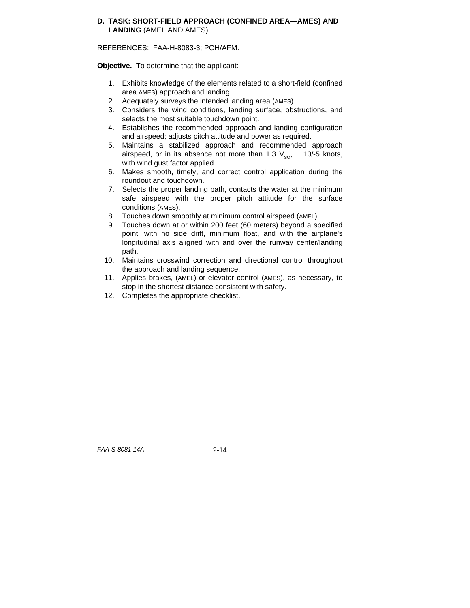#### **D. TASK: SHORT-FIELD APPROACH (CONFINED AREA—AMES) AND LANDING** (AMEL AND AMES)

REFERENCES: FAA-H-8083-3; POH/AFM.

**Objective.** To determine that the applicant:

- 1. Exhibits knowledge of the elements related to a short-field (confined area AMES) approach and landing.
- 2. Adequately surveys the intended landing area (AMES).
- 3. Considers the wind conditions, landing surface, obstructions, and selects the most suitable touchdown point.
- 4. Establishes the recommended approach and landing configuration and airspeed; adjusts pitch attitude and power as required.
- 5. Maintains a stabilized approach and recommended approach airspeed, or in its absence not more than 1.3  $V_{\rm so}$ , +10/-5 knots, with wind gust factor applied.
- 6. Makes smooth, timely, and correct control application during the roundout and touchdown.
- 7. Selects the proper landing path, contacts the water at the minimum safe airspeed with the proper pitch attitude for the surface conditions (AMES).
- 8. Touches down smoothly at minimum control airspeed (AMEL).
- 9. Touches down at or within 200 feet (60 meters) beyond a specified point, with no side drift, minimum float, and with the airplane's longitudinal axis aligned with and over the runway center/landing path.
- 10. Maintains crosswind correction and directional control throughout the approach and landing sequence.
- 11. Applies brakes, (AMEL) or elevator control (AMES), as necessary, to stop in the shortest distance consistent with safety.
- 12. Completes the appropriate checklist.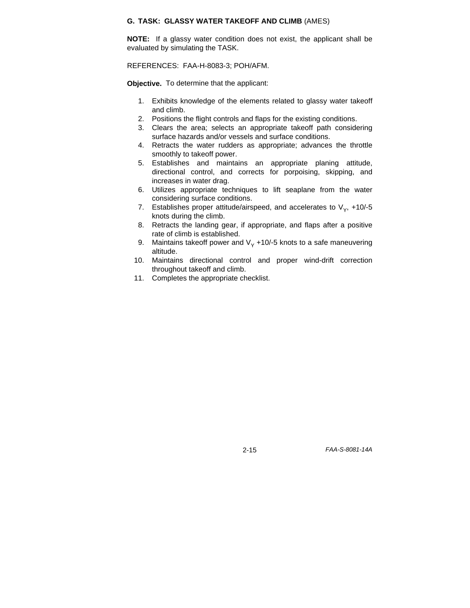#### **G. TASK: GLASSY WATER TAKEOFF AND CLIMB** (AMES)

**NOTE:** If a glassy water condition does not exist, the applicant shall be evaluated by simulating the TASK.

REFERENCES: FAA-H-8083-3; POH/AFM.

**Objective.** To determine that the applicant:

- 1. Exhibits knowledge of the elements related to glassy water takeoff and climb.
- 2. Positions the flight controls and flaps for the existing conditions.
- 3. Clears the area; selects an appropriate takeoff path considering surface hazards and/or vessels and surface conditions.
- 4. Retracts the water rudders as appropriate; advances the throttle smoothly to takeoff power.
- 5. Establishes and maintains an appropriate planing attitude, directional control, and corrects for porpoising, skipping, and increases in water drag.
- 6. Utilizes appropriate techniques to lift seaplane from the water considering surface conditions.
- 7. Establishes proper attitude/airspeed, and accelerates to  $V_v$ , +10/-5 knots during the climb.
- 8. Retracts the landing gear, if appropriate, and flaps after a positive rate of climb is established.
- 9. Maintains takeoff power and  $V_v + 10/-5$  knots to a safe maneuvering altitude.
- 10. Maintains directional control and proper wind-drift correction throughout takeoff and climb.
- 11. Completes the appropriate checklist.

2-15 FAA-S-8081-14A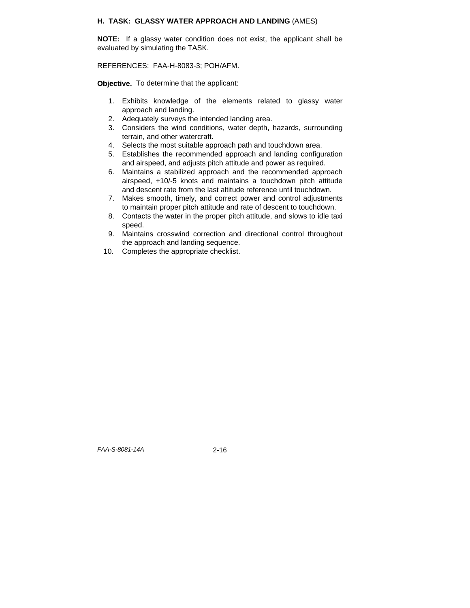#### **H. TASK: GLASSY WATER APPROACH AND LANDING** (AMES)

**NOTE:** If a glassy water condition does not exist, the applicant shall be evaluated by simulating the TASK.

REFERENCES: FAA-H-8083-3; POH/AFM.

**Objective.** To determine that the applicant:

- 1. Exhibits knowledge of the elements related to glassy water approach and landing.
- 2. Adequately surveys the intended landing area.
- 3. Considers the wind conditions, water depth, hazards, surrounding terrain, and other watercraft.
- 4. Selects the most suitable approach path and touchdown area.
- 5. Establishes the recommended approach and landing configuration and airspeed, and adjusts pitch attitude and power as required.
- 6. Maintains a stabilized approach and the recommended approach airspeed, +10/-5 knots and maintains a touchdown pitch attitude and descent rate from the last altitude reference until touchdown.
- 7. Makes smooth, timely, and correct power and control adjustments to maintain proper pitch attitude and rate of descent to touchdown.
- 8. Contacts the water in the proper pitch attitude, and slows to idle taxi speed.
- 9. Maintains crosswind correction and directional control throughout the approach and landing sequence.
- 10. Completes the appropriate checklist.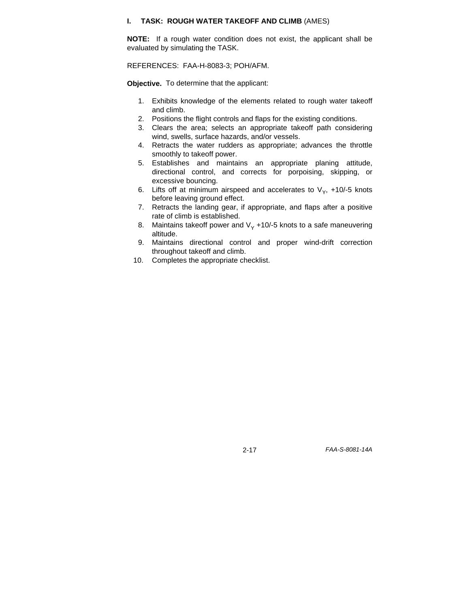#### **I. TASK: ROUGH WATER TAKEOFF AND CLIMB** (AMES)

**NOTE:** If a rough water condition does not exist, the applicant shall be evaluated by simulating the TASK.

REFERENCES: FAA-H-8083-3; POH/AFM.

**Objective.** To determine that the applicant:

- 1. Exhibits knowledge of the elements related to rough water takeoff and climb.
- 2. Positions the flight controls and flaps for the existing conditions.
- 3. Clears the area; selects an appropriate takeoff path considering wind, swells, surface hazards, and/or vessels.
- 4. Retracts the water rudders as appropriate; advances the throttle smoothly to takeoff power.
- 5. Establishes and maintains an appropriate planing attitude, directional control, and corrects for porpoising, skipping, or excessive bouncing.
- 6. Lifts off at minimum airspeed and accelerates to  $V_{\gamma}$ , +10/-5 knots before leaving ground effect.
- 7. Retracts the landing gear, if appropriate, and flaps after a positive rate of climb is established.
- 8. Maintains takeoff power and  $V_v$  +10/-5 knots to a safe maneuvering altitude.
- 9. Maintains directional control and proper wind-drift correction throughout takeoff and climb.
- 10. Completes the appropriate checklist.

2-17 FAA-S-8081-14A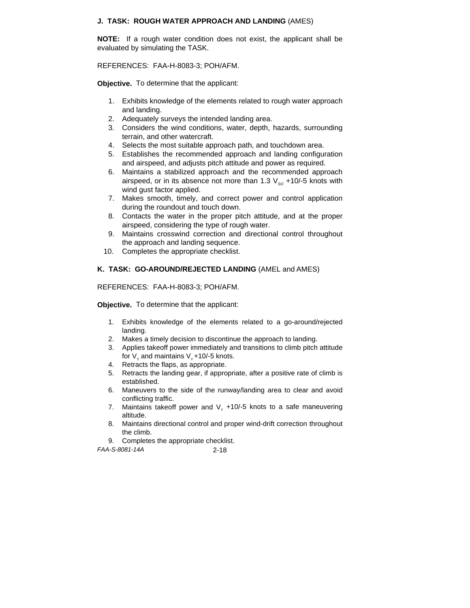#### **J. TASK: ROUGH WATER APPROACH AND LANDING** (AMES)

**NOTE:** If a rough water condition does not exist, the applicant shall be evaluated by simulating the TASK.

REFERENCES: FAA-H-8083-3; POH/AFM.

**Objective.** To determine that the applicant:

- 1. Exhibits knowledge of the elements related to rough water approach and landing.
- 2. Adequately surveys the intended landing area.
- 3. Considers the wind conditions, water, depth, hazards, surrounding terrain, and other watercraft.
- 4. Selects the most suitable approach path, and touchdown area.
- 5. Establishes the recommended approach and landing configuration and airspeed, and adjusts pitch attitude and power as required.
- 6. Maintains a stabilized approach and the recommended approach airspeed, or in its absence not more than 1.3  $V_{\text{so}}$  +10/-5 knots with wind gust factor applied.
- 7. Makes smooth, timely, and correct power and control application during the roundout and touch down.
- 8. Contacts the water in the proper pitch attitude, and at the proper airspeed, considering the type of rough water.
- 9. Maintains crosswind correction and directional control throughout the approach and landing sequence.
- 10. Completes the appropriate checklist.

#### **K. TASK: GO-AROUND/REJECTED LANDING** (AMEL and AMES)

#### REFERENCES: FAA-H-8083-3; POH/AFM.

**Objective.** To determine that the applicant:

- 1. Exhibits knowledge of the elements related to a go-around/rejected landing.
- 2. Makes a timely decision to discontinue the approach to landing.
- 3. Applies takeoff power immediately and transitions to climb pitch attitude for  $V_{y}$  and maintains  $V_{y}$ +10/-5 knots.
- 4. Retracts the flaps, as appropriate.
- 5. Retracts the landing gear, if appropriate, after a positive rate of climb is established.
- 6. Maneuvers to the side of the runway/landing area to clear and avoid conflicting traffic.
- 7. Maintains takeoff power and  $V_y + 10/-5$  knots to a safe maneuvering altitude.
- 8. Maintains directional control and proper wind-drift correction throughout the climb.
- 9. Completes the appropriate checklist.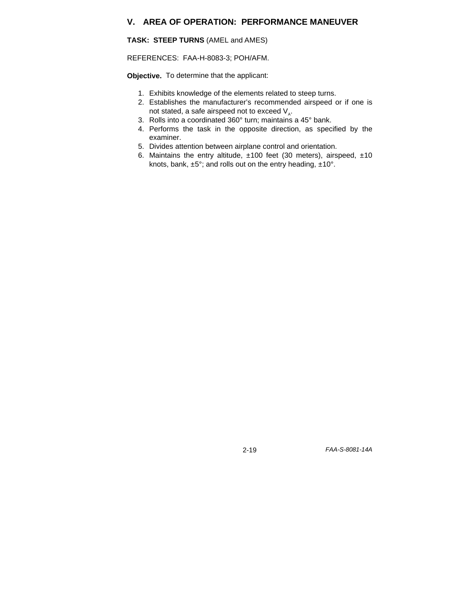## **V. AREA OF OPERATION: PERFORMANCE MANEUVER**

#### **TASK: STEEP TURNS** (AMEL and AMES)

REFERENCES: FAA-H-8083-3; POH/AFM.

**Objective.** To determine that the applicant:

- 1. Exhibits knowledge of the elements related to steep turns.
- 2. Establishes the manufacturer's recommended airspeed or if one is not stated, a safe airspeed not to exceed  $V_{\alpha}$ .
- 3. Rolls into a coordinated 360° turn; maintains a 45° bank.
- 4. Performs the task in the opposite direction, as specified by the examiner.
- 5. Divides attention between airplane control and orientation.
- 6. Maintains the entry altitude,  $\pm 100$  feet (30 meters), airspeed,  $\pm 10$ knots, bank,  $\pm 5^{\circ}$ ; and rolls out on the entry heading,  $\pm 10^{\circ}$ .

2-19 FAA-S-8081-14A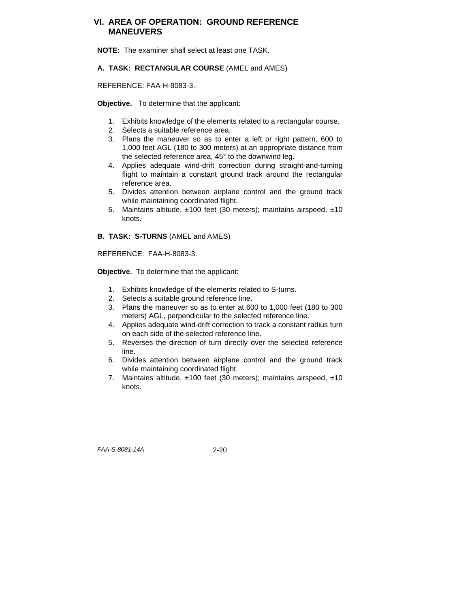## **VI. AREA OF OPERATION: GROUND REFERENCE MANEUVERS**

**NOTE:** The examiner shall select at least one TASK.

#### **A. TASK: RECTANGULAR COURSE** (AMEL and AMES)

REFERENCE: FAA-H-8083-3.

**Objective.** To determine that the applicant:

- 1. Exhibits knowledge of the elements related to a rectangular course.
- 2. Selects a suitable reference area.
- 3. Plans the maneuver so as to enter a left or right pattern, 600 to 1,000 feet AGL (180 to 300 meters) at an appropriate distance from the selected reference area, 45° to the downwind leg.
- 4. Applies adequate wind-drift correction during straight-and-turning flight to maintain a constant ground track around the rectangular reference area.
- 5. Divides attention between airplane control and the ground track while maintaining coordinated flight.
- 6. Maintains altitude,  $\pm 100$  feet (30 meters); maintains airspeed,  $\pm 10$ knots.

**B. TASK: S-TURNS** (AMEL and AMES)

REFERENCE: FAA-H-8083-3.

**Objective.** To determine that the applicant:

- 1. Exhibits knowledge of the elements related to S-turns.
- 2. Selects a suitable ground reference line.
- 3. Plans the maneuver so as to enter at 600 to 1,000 feet (180 to 300 meters) AGL, perpendicular to the selected reference line.
- 4. Applies adequate wind-drift correction to track a constant radius turn on each side of the selected reference line.
- 5. Reverses the direction of turn directly over the selected reference line.
- 6. Divides attention between airplane control and the ground track while maintaining coordinated flight.
- 7. Maintains altitude,  $\pm 100$  feet (30 meters); maintains airspeed,  $\pm 10$ knots.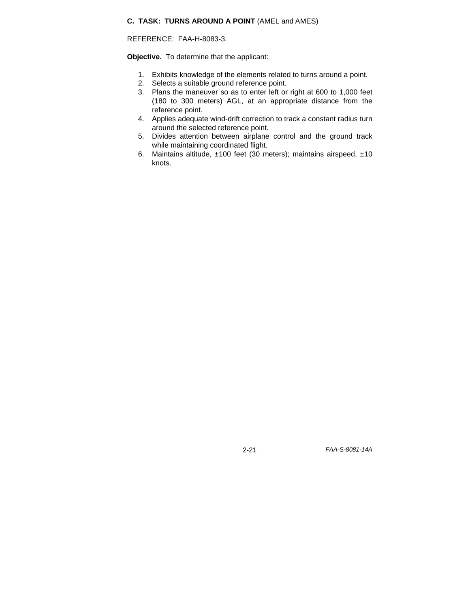#### **C. TASK: TURNS AROUND A POINT** (AMEL and AMES)

REFERENCE: FAA-H-8083-3.

**Objective.** To determine that the applicant:

- 1. Exhibits knowledge of the elements related to turns around a point.
- 2. Selects a suitable ground reference point.
- 3. Plans the maneuver so as to enter left or right at 600 to 1,000 feet (180 to 300 meters) AGL, at an appropriate distance from the reference point.
- 4. Applies adequate wind-drift correction to track a constant radius turn around the selected reference point.
- 5. Divides attention between airplane control and the ground track while maintaining coordinated flight.
- 6. Maintains altitude,  $\pm 100$  feet (30 meters); maintains airspeed,  $\pm 10$ knots.

2-21 FAA-S-8081-14A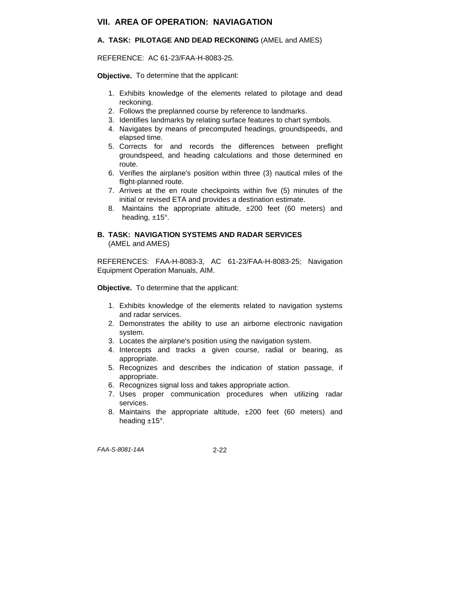## **VII. AREA OF OPERATION: NAVIAGATION**

#### **A. TASK: PILOTAGE AND DEAD RECKONING** (AMEL and AMES)

REFERENCE: AC 61-23/FAA-H-8083-25.

**Objective.** To determine that the applicant:

- 1. Exhibits knowledge of the elements related to pilotage and dead reckoning.
- 2. Follows the preplanned course by reference to landmarks.
- 3. Identifies landmarks by relating surface features to chart symbols.
- 4. Navigates by means of precomputed headings, groundspeeds, and elapsed time.
- 5. Corrects for and records the differences between preflight groundspeed, and heading calculations and those determined en route.
- 6. Verifies the airplane's position within three (3) nautical miles of the flight-planned route.
- 7. Arrives at the en route checkpoints within five (5) minutes of the initial or revised ETA and provides a destination estimate.
- 8. Maintains the appropriate altitude, ±200 feet (60 meters) and heading, ±15°.

## **B. TASK: NAVIGATION SYSTEMS AND RADAR SERVICES** (AMEL and AMES)

REFERENCES: FAA-H-8083-3, AC 61-23/FAA-H-8083-25; Navigation Equipment Operation Manuals, AIM.

**Objective.** To determine that the applicant:

- 1. Exhibits knowledge of the elements related to navigation systems and radar services.
- 2. Demonstrates the ability to use an airborne electronic navigation system.
- 3. Locates the airplane's position using the navigation system.
- 4. Intercepts and tracks a given course, radial or bearing, as appropriate.
- 5. Recognizes and describes the indication of station passage, if appropriate.
- 6. Recognizes signal loss and takes appropriate action.
- 7. Uses proper communication procedures when utilizing radar services.
- 8. Maintains the appropriate altitude,  $\pm 200$  feet (60 meters) and heading ±15°.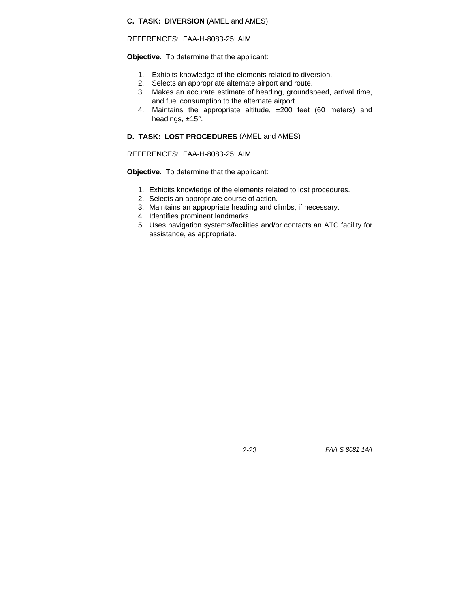#### **C. TASK: DIVERSION (AMEL and AMES)**

REFERENCES: FAA-H-8083-25; AIM.

**Objective.** To determine that the applicant:

- 1. Exhibits knowledge of the elements related to diversion.
- 2. Selects an appropriate alternate airport and route.
- 3. Makes an accurate estimate of heading, groundspeed, arrival time, and fuel consumption to the alternate airport.
- 4. Maintains the appropriate altitude, ±200 feet (60 meters) and headings,  $±15^\circ$ .

#### **D. TASK: LOST PROCEDURES** (AMEL and AMES)

REFERENCES: FAA-H-8083-25; AIM.

**Objective.** To determine that the applicant:

- 1. Exhibits knowledge of the elements related to lost procedures.
- 2. Selects an appropriate course of action.
- 3. Maintains an appropriate heading and climbs, if necessary.
- 4. Identifies prominent landmarks.
- 5. Uses navigation systems/facilities and/or contacts an ATC facility for assistance, as appropriate.

2-23 FAA-S-8081-14A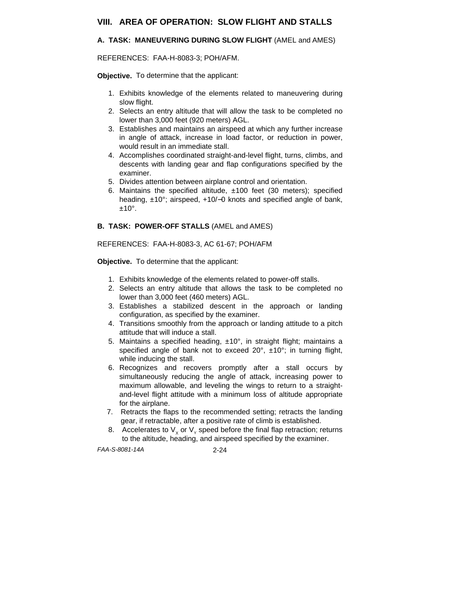## **VIII. AREA OF OPERATION: SLOW FLIGHT AND STALLS**

### **A. TASK: MANEUVERING DURING SLOW FLIGHT** (AMEL and AMES)

REFERENCES: FAA-H-8083-3; POH/AFM.

**Objective.** To determine that the applicant:

- 1. Exhibits knowledge of the elements related to maneuvering during slow flight.
- 2. Selects an entry altitude that will allow the task to be completed no lower than 3,000 feet (920 meters) AGL.
- 3. Establishes and maintains an airspeed at which any further increase in angle of attack, increase in load factor, or reduction in power, would result in an immediate stall.
- 4. Accomplishes coordinated straight-and-level flight, turns, climbs, and descents with landing gear and flap configurations specified by the examiner.
- 5. Divides attention between airplane control and orientation.
- 6. Maintains the specified altitude,  $±100$  feet (30 meters); specified heading, ±10°; airspeed, +10/−0 knots and specified angle of bank,  $±10^\circ$ .

#### **B. TASK: POWER-OFF STALLS** (AMEL and AMES)

REFERENCES: FAA-H-8083-3, AC 61-67; POH/AFM

**Objective.** To determine that the applicant:

- 1. Exhibits knowledge of the elements related to power-off stalls.
- 2. Selects an entry altitude that allows the task to be completed no lower than 3,000 feet (460 meters) AGL.
- 3. Establishes a stabilized descent in the approach or landing configuration, as specified by the examiner.
- 4. Transitions smoothly from the approach or landing attitude to a pitch attitude that will induce a stall.
- 5. Maintains a specified heading,  $\pm 10^{\circ}$ , in straight flight; maintains a specified angle of bank not to exceed  $20^\circ$ ,  $\pm 10^\circ$ ; in turning flight, while inducing the stall.
- 6. Recognizes and recovers promptly after a stall occurs by simultaneously reducing the angle of attack, increasing power to maximum allowable, and leveling the wings to return to a straightand-level flight attitude with a minimum loss of altitude appropriate for the airplane.
- 7. Retracts the flaps to the recommended setting; retracts the landing gear, if retractable, after a positive rate of climb is established.
- 8. Accelerates to  $V_x$  or  $V_y$  speed before the final flap retraction; returns to the altitude, heading, and airspeed specified by the examiner.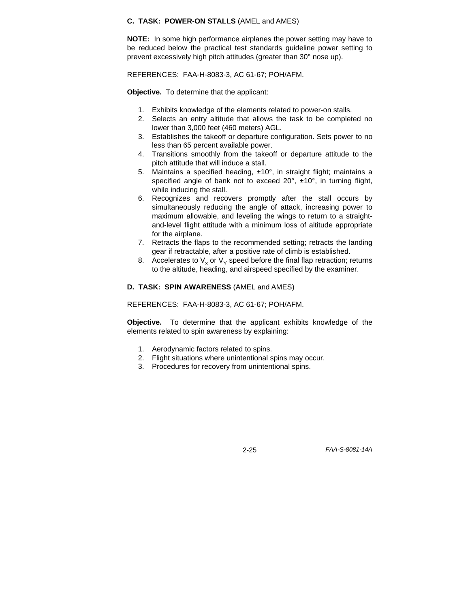#### **C. TASK: POWER-ON STALLS** (AMEL and AMES)

**NOTE:** In some high performance airplanes the power setting may have to be reduced below the practical test standards guideline power setting to prevent excessively high pitch attitudes (greater than 30° nose up).

#### REFERENCES: FAA-H-8083-3, AC 61-67; POH/AFM.

**Objective.** To determine that the applicant:

- 1. Exhibits knowledge of the elements related to power-on stalls.
- 2. Selects an entry altitude that allows the task to be completed no lower than 3,000 feet (460 meters) AGL.
- 3. Establishes the takeoff or departure configuration. Sets power to no less than 65 percent available power.
- 4. Transitions smoothly from the takeoff or departure attitude to the pitch attitude that will induce a stall.
- 5. Maintains a specified heading,  $\pm 10^\circ$ , in straight flight; maintains a specified angle of bank not to exceed 20°, ±10°, in turning flight, while inducing the stall.
- 6. Recognizes and recovers promptly after the stall occurs by simultaneously reducing the angle of attack, increasing power to maximum allowable, and leveling the wings to return to a straightand-level flight attitude with a minimum loss of altitude appropriate for the airplane.
- 7. Retracts the flaps to the recommended setting; retracts the landing gear if retractable, after a positive rate of climb is established.
- 8. Accelerates to  $V_x$  or  $V_y$  speed before the final flap retraction; returns to the altitude, heading, and airspeed specified by the examiner.

#### **D. TASK: SPIN AWARENESS** (AMEL and AMES)

REFERENCES: FAA-H-8083-3, AC 61-67; POH/AFM.

**Objective.** To determine that the applicant exhibits knowledge of the elements related to spin awareness by explaining:

- 1. Aerodynamic factors related to spins.
- 2. Flight situations where unintentional spins may occur.
- 3. Procedures for recovery from unintentional spins.

2-25 FAA-S-8081-14A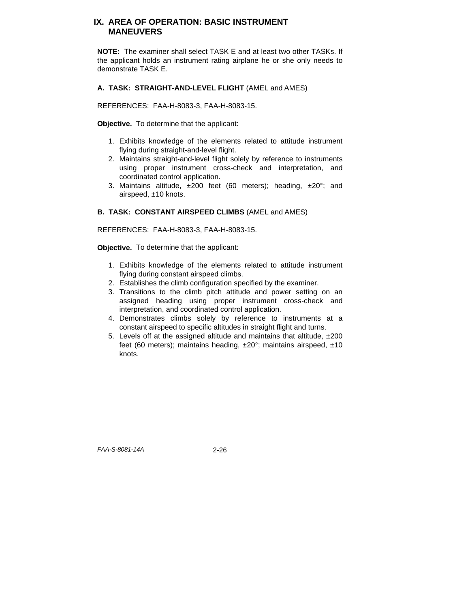## **IX. AREA OF OPERATION: BASIC INSTRUMENT MANEUVERS**

**NOTE:** The examiner shall select TASK E and at least two other TASKs. If the applicant holds an instrument rating airplane he or she only needs to demonstrate TASK E.

#### **A. TASK: STRAIGHT-AND-LEVEL FLIGHT** (AMEL and AMES)

REFERENCES: FAA-H-8083-3, FAA-H-8083-15.

**Objective.** To determine that the applicant:

- 1. Exhibits knowledge of the elements related to attitude instrument flying during straight-and-level flight.
- 2. Maintains straight-and-level flight solely by reference to instruments using proper instrument cross-check and interpretation, and coordinated control application.
- 3. Maintains altitude, ±200 feet (60 meters); heading, ±20°; and airspeed, ±10 knots.

#### **B. TASK: CONSTANT AIRSPEED CLIMBS (AMEL and AMES)**

REFERENCES: FAA-H-8083-3, FAA-H-8083-15.

**Objective.** To determine that the applicant:

- 1. Exhibits knowledge of the elements related to attitude instrument flying during constant airspeed climbs.
- 2. Establishes the climb configuration specified by the examiner.
- 3. Transitions to the climb pitch attitude and power setting on an assigned heading using proper instrument cross-check and interpretation, and coordinated control application.
- 4. Demonstrates climbs solely by reference to instruments at a constant airspeed to specific altitudes in straight flight and turns.
- 5. Levels off at the assigned altitude and maintains that altitude,  $\pm 200$ feet (60 meters); maintains heading,  $\pm 20^{\circ}$ ; maintains airspeed,  $\pm 10$ knots.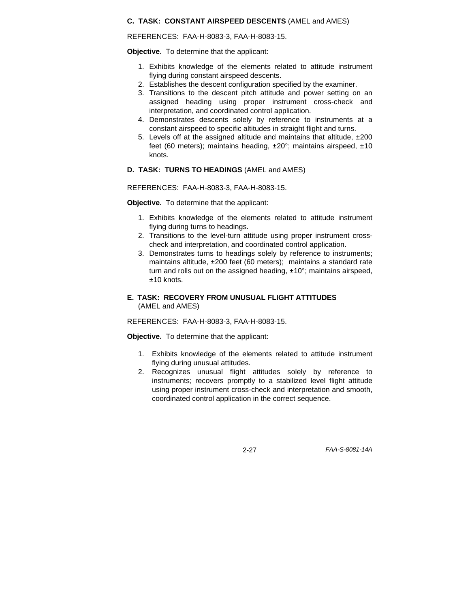#### **C. TASK: CONSTANT AIRSPEED DESCENTS** (AMEL and AMES)

REFERENCES: FAA-H-8083-3, FAA-H-8083-15.

**Objective.** To determine that the applicant:

- 1. Exhibits knowledge of the elements related to attitude instrument flying during constant airspeed descents.
- 2. Establishes the descent configuration specified by the examiner.
- 3. Transitions to the descent pitch attitude and power setting on an assigned heading using proper instrument cross-check and interpretation, and coordinated control application.
- 4. Demonstrates descents solely by reference to instruments at a constant airspeed to specific altitudes in straight flight and turns.
- 5. Levels off at the assigned altitude and maintains that altitude,  $\pm 200$ feet (60 meters); maintains heading,  $\pm 20^{\circ}$ ; maintains airspeed,  $\pm 10$ knots.

#### **D. TASK: TURNS TO HEADINGS** (AMEL and AMES)

REFERENCES: FAA-H-8083-3, FAA-H-8083-15.

**Objective.** To determine that the applicant:

- 1. Exhibits knowledge of the elements related to attitude instrument flying during turns to headings.
- 2. Transitions to the level-turn attitude using proper instrument crosscheck and interpretation, and coordinated control application.
- 3. Demonstrates turns to headings solely by reference to instruments; maintains altitude, ±200 feet (60 meters); maintains a standard rate turn and rolls out on the assigned heading, ±10°; maintains airspeed,  $±10$  knots.

#### **E. TASK: RECOVERY FROM UNUSUAL FLIGHT ATTITUDES** (AMEL and AMES)

REFERENCES: FAA-H-8083-3, FAA-H-8083-15.

**Objective.** To determine that the applicant:

- 1. Exhibits knowledge of the elements related to attitude instrument flying during unusual attitudes.
- 2. Recognizes unusual flight attitudes solely by reference to instruments; recovers promptly to a stabilized level flight attitude using proper instrument cross-check and interpretation and smooth, coordinated control application in the correct sequence.

2-27 FAA-S-8081-14A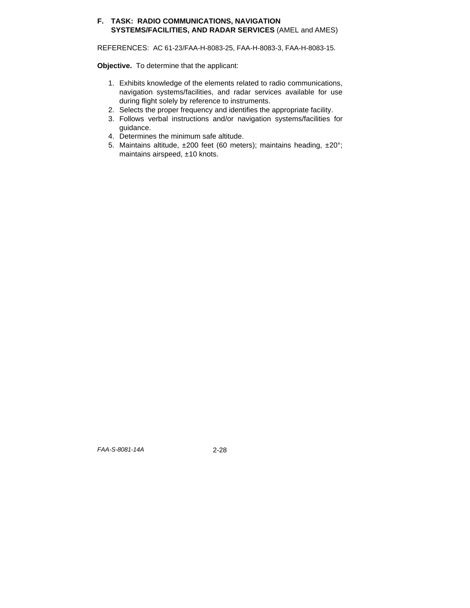#### **F. TASK: RADIO COMMUNICATIONS, NAVIGATION SYSTEMS/FACILITIES, AND RADAR SERVICES** (AMEL and AMES)

REFERENCES: AC 61-23/FAA-H-8083-25, FAA-H-8083-3, FAA-H-8083-15.

**Objective.** To determine that the applicant:

- 1. Exhibits knowledge of the elements related to radio communications, navigation systems/facilities, and radar services available for use during flight solely by reference to instruments.
- 2. Selects the proper frequency and identifies the appropriate facility.
- 3. Follows verbal instructions and/or navigation systems/facilities for guidance.
- 4. Determines the minimum safe altitude.
- 5. Maintains altitude, ±200 feet (60 meters); maintains heading, ±20°; maintains airspeed, ±10 knots.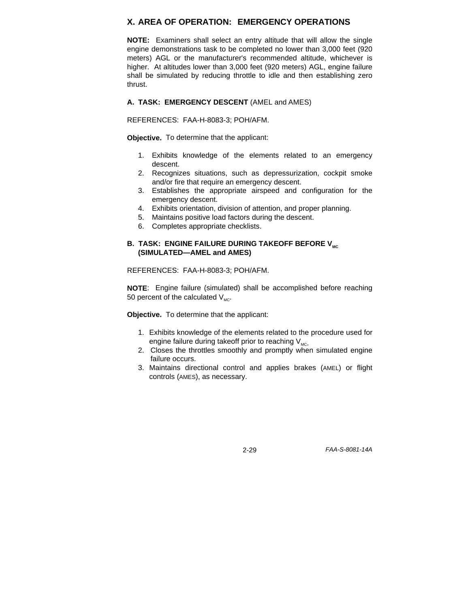# **X. AREA OF OPERATION: EMERGENCY OPERATIONS**

**NOTE:** Examiners shall select an entry altitude that will allow the single engine demonstrations task to be completed no lower than 3,000 feet (920 meters) AGL or the manufacturer's recommended altitude, whichever is higher. At altitudes lower than 3,000 feet (920 meters) AGL, engine failure shall be simulated by reducing throttle to idle and then establishing zero thrust.

**A. TASK: EMERGENCY DESCENT** (AMEL and AMES)

REFERENCES: FAA-H-8083-3; POH/AFM.

**Objective.** To determine that the applicant:

- 1. Exhibits knowledge of the elements related to an emergency descent.
- 2. Recognizes situations, such as depressurization, cockpit smoke and/or fire that require an emergency descent.
- 3. Establishes the appropriate airspeed and configuration for the emergency descent.
- 4. Exhibits orientation, division of attention, and proper planning.
- 5. Maintains positive load factors during the descent.
- 6. Completes appropriate checklists.

### **B. TASK: ENGINE FAILURE DURING TAKEOFF BEFORE V<sub>MC</sub> (SIMULATED—AMEL and AMES)**

REFERENCES: FAA-H-8083-3; POH/AFM.

**NOTE**: Engine failure (simulated) shall be accomplished before reaching 50 percent of the calculated  $V_{MC}$ .

**Objective.** To determine that the applicant:

- 1. Exhibits knowledge of the elements related to the procedure used for engine failure during takeoff prior to reaching  $V_{MC}$ .
- 2. Closes the throttles smoothly and promptly when simulated engine failure occurs.
- 3. Maintains directional control and applies brakes (AMEL) or flight controls (AMES), as necessary.

2-29 FAA-S-8081-14A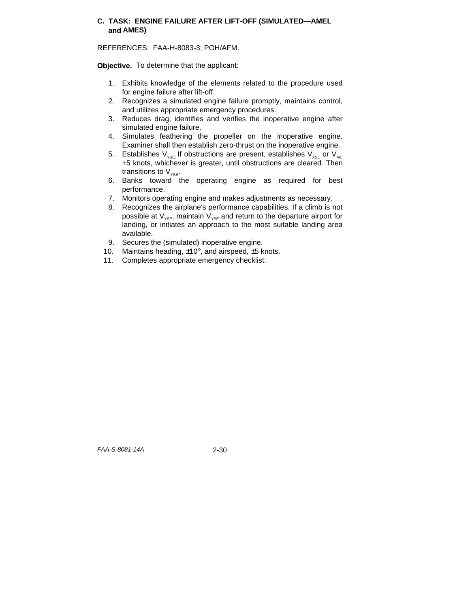# **C. TASK: ENGINE FAILURE AFTER LIFT-OFF (SIMULATED—AMEL and AMES)**

REFERENCES: FAA-H-8083-3; POH/AFM.

**Objective.** To determine that the applicant:

- 1. Exhibits knowledge of the elements related to the procedure used for engine failure after lift-off.
- 2. Recognizes a simulated engine failure promptly, maintains control, and utilizes appropriate emergency procedures.
- 3. Reduces drag, identifies and verifies the inoperative engine after simulated engine failure.
- 4. Simulates feathering the propeller on the inoperative engine. Examiner shall then establish zero-thrust on the inoperative engine.
- 5. Establishes  $V_{\text{VSE}}$  If obstructions are present, establishes  $V_{\text{XSE}}$  or  $V_{\text{MC}}$ +5 knots, whichever is greater, until obstructions are cleared. Then transitions to  $V_{\text{YSE}}$ .
- 6. Banks toward the operating engine as required for best performance.
- 7. Monitors operating engine and makes adjustments as necessary.
- 8. Recognizes the airplane's performance capabilities. If a climb is not possible at  $V_{\text{VSE}}$ , maintain  $V_{\text{VSE}}$  and return to the departure airport for landing, or initiates an approach to the most suitable landing area available.
- 9. Secures the (simulated) inoperative engine.
- 10. Maintains heading, ±10°, and airspeed, ±5 knots.
- 11. Completes appropriate emergency checklist.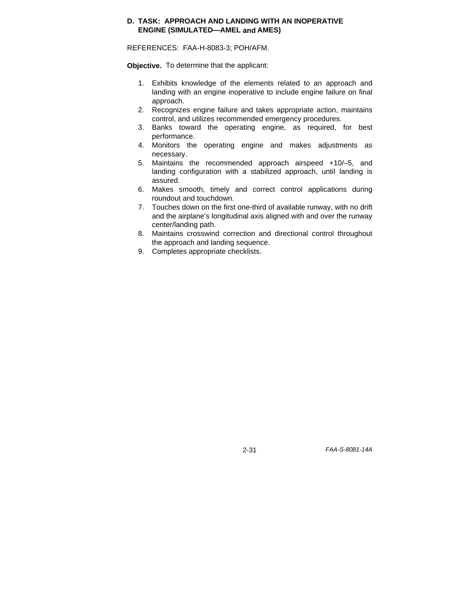### **D. TASK: APPROACH AND LANDING WITH AN INOPERATIVE ENGINE (SIMULATED—AMEL and AMES)**

REFERENCES: FAA-H-8083-3; POH/AFM.

**Objective.** To determine that the applicant:

- 1. Exhibits knowledge of the elements related to an approach and landing with an engine inoperative to include engine failure on final approach.
- 2. Recognizes engine failure and takes appropriate action, maintains control, and utilizes recommended emergency procedures.
- 3. Banks toward the operating engine, as required, for best performance.
- 4. Monitors the operating engine and makes adjustments as necessary.
- 5. Maintains the recommended approach airspeed +10/–5, and landing configuration with a stabilized approach, until landing is assured.
- 6. Makes smooth, timely and correct control applications during roundout and touchdown.
- 7. Touches down on the first one-third of available runway, with no drift and the airplane's longitudinal axis aligned with and over the runway center/landing path.
- 8. Maintains crosswind correction and directional control throughout the approach and landing sequence.
- 9. Completes appropriate checklists.

2-31 FAA-S-8081-14A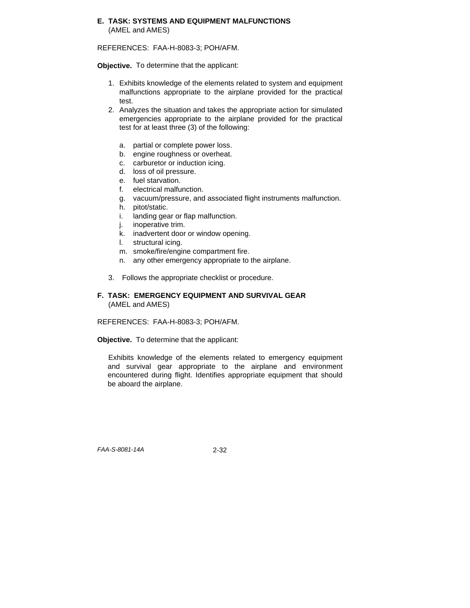#### **E. TASK: SYSTEMS AND EQUIPMENT MALFUNCTIONS** (AMEL and AMES)

REFERENCES: FAA-H-8083-3; POH/AFM.

**Objective.** To determine that the applicant:

- 1. Exhibits knowledge of the elements related to system and equipment malfunctions appropriate to the airplane provided for the practical test.
- 2. Analyzes the situation and takes the appropriate action for simulated emergencies appropriate to the airplane provided for the practical test for at least three (3) of the following:
	- a. partial or complete power loss.
	- b. engine roughness or overheat.
	- c. carburetor or induction icing.
	- d. loss of oil pressure.
	- e. fuel starvation.
	- f. electrical malfunction.
	- g. vacuum/pressure, and associated flight instruments malfunction.
	- h. pitot/static.
	- i. landing gear or flap malfunction.
	- j. inoperative trim.
	- k. inadvertent door or window opening.
	- l. structural icing.
	- m. smoke/fire/engine compartment fire.
	- n. any other emergency appropriate to the airplane.
- 3. Follows the appropriate checklist or procedure.

### **F. TASK: EMERGENCY EQUIPMENT AND SURVIVAL GEAR** (AMEL and AMES)

#### REFERENCES: FAA-H-8083-3; POH/AFM.

**Objective.** To determine that the applicant:

Exhibits knowledge of the elements related to emergency equipment and survival gear appropriate to the airplane and environment encountered during flight. Identifies appropriate equipment that should be aboard the airplane.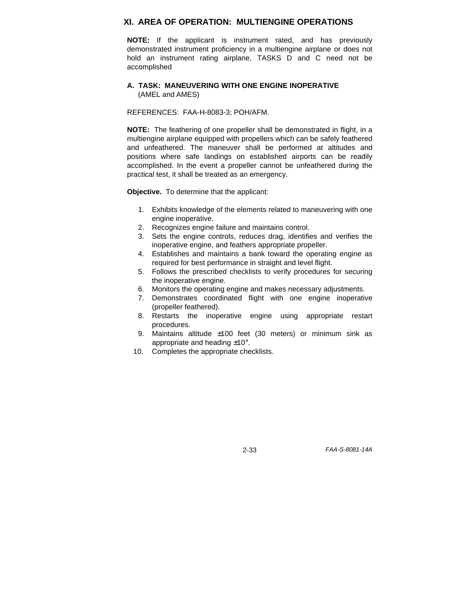# **XI. AREA OF OPERATION: MULTIENGINE OPERATIONS**

**NOTE:** If the applicant is instrument rated, and has previously demonstrated instrument proficiency in a multiengine airplane or does not hold an instrument rating airplane, TASKS D and C need not be accomplished

#### **A. TASK: MANEUVERING WITH ONE ENGINE INOPERATIVE** (AMEL and AMES)

REFERENCES: FAA-H-8083-3; POH/AFM.

**NOTE:** The feathering of one propeller shall be demonstrated in flight, in a multiengine airplane equipped with propellers which can be safely feathered and unfeathered. The maneuver shall be performed at altitudes and positions where safe landings on established airports can be readily accomplished. In the event a propeller cannot be unfeathered during the practical test, it shall be treated as an emergency.

**Objective.** To determine that the applicant:

- 1. Exhibits knowledge of the elements related to maneuvering with one engine inoperative.
- 2. Recognizes engine failure and maintains control.
- 3. Sets the engine controls, reduces drag, identifies and verifies the inoperative engine, and feathers appropriate propeller.
- 4. Establishes and maintains a bank toward the operating engine as required for best performance in straight and level flight.
- 5. Follows the prescribed checklists to verify procedures for securing the inoperative engine.
- 6. Monitors the operating engine and makes necessary adjustments.
- 7. Demonstrates coordinated flight with one engine inoperative (propeller feathered).
- 8. Restarts the inoperative engine using appropriate restart procedures.
- 9. Maintains altitude ±100 feet (30 meters) or minimum sink as appropriate and heading ±10°.
- 10. Completes the appropriate checklists.

2-33 FAA-S-8081-14A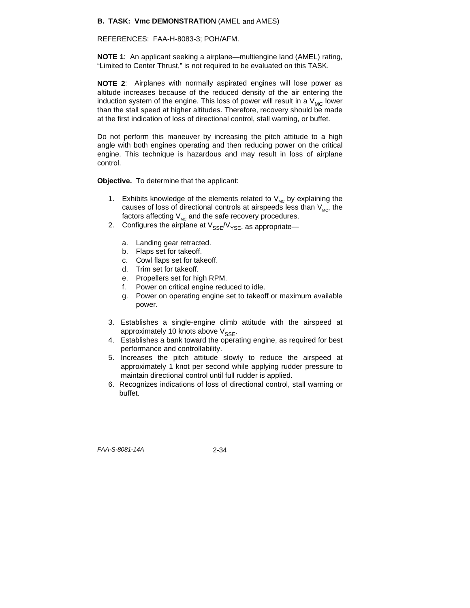# **B. TASK: Vmc DEMONSTRATION (AMEL and AMES)**

REFERENCES: FAA-H-8083-3; POH/AFM.

**NOTE 1**: An applicant seeking a airplane—multiengine land (AMEL) rating, "Limited to Center Thrust," is not required to be evaluated on this TASK.

**NOTE 2**: Airplanes with normally aspirated engines will lose power as altitude increases because of the reduced density of the air entering the induction system of the engine. This loss of power will result in a  $V_{MC}$  lower than the stall speed at higher altitudes. Therefore, recovery should be made at the first indication of loss of directional control, stall warning, or buffet.

Do not perform this maneuver by increasing the pitch attitude to a high angle with both engines operating and then reducing power on the critical engine. This technique is hazardous and may result in loss of airplane control.

**Objective.** To determine that the applicant:

- 1. Exhibits knowledge of the elements related to  $V_{MC}$  by explaining the causes of loss of directional controls at airspeeds less than  $V_{MC}$ , the factors affecting  $V_{MC}$  and the safe recovery procedures.
- 2. Configures the airplane at  $V_{SSE}/V_{VSE}$ , as appropriate
	- a. Landing gear retracted.
	- b. Flaps set for takeoff.
	- c. Cowl flaps set for takeoff.
	- d. Trim set for takeoff.
	- e. Propellers set for high RPM.
	- f. Power on critical engine reduced to idle.
	- g. Power on operating engine set to takeoff or maximum available power.
- 3. Establishes a single-engine climb attitude with the airspeed at approximately 10 knots above  $V_{SSE}$ .
- 4. Establishes a bank toward the operating engine, as required for best performance and controllability.
- 5. Increases the pitch attitude slowly to reduce the airspeed at approximately 1 knot per second while applying rudder pressure to maintain directional control until full rudder is applied.
- 6. Recognizes indications of loss of directional control, stall warning or buffet.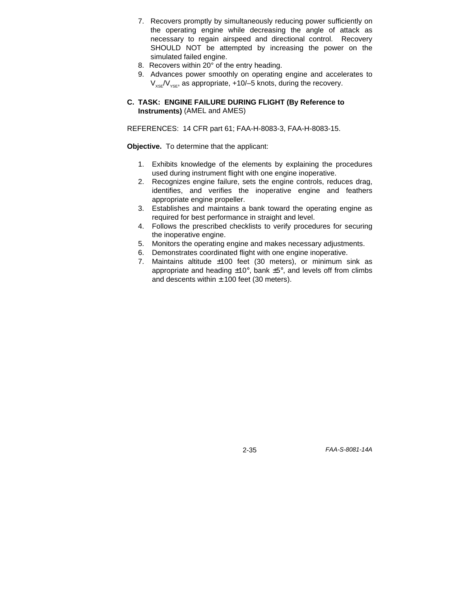- 7. Recovers promptly by simultaneously reducing power sufficiently on the operating engine while decreasing the angle of attack as necessary to regain airspeed and directional control. Recovery SHOULD NOT be attempted by increasing the power on the simulated failed engine.
- 8. Recovers within 20° of the entry heading.
- 9. Advances power smoothly on operating engine and accelerates to  $V_{\text{XSE}}/V_{\text{XSE}}$ , as appropriate, +10/-5 knots, during the recovery.
- **C. TASK: ENGINE FAILURE DURING FLIGHT (By Reference to Instruments)** (AMEL and AMES)

REFERENCES: 14 CFR part 61; FAA-H-8083-3, FAA-H-8083-15.

**Objective.** To determine that the applicant:

- 1. Exhibits knowledge of the elements by explaining the procedures used during instrument flight with one engine inoperative.
- 2. Recognizes engine failure, sets the engine controls, reduces drag, identifies, and verifies the inoperative engine and feathers appropriate engine propeller.
- 3. Establishes and maintains a bank toward the operating engine as required for best performance in straight and level.
- 4. Follows the prescribed checklists to verify procedures for securing the inoperative engine.
- 5. Monitors the operating engine and makes necessary adjustments.
- 6. Demonstrates coordinated flight with one engine inoperative.
- 7. Maintains altitude ±100 feet (30 meters), or minimum sink as appropriate and heading  $\pm 10^{\circ}$ , bank  $\pm 5^{\circ}$ , and levels off from climbs and descents within  $\pm$  100 feet (30 meters).

2-35 FAA-S-8081-14A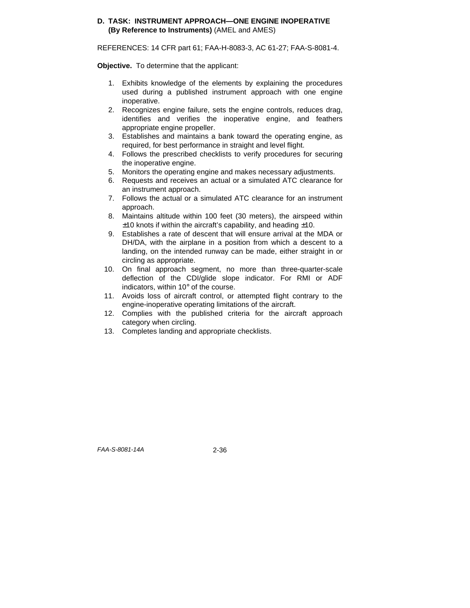# **D. TASK: INSTRUMENT APPROACH—ONE ENGINE INOPERATIVE (By Reference to Instruments)** (AMEL and AMES)

REFERENCES: 14 CFR part 61; FAA-H-8083-3, AC 61-27; FAA-S-8081-4.

**Objective.** To determine that the applicant:

- 1. Exhibits knowledge of the elements by explaining the procedures used during a published instrument approach with one engine inoperative.
- 2. Recognizes engine failure, sets the engine controls, reduces drag, identifies and verifies the inoperative engine, and feathers appropriate engine propeller.
- 3. Establishes and maintains a bank toward the operating engine, as required, for best performance in straight and level flight.
- 4. Follows the prescribed checklists to verify procedures for securing the inoperative engine.
- 5. Monitors the operating engine and makes necessary adjustments.
- 6. Requests and receives an actual or a simulated ATC clearance for an instrument approach.
- 7. Follows the actual or a simulated ATC clearance for an instrument approach.
- 8. Maintains altitude within 100 feet (30 meters), the airspeed within  $\pm$ 10 knots if within the aircraft's capability, and heading  $\pm$ 10.
- 9. Establishes a rate of descent that will ensure arrival at the MDA or DH/DA, with the airplane in a position from which a descent to a landing, on the intended runway can be made, either straight in or circling as appropriate.
- 10. On final approach segment, no more than three-quarter-scale deflection of the CDI/glide slope indicator. For RMI or ADF indicators, within 10° of the course.
- 11. Avoids loss of aircraft control, or attempted flight contrary to the engine-inoperative operating limitations of the aircraft.
- 12. Complies with the published criteria for the aircraft approach category when circling.
- 13. Completes landing and appropriate checklists.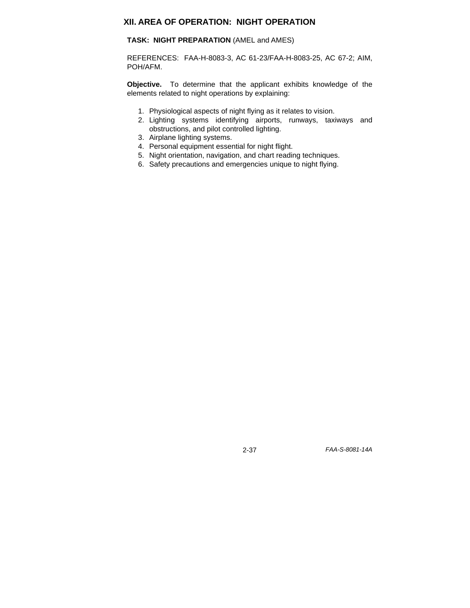# **XII. AREA OF OPERATION: NIGHT OPERATION**

### **TASK: NIGHT PREPARATION** (AMEL and AMES)

REFERENCES: FAA-H-8083-3, AC 61-23/FAA-H-8083-25, AC 67-2; AIM, POH/AFM.

**Objective.** To determine that the applicant exhibits knowledge of the elements related to night operations by explaining:

- 1. Physiological aspects of night flying as it relates to vision.
- 2. Lighting systems identifying airports, runways, taxiways and obstructions, and pilot controlled lighting.
- 3. Airplane lighting systems.
- 4. Personal equipment essential for night flight.
- 5. Night orientation, navigation, and chart reading techniques.
- 6. Safety precautions and emergencies unique to night flying.

2-37 FAA-S-8081-14A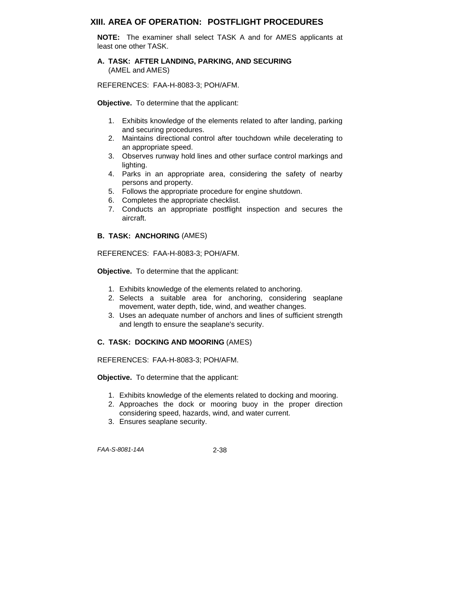# **XIII. AREA OF OPERATION: POSTFLIGHT PROCEDURES**

**NOTE:** The examiner shall select TASK A and for AMES applicants at least one other TASK.

# **A. TASK: AFTER LANDING, PARKING, AND SECURING** (AMEL and AMES)

REFERENCES: FAA-H-8083-3; POH/AFM.

**Objective.** To determine that the applicant:

- 1. Exhibits knowledge of the elements related to after landing, parking and securing procedures.
- 2. Maintains directional control after touchdown while decelerating to an appropriate speed.
- 3. Observes runway hold lines and other surface control markings and lighting.
- 4. Parks in an appropriate area, considering the safety of nearby persons and property.
- 5. Follows the appropriate procedure for engine shutdown.
- 6. Completes the appropriate checklist.
- 7. Conducts an appropriate postflight inspection and secures the aircraft.

### **B. TASK: ANCHORING** (AMES)

REFERENCES: FAA-H-8083-3; POH/AFM.

**Objective.** To determine that the applicant:

- 1. Exhibits knowledge of the elements related to anchoring.
- 2. Selects a suitable area for anchoring, considering seaplane movement, water depth, tide, wind, and weather changes.
- 3. Uses an adequate number of anchors and lines of sufficient strength and length to ensure the seaplane's security.

# **C. TASK: DOCKING AND MOORING** (AMES)

REFERENCES: FAA-H-8083-3; POH/AFM.

**Objective.** To determine that the applicant:

- 1. Exhibits knowledge of the elements related to docking and mooring.
- 2. Approaches the dock or mooring buoy in the proper direction considering speed, hazards, wind, and water current.
- 3. Ensures seaplane security.